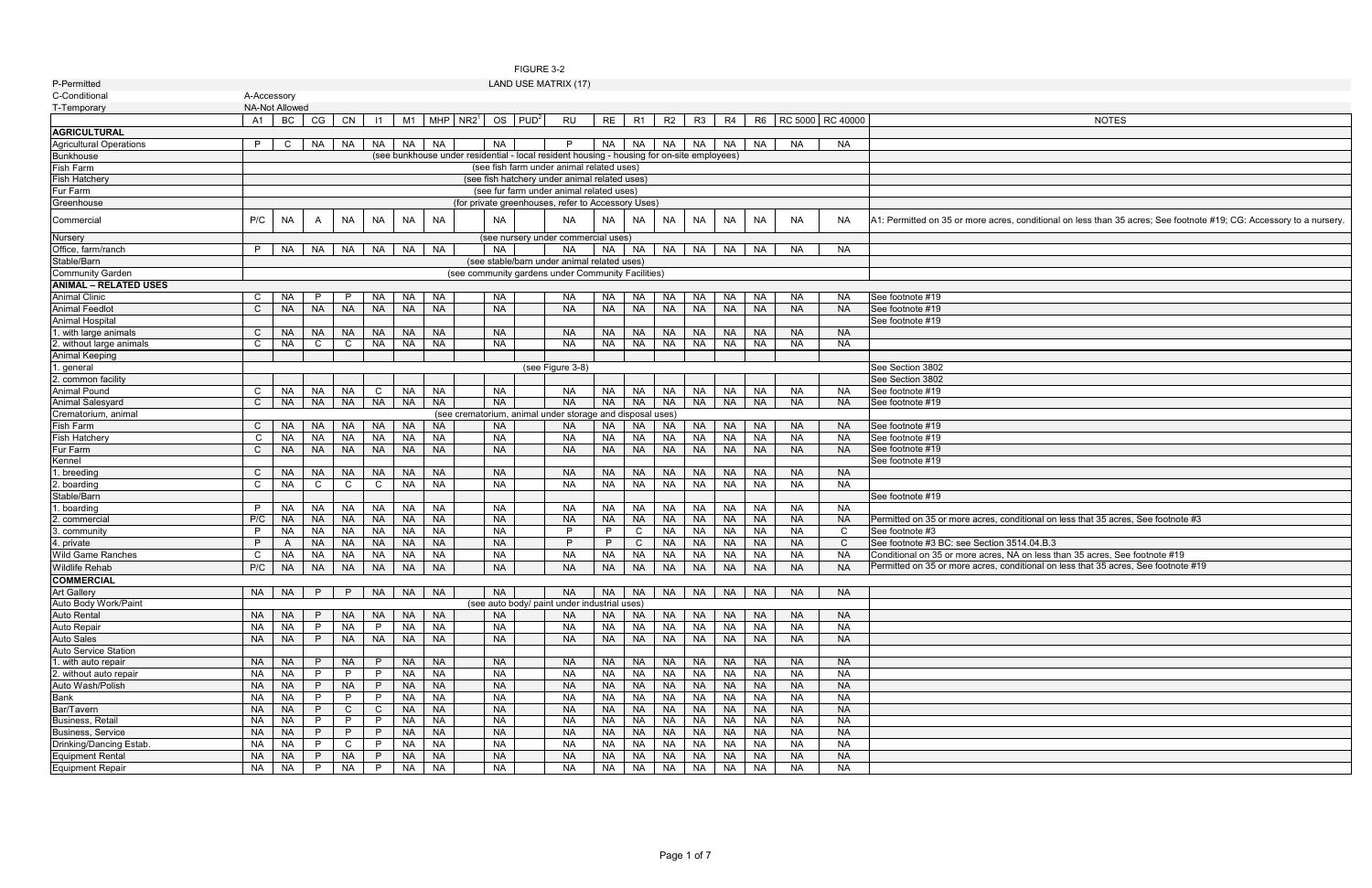| <b>NOTES</b>                                                                        |
|-------------------------------------------------------------------------------------|
|                                                                                     |
|                                                                                     |
|                                                                                     |
|                                                                                     |
|                                                                                     |
|                                                                                     |
|                                                                                     |
| s, conditional on less than 35 acres; See footnote #19; CG: Accessory to a nursery. |
|                                                                                     |
|                                                                                     |
|                                                                                     |
|                                                                                     |
|                                                                                     |
|                                                                                     |
|                                                                                     |
|                                                                                     |
|                                                                                     |
|                                                                                     |
|                                                                                     |
|                                                                                     |
|                                                                                     |
|                                                                                     |
|                                                                                     |
|                                                                                     |
|                                                                                     |
|                                                                                     |
|                                                                                     |
|                                                                                     |
|                                                                                     |
|                                                                                     |
|                                                                                     |
| onditional on less that 35 acres, See footnote #3                                   |
|                                                                                     |
| 3514.04.B.3                                                                         |
| NA on less than 35 acres, See footnote #19                                          |
| onditional on less that 35 acres, See footnote #19                                  |
|                                                                                     |
|                                                                                     |
|                                                                                     |
|                                                                                     |
|                                                                                     |
|                                                                                     |
|                                                                                     |
|                                                                                     |
|                                                                                     |
|                                                                                     |
|                                                                                     |
|                                                                                     |
|                                                                                     |
|                                                                                     |
|                                                                                     |
|                                                                                     |
|                                                                                     |
|                                                                                     |

| P-Permitted                    |                       |             |           |              |              |           |           |               |           |              | LAND USE MATRIX (17)                                                                       |           |              |           |                             |                   |                        |           |                                                  |                                                                                                                    |
|--------------------------------|-----------------------|-------------|-----------|--------------|--------------|-----------|-----------|---------------|-----------|--------------|--------------------------------------------------------------------------------------------|-----------|--------------|-----------|-----------------------------|-------------------|------------------------|-----------|--------------------------------------------------|--------------------------------------------------------------------------------------------------------------------|
| C-Conditional                  | A-Accessory           |             |           |              |              |           |           |               |           |              |                                                                                            |           |              |           |                             |                   |                        |           |                                                  |                                                                                                                    |
| T-Temporary                    | <b>NA-Not Allowed</b> |             |           |              |              |           |           |               |           |              |                                                                                            |           |              |           |                             |                   |                        |           |                                                  |                                                                                                                    |
|                                | A1                    | BC          | CG        | CN           | $\vert$ 11   | M1        |           | $MHP$ $NR2^1$ |           | $OS$ $PUD^2$ | <b>RU</b>                                                                                  |           |              |           |                             |                   |                        |           | RE   R1   R2   R3   R4   R6   RC 5000   RC 40000 | <b>NOTES</b>                                                                                                       |
| <b>AGRICULTURAL</b>            |                       |             |           |              |              |           |           |               |           |              |                                                                                            |           |              |           |                             |                   |                        |           |                                                  |                                                                                                                    |
| <b>Agricultural Operations</b> | P                     | $\mathbf C$ | <b>NA</b> | NA           | NA I         | NA        | NA        |               | NA.       |              | P.                                                                                         |           |              |           |                             |                   | NA NA NA NA NA NA NA I | <b>NA</b> | <b>NA</b>                                        |                                                                                                                    |
| <b>Bunkhouse</b>               |                       |             |           |              |              |           |           |               |           |              | (see bunkhouse under residential - local resident housing - housing for on-site employees) |           |              |           |                             |                   |                        |           |                                                  |                                                                                                                    |
| <b>Fish Farm</b>               |                       |             |           |              |              |           |           |               |           |              | (see fish farm under animal related uses)                                                  |           |              |           |                             |                   |                        |           |                                                  |                                                                                                                    |
| <b>Fish Hatchery</b>           |                       |             |           |              |              |           |           |               |           |              | (see fish hatchery under animal related uses)                                              |           |              |           |                             |                   |                        |           |                                                  |                                                                                                                    |
| Fur Farm                       |                       |             |           |              |              |           |           |               |           |              | (see fur farm under animal related uses)                                                   |           |              |           |                             |                   |                        |           |                                                  |                                                                                                                    |
|                                |                       |             |           |              |              |           |           |               |           |              | (for private greenhouses, refer to Accessory Uses)                                         |           |              |           |                             |                   |                        |           |                                                  |                                                                                                                    |
| Greenhouse                     |                       |             |           |              |              |           |           |               |           |              |                                                                                            |           |              |           |                             |                   |                        |           |                                                  |                                                                                                                    |
| Commercial                     | P/C                   | <b>NA</b>   |           | <b>NA</b>    | <b>NA</b>    | <b>NA</b> | <b>NA</b> |               | <b>NA</b> |              | <b>NA</b>                                                                                  | NA        | NA.          | NA        | NA                          | <b>NA</b>         | <b>NA</b>              | <b>NA</b> | <b>NA</b>                                        | A1: Permitted on 35 or more acres, conditional on less than 35 acres; See footnote #19; CG: Accessory to a nursery |
| Nursery                        |                       |             |           |              |              |           |           |               |           |              | (see nursery under commercial uses)                                                        |           |              |           |                             |                   |                        |           |                                                  |                                                                                                                    |
| Office, farm/ranch             | P                     | NA          | <b>NA</b> | <b>NA</b>    |              | NA NA     | <b>NA</b> |               | <b>NA</b> |              | NA                                                                                         |           |              |           |                             | NA NA NA NA NA NA |                        | <b>NA</b> | <b>NA</b>                                        |                                                                                                                    |
| Stable/Barn                    |                       |             |           |              |              |           |           |               |           |              | (see stable/barn under animal related uses)                                                |           |              |           |                             |                   |                        |           |                                                  |                                                                                                                    |
| Community Garden               |                       |             |           |              |              |           |           |               |           |              | (see community gardens under Community Facilities)                                         |           |              |           |                             |                   |                        |           |                                                  |                                                                                                                    |
| <b>ANIMAL - RELATED USES</b>   |                       |             |           |              |              |           |           |               |           |              |                                                                                            |           |              |           |                             |                   |                        |           |                                                  |                                                                                                                    |
| <b>Animal Clinic</b>           | C                     | <b>NA</b>   | P         | P            | NA           | <b>NA</b> | <b>NA</b> |               | <b>NA</b> |              | NA                                                                                         | <b>NA</b> |              | NA NA     | <b>NA</b>                   | NA                | NA                     | NA        | NA.                                              | See footnote #19                                                                                                   |
| <b>Animal Feedlot</b>          | $\mathsf{C}$          | <b>NA</b>   | <b>NA</b> | <b>NA</b>    | <b>NA</b>    | <b>NA</b> | <b>NA</b> |               | <b>NA</b> |              | <b>NA</b>                                                                                  | <b>NA</b> |              | NA NA     | <b>NA</b>                   | <b>NA</b>         | <b>NA</b>              | <b>NA</b> | <b>NA</b>                                        | See footnote #19                                                                                                   |
| <b>Animal Hospital</b>         |                       |             |           |              |              |           |           |               |           |              |                                                                                            |           |              |           |                             |                   |                        |           |                                                  | See footnote #19                                                                                                   |
| 1. with large animals          | C                     | <b>NA</b>   | <b>NA</b> | <b>NA</b>    | <b>NA</b>    | <b>NA</b> | <b>NA</b> |               | <b>NA</b> |              | NA.                                                                                        | NA I      |              |           |                             | NA NA NA NA       | NA                     | NA        | NA.                                              |                                                                                                                    |
| 2. without large animals       | C                     | <b>NA</b>   | C         | $\mathsf{C}$ | <b>NA</b>    | <b>NA</b> | <b>NA</b> |               | <b>NA</b> |              | <b>NA</b>                                                                                  | NA        | <b>NA</b>    | <b>NA</b> | NA                          | NA                | NA                     | NA        | <b>NA</b>                                        |                                                                                                                    |
| Animal Keeping                 |                       |             |           |              |              |           |           |               |           |              |                                                                                            |           |              |           |                             |                   |                        |           |                                                  |                                                                                                                    |
| 1. general                     |                       |             |           |              |              |           |           |               |           |              | (see Figure 3-8)                                                                           |           |              |           |                             |                   |                        |           |                                                  | See Section 3802                                                                                                   |
| 2. common facility             |                       |             |           |              |              |           |           |               |           |              |                                                                                            |           |              |           |                             |                   |                        |           |                                                  | See Section 3802                                                                                                   |
|                                |                       |             |           |              |              |           |           |               |           |              |                                                                                            |           |              |           |                             | <b>NA</b>         |                        |           |                                                  |                                                                                                                    |
| Animal Pound                   | C                     | <b>NA</b>   | <b>NA</b> | NA           | $\mathbf C$  | <b>NA</b> | <b>NA</b> |               | <b>NA</b> |              | <b>NA</b>                                                                                  | NA        | <b>NA</b>    | <b>NA</b> | <b>NA</b>                   |                   | <b>NA</b>              | <b>NA</b> | <b>NA</b>                                        | See footnote #19                                                                                                   |
| <b>Animal Salesyard</b>        | $\mathsf{C}$          | <b>NA</b>   | <b>NA</b> | <b>NA</b>    | <b>NA</b>    | <b>NA</b> | <b>NA</b> |               | <b>NA</b> |              | <b>NA</b>                                                                                  | <b>NA</b> | NA           | $N_A$     | <b>NA</b>                   | <b>NA</b>         | <b>NA</b>              | <b>NA</b> | <b>NA</b>                                        | See footnote #19                                                                                                   |
| Crematorium, animal            |                       |             |           |              |              |           |           |               |           |              | (see crematorium, animal under storage and disposal uses)                                  |           |              |           |                             |                   |                        |           |                                                  |                                                                                                                    |
| <b>Fish Farm</b>               | $\mathbf{C}$          | <b>NA</b>   | <b>NA</b> | <b>NA</b>    |              | NA NA     | <b>NA</b> |               | <b>NA</b> |              | NA.                                                                                        | <b>NA</b> |              | NA NA     |                             | NA NA             | <b>NA</b>              | <b>NA</b> | NA.                                              | See footnote #19                                                                                                   |
| <b>Fish Hatchery</b>           | C                     | <b>NA</b>   | <b>NA</b> | NA           | <b>NA</b>    | <b>NA</b> | <b>NA</b> |               | <b>NA</b> |              | <b>NA</b>                                                                                  | NA        | <b>NA</b>    | <b>NA</b> | NA                          | NA                | <b>NA</b>              | NA        | <b>NA</b>                                        | See footnote #19                                                                                                   |
| Fur Farm                       | $\mathsf{C}$          | <b>NA</b>   | <b>NA</b> | <b>NA</b>    | <b>NA</b>    | <b>NA</b> | <b>NA</b> |               | <b>NA</b> |              | <b>NA</b>                                                                                  | <b>NA</b> |              | NA NA     | <b>NA</b>                   | <b>NA</b>         | <b>NA</b>              | <b>NA</b> | <b>NA</b>                                        | See footnote #19                                                                                                   |
| Kennel                         |                       |             |           |              |              |           |           |               |           |              |                                                                                            |           |              |           |                             |                   |                        |           |                                                  | See footnote #19                                                                                                   |
| 1. breeding                    | C                     | <b>NA</b>   | <b>NA</b> | <b>NA</b>    | <b>NA</b>    | <b>NA</b> | <b>NA</b> |               | <b>NA</b> |              | <b>NA</b>                                                                                  | <b>NA</b> | NA I         | <b>NA</b> | <b>NA</b>                   | <b>NA</b>         | <b>NA</b>              | <b>NA</b> | <b>NA</b>                                        |                                                                                                                    |
| 2. boarding                    | C                     | <b>NA</b>   | C         | C            | C            | <b>NA</b> | <b>NA</b> |               | <b>NA</b> |              | NA                                                                                         | NA        | NA           | NA        | NA                          | NA                | NA                     | <b>NA</b> | <b>NA</b>                                        |                                                                                                                    |
| Stable/Barn                    |                       |             |           |              |              |           |           |               |           |              |                                                                                            |           |              |           |                             |                   |                        |           |                                                  | See footnote #19                                                                                                   |
| . boarding                     | P                     | <b>NA</b>   | <b>NA</b> | <b>NA</b>    | <b>NA</b>    | <b>NA</b> | <b>NA</b> |               | <b>NA</b> |              | NA                                                                                         | <b>NA</b> | NA           | NA        | <b>NA</b>                   | NA                | <b>NA</b>              | <b>NA</b> | <b>NA</b>                                        |                                                                                                                    |
| 2. commercial                  | P/C                   | <b>NA</b>   | <b>NA</b> | <b>NA</b>    | <b>NA</b>    | <b>NA</b> | <b>NA</b> |               | <b>NA</b> |              | <b>NA</b>                                                                                  | <b>NA</b> | NA I         | <b>NA</b> | <b>NA</b>                   | <b>NA</b>         | <b>NA</b>              | <b>NA</b> | <b>NA</b>                                        | Permitted on 35 or more acres, conditional on less that 35 acres, See footnote #3                                  |
| 3. community                   | P                     | <b>NA</b>   | <b>NA</b> | <b>NA</b>    | NA           | <b>NA</b> | <b>NA</b> |               | <b>NA</b> |              | P                                                                                          | P         | $\mathsf{C}$ | <b>NA</b> | <b>NA</b>                   | NA                | <b>NA</b>              | <b>NA</b> | $\mathsf{C}$                                     | See footnote #3                                                                                                    |
| 4. private                     | P                     | A           | <b>NA</b> | <b>NA</b>    | <b>NA</b>    | <b>NA</b> | <b>NA</b> |               | <b>NA</b> |              | P                                                                                          | P         | $\mathsf{C}$ | <b>NA</b> | <b>NA</b>                   | <b>NA</b>         | <b>NA</b>              | <b>NA</b> | $\mathsf{C}$                                     | See footnote #3 BC: see Section 3514.04.B.3                                                                        |
| Wild Game Ranches              | C                     | <b>NA</b>   | <b>NA</b> | <b>NA</b>    | NA           | <b>NA</b> | <b>NA</b> |               | <b>NA</b> |              | <b>NA</b>                                                                                  | NA        | NA I         | NA        | NA                          | <b>NA</b>         | NA                     | <b>NA</b> | <b>NA</b>                                        | Conditional on 35 or more acres, NA on less than 35 acres, See footnote #19                                        |
| <b>Wildlife Rehab</b>          | P/C                   | <b>NA</b>   | <b>NA</b> | <b>NA</b>    | <b>NA</b>    | <b>NA</b> | <b>NA</b> |               | <b>NA</b> |              | <b>NA</b>                                                                                  | <b>NA</b> | NA           | <b>NA</b> | <b>NA</b>                   | <b>NA</b>         | <b>NA</b>              | <b>NA</b> | <b>NA</b>                                        | Permitted on 35 or more acres, conditional on less that 35 acres, See footnote #19                                 |
| <b>COMMERCIAL</b>              |                       |             |           |              |              |           |           |               |           |              |                                                                                            |           |              |           |                             |                   |                        |           |                                                  |                                                                                                                    |
| <b>Art Gallery</b>             | <b>NA</b>             | <b>NA</b>   | P.        | P.           | <b>NA</b>    | <b>NA</b> | <b>NA</b> |               | <b>NA</b> |              | NA                                                                                         |           |              |           |                             | NA NA NA NA NA NA |                        | <b>NA</b> | NA.                                              |                                                                                                                    |
| Auto Body Work/Paint           |                       |             |           |              |              |           |           |               |           |              | (see auto body/ paint under industrial uses)                                               |           |              |           |                             |                   |                        |           |                                                  |                                                                                                                    |
| <b>Auto Rental</b>             | NA.                   | <b>NA</b>   |           | <b>NA</b>    | <b>NA</b>    | <b>NA</b> | <b>NA</b> |               | <b>NA</b> |              | NA.                                                                                        | <b>NA</b> |              | NA NA NA  |                             | <b>NA</b>         | <b>NA</b>              | <b>NA</b> | <b>NA</b>                                        |                                                                                                                    |
| <b>Auto Repair</b>             | <b>NA</b>             | <b>NA</b>   | P         | <b>NA</b>    | P.           | <b>NA</b> | <b>NA</b> |               | <b>NA</b> |              | <b>NA</b>                                                                                  | <b>NA</b> |              | NA NA     | $\overline{\phantom{a}}$ NA | <b>NA</b>         | NA                     | NA        | <b>NA</b>                                        |                                                                                                                    |
|                                | <b>NA</b>             | <b>NA</b>   | P.        |              | <b>NA</b>    |           | <b>NA</b> |               | <b>NA</b> |              | <b>NA</b>                                                                                  | <b>NA</b> | <b>NA</b>    | NA        | NA                          | NA                | <b>NA</b>              | <b>NA</b> | <b>NA</b>                                        |                                                                                                                    |
| <b>Auto Sales</b>              |                       |             |           | <b>NA</b>    |              | <b>NA</b> |           |               |           |              |                                                                                            |           |              |           |                             |                   |                        |           |                                                  |                                                                                                                    |
| Auto Service Station           |                       |             |           |              |              |           |           |               |           |              |                                                                                            |           |              |           |                             |                   |                        |           |                                                  |                                                                                                                    |
| 1. with auto repair            | <b>NA</b>             | <b>NA</b>   | P         | <b>NA</b>    | P            | <b>NA</b> | <b>NA</b> |               | <b>NA</b> |              | <b>NA</b>                                                                                  | <b>NA</b> | NA I         | <b>NA</b> | <b>NA</b>                   | <b>NA</b>         | <b>NA</b>              | <b>NA</b> | <b>NA</b>                                        |                                                                                                                    |
| 2. without auto repair         | <b>NA</b>             | <b>NA</b>   | P         | P.           | P            | <b>NA</b> | <b>NA</b> |               | <b>NA</b> |              | <b>NA</b>                                                                                  | NA        |              | NA NA     | NA                          | NA                | NA                     | NA        | <b>NA</b>                                        |                                                                                                                    |
| Auto Wash/Polish               | <b>NA</b>             | <b>NA</b>   | P         | <b>NA</b>    | P            | <b>NA</b> | <b>NA</b> |               | <b>NA</b> |              | <b>NA</b>                                                                                  | <b>NA</b> |              | NA NA     | <b>NA</b>                   | <b>NA</b>         | <b>NA</b>              | <b>NA</b> | <b>NA</b>                                        |                                                                                                                    |
| <b>Bank</b>                    | <b>NA</b>             | <b>NA</b>   | P         | P.           | P            | <b>NA</b> | <b>NA</b> |               | <b>NA</b> |              | <b>NA</b>                                                                                  | NA        |              | NA NA     | NA                          | <b>NA</b>         | NA                     | <b>NA</b> | <b>NA</b>                                        |                                                                                                                    |
| Bar/Tavern                     | <b>NA</b>             | <b>NA</b>   | P         | $\mathsf{C}$ | $\mathsf{C}$ | <b>NA</b> | <b>NA</b> |               | <b>NA</b> |              | <b>NA</b>                                                                                  | <b>NA</b> |              | NA NA     | NA                          | NA                | <b>NA</b>              | <b>NA</b> | <b>NA</b>                                        |                                                                                                                    |
| <b>Business, Retail</b>        | <b>NA</b>             | <b>NA</b>   | P         | P.           | P            | <b>NA</b> | <b>NA</b> |               | <b>NA</b> |              | <b>NA</b>                                                                                  | NA        |              | NA NA     | <b>NA</b>                   | NA                | NA                     | <b>NA</b> | <b>NA</b>                                        |                                                                                                                    |
| Business, Service              | <b>NA</b>             | <b>NA</b>   | P.        | P            | P            | <b>NA</b> | <b>NA</b> |               | <b>NA</b> |              | <b>NA</b>                                                                                  | <b>NA</b> |              | NA NA     | <b>NA</b>                   | NA                | <b>NA</b>              | <b>NA</b> | <b>NA</b>                                        |                                                                                                                    |
| Drinking/Dancing Estab.        | <b>NA</b>             | <b>NA</b>   | P         | $\mathsf{C}$ | P            | <b>NA</b> | <b>NA</b> |               | <b>NA</b> |              | <b>NA</b>                                                                                  | NA        |              | NA NA     | <b>NA</b>                   | NA                | NA                     | <b>NA</b> | <b>NA</b>                                        |                                                                                                                    |
| <b>Equipment Rental</b>        | <b>NA</b>             | <b>NA</b>   | P.        | <b>NA</b>    | P            | <b>NA</b> | <b>NA</b> |               | <b>NA</b> |              | <b>NA</b>                                                                                  | <b>NA</b> |              | NA NA     | <b>NA</b>                   | <b>NA</b>         | <b>NA</b>              | <b>NA</b> | <b>NA</b>                                        |                                                                                                                    |
| <b>Equipment Repair</b>        | NA                    | NA.         | P         | <b>NA</b>    | P            | <b>NA</b> | <b>NA</b> |               | <b>NA</b> |              | NA.                                                                                        | NA        |              | NA NA     | NA                          | NA                | NA                     | <b>NA</b> | NA                                               |                                                                                                                    |

FIGURE 3-2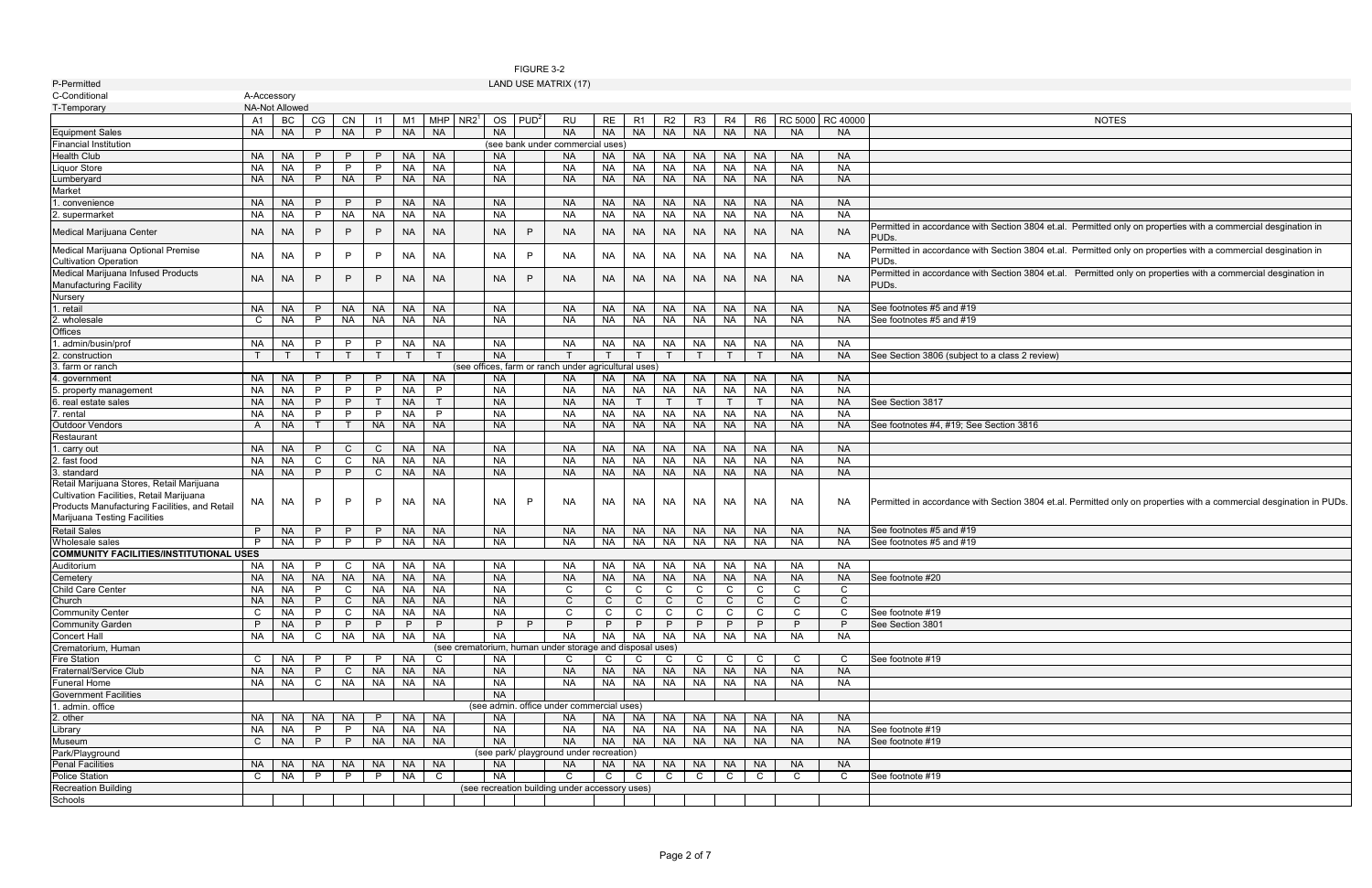## FIGURE 3-2 LAND USE MATRIX (17)

| <b>NOTES</b>                                                                         |
|--------------------------------------------------------------------------------------|
|                                                                                      |
|                                                                                      |
|                                                                                      |
|                                                                                      |
|                                                                                      |
|                                                                                      |
|                                                                                      |
| tion 3804 et.al. Permitted only on properties with a commercial desgination in       |
| tion 3804 et.al. Permitted only on properties with a commercial desgination in       |
| tion 3804 et.al. Permitted only on properties with a commercial desgination in       |
|                                                                                      |
|                                                                                      |
|                                                                                      |
|                                                                                      |
| ass 2 review)                                                                        |
|                                                                                      |
|                                                                                      |
|                                                                                      |
|                                                                                      |
| on 3816                                                                              |
|                                                                                      |
|                                                                                      |
|                                                                                      |
|                                                                                      |
| tion 3804 et.al. Permitted only on properties with a commercial desgination in PUDs. |
|                                                                                      |
|                                                                                      |
|                                                                                      |
|                                                                                      |
|                                                                                      |
|                                                                                      |
|                                                                                      |
|                                                                                      |
|                                                                                      |
|                                                                                      |
|                                                                                      |
|                                                                                      |
|                                                                                      |
|                                                                                      |
|                                                                                      |
|                                                                                      |
|                                                                                      |
|                                                                                      |
|                                                                                      |
|                                                                                      |
|                                                                                      |

| P-Permitted                                                                                                                                                            |              |                        |              |                |                |                     |                        |                  |                        |                  | LAND USE MATRIX (17)                                     |                        |                        |                           |                        |                        |                        |                        |                        |                                                                                                                                                        |
|------------------------------------------------------------------------------------------------------------------------------------------------------------------------|--------------|------------------------|--------------|----------------|----------------|---------------------|------------------------|------------------|------------------------|------------------|----------------------------------------------------------|------------------------|------------------------|---------------------------|------------------------|------------------------|------------------------|------------------------|------------------------|--------------------------------------------------------------------------------------------------------------------------------------------------------|
| C-Conditional                                                                                                                                                          |              | A-Accessory            |              |                |                |                     |                        |                  |                        |                  |                                                          |                        |                        |                           |                        |                        |                        |                        |                        |                                                                                                                                                        |
| T-Temporary                                                                                                                                                            |              | <b>NA-Not Allowed</b>  |              |                |                |                     |                        |                  |                        |                  |                                                          |                        |                        |                           |                        |                        |                        |                        |                        |                                                                                                                                                        |
|                                                                                                                                                                        | A1           | BC                     | CG           | CN             | $\vert$ 11     | M1                  | <b>MHP</b>             | NR2 <sup>1</sup> | OS                     | PUD <sup>2</sup> | RU                                                       | RE                     | R1                     | R <sub>2</sub>            | R <sub>3</sub>         | R4                     | R6                     | <b>RC 5000</b>         | <b>RC 40000</b>        | <b>NOTES</b>                                                                                                                                           |
| <b>Equipment Sales</b>                                                                                                                                                 | NA I         | <b>NA</b>              | P            | <b>NA</b>      | P              | NA                  | <b>NA</b>              |                  | <b>NA</b>              |                  | <b>NA</b>                                                | <b>NA</b>              | <b>NA</b>              | <b>NA</b>                 | <b>NA</b>              | <b>NA</b>              | <b>NA</b>              | <b>NA</b>              | NA.                    |                                                                                                                                                        |
| <b>Financial Institution</b>                                                                                                                                           |              |                        |              |                |                |                     |                        |                  |                        |                  | (see bank under commercial uses)                         |                        |                        |                           |                        |                        |                        |                        |                        |                                                                                                                                                        |
| <b>Health Club</b>                                                                                                                                                     | NA I         | <b>NA</b>              | P.           | P.             | P              | <b>NA</b>           | <b>NA</b>              |                  | <b>NA</b>              |                  | NA                                                       | <b>NA</b>              | <b>NA</b>              | <b>NA</b>                 | <b>NA</b>              | NA                     | <b>NA</b>              | <b>NA</b>              | NA.                    |                                                                                                                                                        |
| <b>Liquor Store</b>                                                                                                                                                    | <b>NA</b>    | <b>NA</b>              | P            | P              | P              | <b>NA</b>           | <b>NA</b>              |                  | <b>NA</b>              |                  | <b>NA</b>                                                | <b>NA</b>              | <b>NA</b>              | <b>NA</b>                 | <b>NA</b>              | <b>NA</b>              | <b>NA</b>              | <b>NA</b>              | <b>NA</b>              |                                                                                                                                                        |
| _umberyard                                                                                                                                                             | NA .         | <b>NA</b>              | P            | <b>NA</b>      | P              | <b>NA</b>           | <b>NA</b>              |                  | <b>NA</b>              |                  | <b>NA</b>                                                | <b>NA</b>              | <b>NA</b>              | <b>NA</b>                 | <b>NA</b>              | <b>NA</b>              | <b>NA</b>              | <b>NA</b>              | <b>NA</b>              |                                                                                                                                                        |
|                                                                                                                                                                        |              |                        |              |                |                |                     |                        |                  |                        |                  |                                                          |                        |                        |                           |                        |                        |                        |                        |                        |                                                                                                                                                        |
| Market                                                                                                                                                                 |              |                        |              |                |                |                     |                        |                  |                        |                  |                                                          |                        |                        |                           |                        |                        |                        |                        |                        |                                                                                                                                                        |
| . convenience                                                                                                                                                          | NA.          | <b>NA</b>              | P            | P              | P              | <b>NA</b>           | <b>NA</b>              |                  | <b>NA</b>              |                  | <b>NA</b>                                                | <b>NA</b>              | <b>NA</b>              | <b>NA</b>                 | <b>NA</b>              | <b>NA</b>              | <b>NA</b>              | <b>NA</b>              | NA.                    |                                                                                                                                                        |
| 2. supermarket<br>Medical Marijuana Center                                                                                                                             | NA<br>NA.    | <b>NA</b><br><b>NA</b> | P<br>P       | <b>NA</b><br>P | <b>NA</b><br>P | <b>NA</b><br>NA     | <b>NA</b><br><b>NA</b> |                  | <b>NA</b><br><b>NA</b> | P                | <b>NA</b><br><b>NA</b>                                   | <b>NA</b><br><b>NA</b> | <b>NA</b><br><b>NA</b> | <b>NA</b><br>NA.          | <b>NA</b><br><b>NA</b> | <b>NA</b><br><b>NA</b> | <b>NA</b><br><b>NA</b> | <b>NA</b><br><b>NA</b> | <b>NA</b><br><b>NA</b> | Permitted in accordance with Section 3804 et.al. Permitted only on properties with a commercial desgination in                                         |
| Medical Marijuana Optional Premise<br><b>Cultivation Operation</b>                                                                                                     | <b>NA</b>    | <b>NA</b>              | P            | P              | P              | NA                  | <b>NA</b>              |                  | <b>NA</b>              | P                | <b>NA</b>                                                | <b>NA</b>              | <b>NA</b>              | <b>NA</b>                 | <b>NA</b>              | <b>NA</b>              | <b>NA</b>              | <b>NA</b>              | NA.                    | PUD <sub>s</sub><br>Permitted in accordance with Section 3804 et.al. Permitted only on properties with a commercial desgination in<br>PUD <sub>s</sub> |
| Medical Marijuana Infused Products<br><b>Manufacturing Facility</b>                                                                                                    | <b>NA</b>    | <b>NA</b>              | P            | P              | P              | NA                  | <b>NA</b>              |                  | <b>NA</b>              | P                | <b>NA</b>                                                | <b>NA</b>              | <b>NA</b>              | <b>NA</b>                 | <b>NA</b>              | <b>NA</b>              | <b>NA</b>              | <b>NA</b>              | NA.                    | Permitted in accordance with Section 3804 et.al. Permitted only on properties with a commercial desgination in<br>PUDs.                                |
| Nursery                                                                                                                                                                |              |                        |              |                |                |                     |                        |                  |                        |                  |                                                          |                        |                        |                           |                        |                        |                        |                        |                        |                                                                                                                                                        |
| 1. retail                                                                                                                                                              | <b>NA</b>    | <b>NA</b>              | P            | <b>NA</b>      | <b>NA</b>      | <b>NA</b>           | <b>NA</b>              |                  | <b>NA</b>              |                  | <b>NA</b>                                                | <b>NA</b>              | <b>NA</b>              | <b>NA</b>                 | <b>NA</b>              | <b>NA</b>              | <b>NA</b>              | <b>NA</b>              | <b>NA</b>              | See footnotes #5 and #19                                                                                                                               |
| 2. wholesale                                                                                                                                                           | $\mathbf{C}$ | NA                     | P            | <b>NA</b>      | <b>NA</b>      | <b>NA</b>           | <b>NA</b>              |                  | <b>NA</b>              |                  | <b>NA</b>                                                | <b>NA</b>              | <b>NA</b>              | <b>NA</b>                 | <b>NA</b>              | <b>NA</b>              | <b>NA</b>              | NA                     | <b>NA</b>              | See footnotes #5 and #19                                                                                                                               |
| Offices                                                                                                                                                                |              |                        |              |                |                |                     |                        |                  |                        |                  |                                                          |                        |                        |                           |                        |                        |                        |                        |                        |                                                                                                                                                        |
|                                                                                                                                                                        |              |                        |              |                | P              |                     |                        |                  |                        |                  |                                                          |                        |                        |                           |                        |                        |                        | NA                     | <b>NA</b>              |                                                                                                                                                        |
| . admin/busin/prof                                                                                                                                                     | NA           | NA                     | P            | P              | T              | <b>NA</b><br>$\top$ | <b>NA</b>              |                  | <b>NA</b>              |                  | <b>NA</b>                                                | NA                     | <b>NA</b>              | <b>NA</b><br>$\mathsf{T}$ | <b>NA</b>              | <b>NA</b><br>T         | <b>NA</b>              |                        |                        |                                                                                                                                                        |
| 2. construction                                                                                                                                                        | T            | $\mathsf{T}$           | $\top$       | $\top$         |                |                     |                        |                  | <b>NA</b>              |                  |                                                          | $\top$                 |                        |                           | $\top$                 |                        | $\top$                 | <b>NA</b>              | <b>NA</b>              | See Section 3806 (subject to a class 2 review)                                                                                                         |
| 3. farm or ranch                                                                                                                                                       |              |                        |              |                |                |                     |                        |                  |                        |                  | (see offices, farm or ranch under agricultural uses)     |                        |                        |                           |                        |                        |                        |                        |                        |                                                                                                                                                        |
| 4. government                                                                                                                                                          | NA I         | <b>NA</b>              | P            | P              | P              | <b>NA</b>           | <b>NA</b>              |                  | <b>NA</b>              |                  | <b>NA</b>                                                | <b>NA</b>              | <b>NA</b>              | <b>NA</b>                 | <b>NA</b>              | NA                     | <b>NA</b>              | <b>NA</b>              | <b>NA</b>              |                                                                                                                                                        |
| 5. property management                                                                                                                                                 | NA.          | <b>NA</b>              | P            | P              | P              | <b>NA</b>           | P                      |                  | <b>NA</b>              |                  | <b>NA</b>                                                | <b>NA</b>              | <b>NA</b>              | <b>NA</b>                 | <b>NA</b>              | <b>NA</b>              | <b>NA</b>              | <b>NA</b>              | <b>NA</b>              |                                                                                                                                                        |
| 6. real estate sales                                                                                                                                                   | <b>NA</b>    | <b>NA</b>              | P            | P              |                | <b>NA</b>           |                        |                  | <b>NA</b>              |                  | <b>NA</b>                                                | <b>NA</b>              |                        |                           |                        |                        |                        | <b>NA</b>              | <b>NA</b>              | See Section 3817                                                                                                                                       |
| 7. rental                                                                                                                                                              | <b>NA</b>    | <b>NA</b>              | P            | $\mathsf{P}$   | P              | <b>NA</b>           | P                      |                  | <b>NA</b>              |                  | <b>NA</b>                                                | <b>NA</b>              | <b>NA</b>              | <b>NA</b>                 | <b>NA</b>              | <b>NA</b>              | <b>NA</b>              | <b>NA</b>              | <b>NA</b>              |                                                                                                                                                        |
| Outdoor Vendors                                                                                                                                                        | A            | <b>NA</b>              |              |                | NA             | <b>NA</b>           | <b>NA</b>              |                  | <b>NA</b>              |                  | <b>NA</b>                                                | <b>NA</b>              | <b>NA</b>              | <b>NA</b>                 | <b>NA</b>              | <b>NA</b>              | <b>NA</b>              | <b>NA</b>              | <b>NA</b>              | See footnotes #4, #19; See Section 3816                                                                                                                |
| Restaurant                                                                                                                                                             |              |                        |              |                |                |                     |                        |                  |                        |                  |                                                          |                        |                        |                           |                        |                        |                        |                        |                        |                                                                                                                                                        |
| 1. carry out                                                                                                                                                           | <b>NA</b>    | <b>NA</b>              | P            | $\mathsf{C}$   | $\mathsf{C}$   | <b>NA</b>           | <b>NA</b>              |                  | <b>NA</b>              |                  | <b>NA</b>                                                | <b>NA</b>              | <b>NA</b>              | <b>NA</b>                 | <b>NA</b>              | <b>NA</b>              | <b>NA</b>              | <b>NA</b>              | <b>NA</b>              |                                                                                                                                                        |
| 2. fast food                                                                                                                                                           | NA.          | <b>NA</b>              | C            | C              | NA             | <b>NA</b>           | <b>NA</b>              |                  | <b>NA</b>              |                  | <b>NA</b>                                                | <b>NA</b>              | <b>NA</b>              | <b>NA</b>                 | <b>NA</b>              | <b>NA</b>              | <b>NA</b>              | <b>NA</b>              | <b>NA</b>              |                                                                                                                                                        |
| 3. standard                                                                                                                                                            | <b>NA</b>    | <b>NA</b>              | P            | P              | $\mathsf{C}$   | <b>NA</b>           | <b>NA</b>              |                  | <b>NA</b>              |                  | <b>NA</b>                                                | <b>NA</b>              | <b>NA</b>              | <b>NA</b>                 | <b>NA</b>              | <b>NA</b>              | <b>NA</b>              | <b>NA</b>              | <b>NA</b>              |                                                                                                                                                        |
| Retail Marijuana Stores, Retail Marijuana<br>Cultivation Facilities, Retail Marijuana<br>Products Manufacturing Facilities, and Retail<br>Marijuana Testing Facilities | NA           | NA                     | P            | P              | P              | NA                  | <b>NA</b>              |                  | <b>NA</b>              | P                | <b>NA</b>                                                | NA                     | NA                     | NA.                       | NA                     | <b>NA</b>              | <b>NA</b>              | <b>NA</b>              | NA.                    | Permitted in accordance with Section 3804 et.al. Permitted only on properties with a commercial desgination in PUDs                                    |
| <b>Retail Sales</b>                                                                                                                                                    | P.           | <b>NA</b>              | P            | P              | P              | <b>NA</b>           | <b>NA</b>              |                  | <b>NA</b>              |                  | <b>NA</b>                                                | <b>NA</b>              | <b>NA</b>              | <b>NA</b>                 | <b>NA</b>              | NA                     | <b>NA</b>              | <b>NA</b>              | <b>NA</b>              | See footnotes #5 and #19                                                                                                                               |
| Wholesale sales                                                                                                                                                        |              | NA                     | P            | $\mathsf{P}$   | P              | <b>NA</b>           | <b>NA</b>              |                  | <b>NA</b>              |                  | <b>NA</b>                                                | NA                     | <b>NA</b>              | <b>NA</b>                 | <b>NA</b>              | NA                     | <b>NA</b>              | <b>NA</b>              | NA.                    | See footnotes #5 and #19                                                                                                                               |
| <b>COMMUNITY FACILITIES/INSTITUTIONAL USES</b>                                                                                                                         |              |                        |              |                |                |                     |                        |                  |                        |                  |                                                          |                        |                        |                           |                        |                        |                        |                        |                        |                                                                                                                                                        |
| Auditorium                                                                                                                                                             | NA.          | NA                     | P            | C              | NA.            | NA                  | <b>NA</b>              |                  | <b>NA</b>              |                  | <b>NA</b>                                                | NA                     | NA                     | ΝA                        | <b>NA</b>              | NA                     | NA                     | NA.                    | NA.                    |                                                                                                                                                        |
| Cemetery                                                                                                                                                               | <b>NA</b>    | <b>NA</b>              | <b>NA</b>    | <b>NA</b>      | <b>NA</b>      | <b>NA</b>           | <b>NA</b>              |                  | <b>NA</b>              |                  | <b>NA</b>                                                | <b>NA</b>              | <b>NA</b>              | <b>NA</b>                 | <b>NA</b>              | <b>NA</b>              | <b>NA</b>              | <b>NA</b>              | <b>NA</b>              | See footnote #20                                                                                                                                       |
| Child Care Center                                                                                                                                                      |              | NA NA                  | $\mathsf{P}$ | $\mathsf{C}$   |                | NA NA               | <b>NA</b>              |                  | NA.                    |                  | C                                                        | C                      | C                      | C                         | C                      | $\mathsf{C}$           | $\mathsf{C}$           | $\mathsf{C}$           | C                      |                                                                                                                                                        |
| Church                                                                                                                                                                 |              | NA NA                  | P            | $\mathsf{C}$   |                | NA NA               | <b>NA</b>              |                  | <b>NA</b>              |                  | $\mathsf{C}$                                             | $\mathsf{C}$           | $\mathbf{C}$           | C.                        | C.                     | $\mathbf C$            | $\mathbf C$            | $\mathsf{C}$           | $\mathsf{C}$           |                                                                                                                                                        |
| <b>Community Center</b>                                                                                                                                                | C            | NA                     | P.           | $\mathsf{C}$   | NA             | <b>NA</b>           | <b>NA</b>              |                  | <b>NA</b>              |                  | C                                                        | $\mathsf{C}$           | $\mathsf{C}$           | C                         | C                      | $\mathbf C$            | $\mathsf{C}$           | $\mathbf C$            |                        | See footnote #19                                                                                                                                       |
| <b>Community Garden</b>                                                                                                                                                | P.           | <b>NA</b>              | P            | P              | P.             | P.                  | P                      |                  | P.                     | P.               | P                                                        | P.                     | P.                     | P.                        | P.                     | P.                     | P.                     | P                      |                        | See Section 3801                                                                                                                                       |
| <b>Concert Hall</b>                                                                                                                                                    | NA I         | NA                     | C            | NA             | NA             | NA                  | <b>NA</b>              |                  | <b>NA</b>              |                  | <b>NA</b>                                                | <b>NA</b>              | <b>NA</b>              | <b>NA</b>                 | <b>NA</b>              | <b>NA</b>              | NA                     | NA                     | <b>NA</b>              |                                                                                                                                                        |
| Crematorium, Human                                                                                                                                                     |              |                        |              |                |                |                     |                        |                  |                        |                  | (see crematorium, human under storage and disposal uses) |                        |                        |                           |                        |                        |                        |                        |                        |                                                                                                                                                        |
| <b>Fire Station</b>                                                                                                                                                    |              | C NA P                 |              | $\mathsf{P}$   | P              | NA                  | C.                     |                  | <b>NA</b>              |                  | C                                                        | $\mathsf{C}$           | $\mathsf{C}$           | C                         | $\mathsf{C}$           | $\mathbf C$            | $\mathbf C$            | $\mathbf C$            |                        | See footnote #19                                                                                                                                       |
| Fraternal/Service Club                                                                                                                                                 |              | NA NA                  | P            | $\mathsf{C}$   |                | NA NA               | <b>NA</b>              |                  | <b>NA</b>              |                  | <b>NA</b>                                                | NA                     | <b>NA</b>              | <b>NA</b>                 | NA                     | <b>NA</b>              | <b>NA</b>              | <b>NA</b>              | <b>NA</b>              |                                                                                                                                                        |
| Funeral Home                                                                                                                                                           |              | NA NA                  | $\mathsf{C}$ | <b>NA</b>      |                | NA NA               | NA                     |                  | <b>NA</b>              |                  | <b>NA</b>                                                | NA                     | NA                     | NA                        | <b>NA</b>              | NA                     | <b>NA</b>              | NA                     | NA                     |                                                                                                                                                        |
|                                                                                                                                                                        |              |                        |              |                |                |                     |                        |                  |                        |                  |                                                          |                        |                        |                           |                        |                        |                        |                        |                        |                                                                                                                                                        |
| <b>Government Facilities</b>                                                                                                                                           |              |                        |              |                |                |                     |                        |                  | <b>NA</b>              |                  | (see admin. office under commercial uses)                |                        |                        |                           |                        |                        |                        |                        |                        |                                                                                                                                                        |
| 1. admin. office                                                                                                                                                       |              |                        |              |                |                |                     |                        |                  |                        |                  |                                                          |                        |                        |                           |                        |                        |                        |                        |                        |                                                                                                                                                        |
| 2. other                                                                                                                                                               | NA I         | NA                     | <b>NA</b>    | <b>NA</b>      | P.             | <b>NA</b>           | <b>NA</b>              |                  | <b>NA</b>              |                  | <b>NA</b>                                                | <b>NA</b>              | <b>NA</b>              | <b>NA</b>                 | <b>NA</b>              | <b>NA</b>              | <b>NA</b>              | <b>NA</b>              | <b>NA</b>              |                                                                                                                                                        |
| Library                                                                                                                                                                | NA I         | NA                     | P            | $\mathsf{P}$   | NA             | <b>NA</b>           | <b>NA</b>              |                  | <b>NA</b>              |                  | <b>NA</b>                                                | <b>NA</b>              | <b>NA</b>              | <b>NA</b>                 | <b>NA</b>              | <b>NA</b>              | <b>NA</b>              | NA                     | <b>NA</b>              | See footnote #19                                                                                                                                       |
| Museum                                                                                                                                                                 | C            | <b>NA</b>              | P            | $\mathsf{P}$   | <b>NA</b>      | <b>NA</b>           | <b>NA</b>              |                  | <b>NA</b>              |                  | <b>NA</b>                                                | NA                     | <b>NA</b>              | NA                        | <b>NA</b>              | NA                     | <b>NA</b>              | <b>NA</b>              | <b>NA</b>              | See footnote #19                                                                                                                                       |
| Park/Playground                                                                                                                                                        |              |                        |              |                |                |                     |                        |                  |                        |                  | (see park/ playground under recreation)                  |                        |                        |                           |                        |                        |                        |                        |                        |                                                                                                                                                        |
| <b>Penal Facilities</b>                                                                                                                                                |              |                        |              | NA NA NA NA    |                | NA NA               | NA                     |                  | <b>NA</b>              |                  | <b>NA</b>                                                | <b>NA</b>              | <b>NA</b>              | <b>NA</b>                 | <b>NA</b>              | <b>NA</b>              | <b>NA</b>              | <b>NA</b>              | <b>NA</b>              |                                                                                                                                                        |
| Police Station                                                                                                                                                         | $\mathsf{C}$ | <b>NA</b>              | $\mathsf{P}$ | $\mathsf{P}$   | $\mathsf{P}$   | <b>NA</b>           | $\mathbf C$            |                  | <b>NA</b>              |                  | C.                                                       | C                      | $\mathsf{C}$           | $\mathbf C$               | $\mathbf C$            | $\mathbf C$            | $\mathbf C$            | C.                     | C.                     | See footnote #19                                                                                                                                       |
| <b>Recreation Building</b>                                                                                                                                             |              |                        |              |                |                |                     |                        |                  |                        |                  | (see recreation building under accessory uses)           |                        |                        |                           |                        |                        |                        |                        |                        |                                                                                                                                                        |
| Schools                                                                                                                                                                |              |                        |              |                |                |                     |                        |                  |                        |                  |                                                          |                        |                        |                           |                        |                        |                        |                        |                        |                                                                                                                                                        |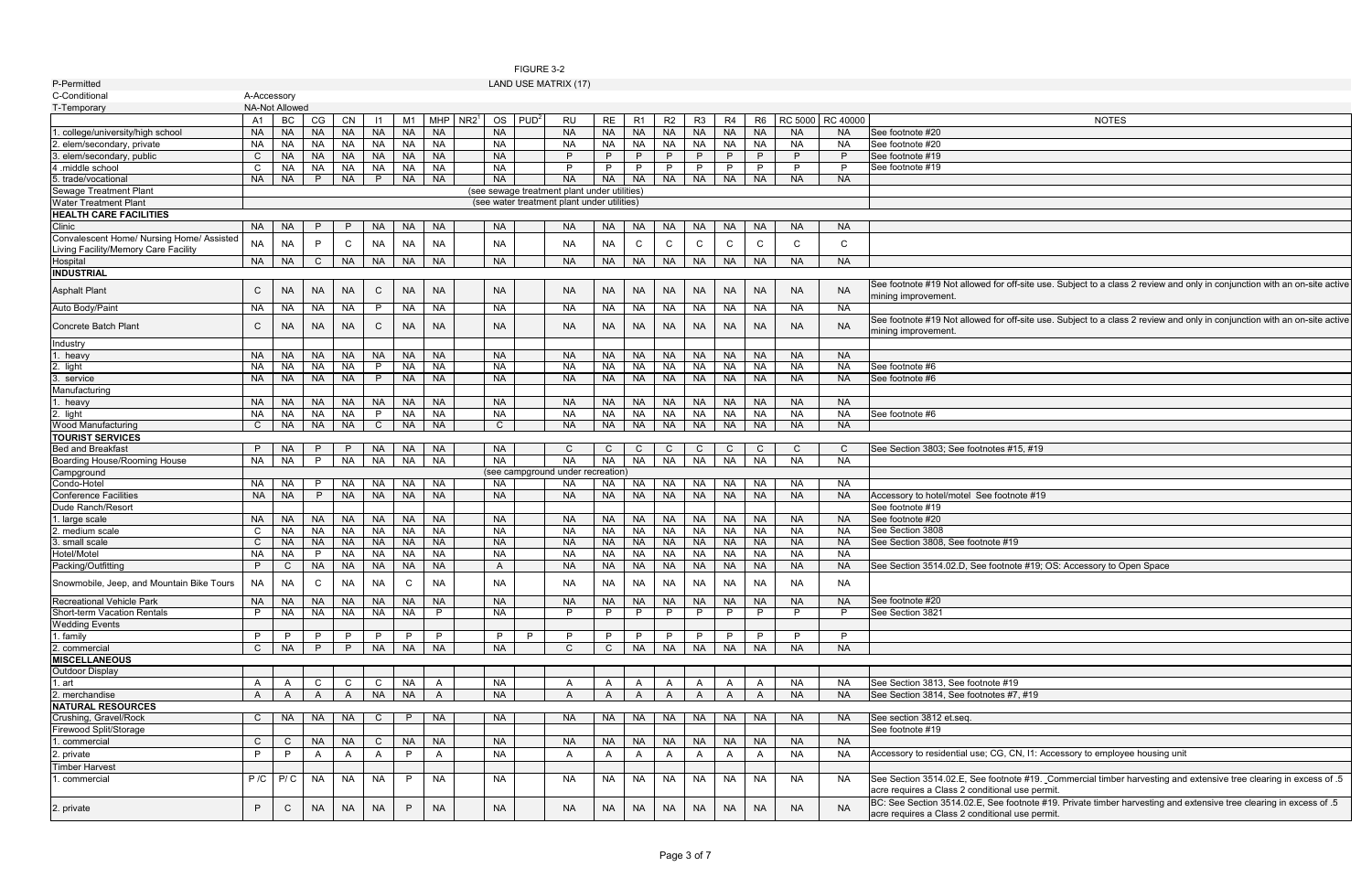## FIGURE 3-2

| <b>NOTES</b>                                                                             |
|------------------------------------------------------------------------------------------|
|                                                                                          |
|                                                                                          |
|                                                                                          |
|                                                                                          |
|                                                                                          |
|                                                                                          |
|                                                                                          |
|                                                                                          |
|                                                                                          |
|                                                                                          |
|                                                                                          |
|                                                                                          |
| off-site use. Subject to a class 2 review and only in conjunction with an on-site active |
|                                                                                          |
| off-site use. Subject to a class 2 review and only in conjunction with an on-site active |
|                                                                                          |
|                                                                                          |
|                                                                                          |
|                                                                                          |
|                                                                                          |
|                                                                                          |
|                                                                                          |
|                                                                                          |
|                                                                                          |
| #15, #19                                                                                 |
|                                                                                          |
|                                                                                          |
|                                                                                          |
| tnote #19                                                                                |
|                                                                                          |
|                                                                                          |
| !19                                                                                      |
|                                                                                          |
| note #19; OS: Accessory to Open Space                                                    |
|                                                                                          |
|                                                                                          |
|                                                                                          |
|                                                                                          |
|                                                                                          |
|                                                                                          |
|                                                                                          |
|                                                                                          |
|                                                                                          |
| $\overline{.19}$                                                                         |
| #7, #19                                                                                  |
|                                                                                          |
|                                                                                          |
|                                                                                          |
| CN, I1: Accessory to employee housing unit                                               |
|                                                                                          |
| note #19. Commercial timber harvesting and extensive tree clearing in excess of .5       |
|                                                                                          |

| A-Accessory<br><b>NA-Not Allowed</b><br>RC 5000 RC 40000<br>BC<br>CN<br>$NR2^1$<br>$PUD^2$<br>CG<br>M1<br>MHP<br>OS<br>RE<br>R3<br>R6<br><b>NOTES</b><br>A1<br>$\vert$ 11<br>RU<br>R1<br>R <sub>2</sub><br>R4<br><b>NA</b><br><b>NA</b><br><b>NA</b><br><b>NA</b><br><b>NA</b><br><b>NA</b><br><b>NA</b><br><b>NA</b><br><b>NA</b><br><b>NA</b><br>See footnote #20<br>. college/university/high school<br><b>NA</b><br><b>NA</b><br><b>NA</b><br><b>NA</b><br><b>NA</b><br><b>NA</b><br><b>NA</b><br><b>NA</b><br><b>NA</b><br><b>NA</b><br><b>NA</b><br><b>NA</b><br><b>NA</b><br>NA<br>NA<br><b>NA</b><br>See footnote #20<br>2. elem/secondary, private<br>NA I<br><b>NA</b><br>NA<br><b>NA</b><br>NA<br><b>NA</b><br>NA<br><b>NA</b><br>3. elem/secondary, public<br><b>NA</b><br><b>NA</b><br>NA I<br><b>NA</b><br><b>NA</b><br><b>NA</b><br>P.<br>See footnote #19<br>C<br>NA.<br>P<br>P<br>P<br>P<br>P<br>P.<br><b>NA</b><br>NA<br><b>NA</b><br>NA<br>NA<br>P.<br>P<br>NA<br><b>NA</b><br>P<br>P<br>P<br>P<br>P<br>P<br>$\mathsf{P}$<br>See footnote #19<br>4 .middle school<br>C<br><b>NA</b><br>P<br><b>NA</b><br><b>NA</b><br><b>NA</b><br><b>NA</b><br><b>NA</b><br><b>NA</b><br><b>NA</b><br><b>NA</b><br><b>NA</b><br><b>NA</b><br>NA I<br><b>NA</b><br><b>NA</b><br><b>NA</b><br>5. trade/vocational<br>$\mathsf{P}$<br><b>Sewage Treatment Plant</b><br>(see sewage treatment plant under utilities)<br><b>Water Treatment Plant</b><br>(see water treatment plant under utilities)<br><b>HEALTH CARE FACILITIES</b><br>Clinic<br>NA  <br>NA<br><b>NA</b><br>NA.<br><b>NA</b><br>NA.<br><b>NA</b><br><b>NA</b><br>NA.<br>NA.<br>NA.<br>NA.<br><b>NA</b><br>NA.<br>NA<br>Convalescent Home/ Nursing Home/ Assisted<br>$\mathsf{C}$<br><b>NA</b><br><b>NA</b><br><b>NA</b><br><b>NA</b><br>C<br>$\mathsf{C}$<br>C<br>C<br>C<br>$\mathsf{C}$<br>C<br>P<br><b>NA</b><br><b>NA</b><br>NA<br>NA.<br>Living Facility/Memory Care Facility<br><b>NA</b><br><b>NA</b><br><b>NA</b><br><b>NA</b><br><b>NA</b><br>NA<br><b>NA</b><br><b>NA</b><br>Hospital<br>NA NA<br>$\mathsf{C}$<br>NA.<br><b>NA</b><br><b>NA</b><br>NA .<br>NA.<br><b>NA</b><br><b>INDUSTRIAL</b><br>See footnote #19 Not allowed for off-site use. Subject to a class 2 review and only in conjunction with an on-site active<br>$\mathsf{C}$<br>$\mathsf{C}$<br><b>NA</b><br><b>NA</b><br><b>NA</b><br><b>NA</b><br><b>NA</b><br><b>NA</b><br><b>NA</b><br><b>NA</b><br><b>NA</b><br><b>NA</b><br><b>NA</b><br><b>NA</b><br><b>NA</b><br><b>NA</b><br>NA.<br>mining improvement.<br><b>NA</b><br>NA<br><b>NA</b><br>NA<br><b>NA</b><br><b>NA</b><br><b>NA</b><br>NA<br>NA I<br><b>NA</b><br>$\mathsf{P}$<br>NA.<br>NA<br>NA<br><b>NA</b><br><b>NA</b><br>NA<br>See footnote #19 Not allowed for off-site use. Subject to a class 2 review and only in conjunction with an on-site active<br><b>NA</b><br>$\mathsf{C}$<br><b>NA</b><br><b>NA</b><br><b>NA</b><br><b>NA</b><br><b>NA</b><br><b>NA</b><br>C<br>NA<br><b>NA</b><br>NA<br>NA.<br><b>NA</b><br>NA.<br><b>NA</b><br>NA.<br>mining improvement.<br>Industry<br><b>NA</b><br><b>NA</b><br><b>NA</b><br><b>NA</b><br><b>NA</b><br><b>NA</b><br><b>NA</b><br><b>NA</b><br><b>NA</b><br><b>NA</b><br><b>NA</b><br>NA I<br>NA<br><b>NA</b><br><b>NA</b><br><b>NA</b><br>NA.<br>1. heavy<br>2. light<br><b>NA</b><br>P<br><b>NA</b><br><b>NA</b><br><b>NA</b><br><b>NA</b><br><b>NA</b><br><b>NA</b><br><b>NA</b><br><b>NA</b><br><b>NA</b><br>See footnote #6<br><b>NA</b><br><b>NA</b><br><b>NA</b><br>NA<br><b>NA</b><br>NA I<br><b>NA</b><br><b>NA</b><br>P<br><b>NA</b><br>NA<br>NA<br><b>NA</b><br>NA<br>See footnote #6<br>NA I<br><b>NA</b><br><b>NA</b><br><b>NA</b><br><b>NA</b><br><b>NA</b><br><b>NA</b><br><b>NA</b><br>3. service<br>NA.<br>Manufacturing<br><b>NA</b><br><b>NA</b><br><b>NA</b><br><b>NA</b><br><b>NA</b><br><b>NA</b><br><b>NA</b><br><b>NA</b><br><b>NA</b><br><b>NA</b><br><b>NA</b><br><b>NA</b><br><b>NA</b><br><b>NA</b><br><b>NA</b><br>NA I<br><b>NA</b><br>1. heavy<br>$2.$ light<br><b>NA</b><br><b>NA</b><br>P<br><b>NA</b><br><b>NA</b><br><b>NA</b><br><b>NA</b><br>NA<br><b>NA</b><br><b>NA</b><br><b>NA</b><br>NA<br><b>NA</b><br>NA<br><b>NA</b><br><b>NA</b><br>See footnote #6<br>NA I<br><b>NA</b><br><b>NA</b><br>$\mathsf{C}$<br><b>NA</b><br>$\mathsf{C}$<br><b>NA</b><br><b>NA</b><br><b>Wood Manufacturing</b><br><b>NA</b><br><b>NA</b><br><b>NA</b><br><b>NA</b><br><b>NA</b><br><b>NA</b><br><b>NA</b><br><b>NA</b><br>C<br><b>NA</b><br><b>TOURIST SERVICES</b><br>See Section 3803; See footnotes #15, #19<br><b>Bed and Breakfast</b><br><b>NA</b><br>$\mathsf{P}$<br><b>NA</b><br><b>NA</b><br><b>NA</b><br><b>NA</b><br>$\mathbf C$<br>$\mathbf{C}$<br>C.<br>$\mathsf{P}$<br>C<br>$\mathsf{C}$<br>$\mathbf{C}$<br>C<br>C<br>P.<br><b>NA</b><br><b>NA</b><br><b>NA</b><br><b>NA</b><br><b>NA</b><br><b>NA</b><br><b>NA</b><br><b>Boarding House/Rooming House</b><br>NA<br>NA<br>NA<br>NA<br>NA<br><b>NA</b><br><b>NA</b><br>NA I<br>$\mathsf{P}$<br><b>NA</b><br>Campground<br>(see campground under recreation)<br>Condo-Hotel<br><b>NA</b><br><b>NA</b><br><b>NA</b><br>NA<br><b>NA</b><br>NA NA<br>$\mathsf{P}$<br><b>NA</b><br>NA<br><b>NA</b><br>NA<br>NA<br>NA<br>NA<br>NA<br><b>NA</b><br><b>NA</b><br><b>NA</b><br><b>NA</b><br><b>NA</b><br><b>NA</b><br><b>NA</b><br><b>NA</b><br><b>NA</b><br><b>Conference Facilities</b><br><b>NA</b><br><b>NA</b><br>P<br><b>NA</b><br><b>NA</b><br><b>NA</b><br><b>NA</b><br><b>NA</b><br><b>NA</b><br>Accessory to hotel/motel See footnote #19<br>Dude Ranch/Resort<br>See footnote #19<br>See footnote #20<br>NA I<br><b>NA</b><br><b>NA</b><br><b>NA</b><br>NA I<br><b>NA</b><br><b>NA</b><br><b>NA</b><br><b>NA</b><br><b>NA</b><br>NA I<br><b>NA</b><br><b>NA</b><br>NA NA<br><b>NA</b><br><b>NA</b><br>1. large scale<br><b>NA</b><br><b>NA</b><br><b>NA</b><br><b>NA</b><br><b>NA</b><br><b>NA</b><br><b>NA</b><br><b>NA</b><br><b>NA</b><br><b>NA</b><br><b>NA</b><br><b>NA</b><br><b>NA</b><br><b>NA</b><br>See Section 3808<br><b>NA</b><br><b>NA</b><br>2. medium scale<br>C<br><b>NA</b><br><b>NA</b><br><b>NA</b><br><b>NA</b><br><b>NA</b><br><b>NA</b><br><b>NA</b><br><b>NA</b><br><b>NA</b><br><b>NA</b><br><b>NA</b><br><b>NA</b><br><b>NA</b><br>See Section 3808, See footnote #19<br>3. small scale<br>C<br>NA.<br><b>NA</b><br><b>NA</b><br>Hotel/Motel<br><b>NA</b><br><b>NA</b><br>NA I<br><b>NA</b><br>NA<br><b>NA</b><br>NA<br><b>NA</b><br>NA<br><b>NA</b><br>NA<br><b>NA</b><br>NA<br>NA<br><b>NA</b><br><b>NA</b><br>$\mathsf{P}$<br><b>NA</b><br><b>NA</b><br>NA I<br><b>NA</b><br><b>NA</b><br><b>NA</b><br><b>NA</b><br><b>NA</b><br><b>NA</b><br><b>NA</b><br><b>NA</b><br><b>NA</b><br>See Section 3514.02.D, See footnote #19; OS: Accessory to Open Space<br>P.<br>C.<br>NA.<br><b>NA</b><br>$\overline{A}$<br>Snowmobile, Jeep, and Mountain Bike Tours   NA   NA   C<br>$\mathsf{C}$<br>NA NA<br><b>NA</b><br><b>NA</b><br>NA NA NA<br>NA<br><b>NA</b><br><b>NA</b><br>NA<br><b>Recreational Vehicle Park</b><br>NA NA NA NA<br>NA NA<br>NA<br><b>NA</b><br>NA NA<br>NA<br>NA NA<br>See footnote #20<br><b>NA</b><br><b>NA</b><br><b>NA</b><br><b>NA</b><br>Short-term Vacation Rentals<br>NA  <br><b>NA</b><br><b>NA</b><br>NA NA<br><b>NA</b><br>P.<br>P.<br>See Section 3821<br>P<br>$\mathsf{P}$<br>P<br>P.<br>P<br>P.<br>P<br>P<br>- 0<br><b>Wedding Events</b><br>. family<br>P<br>P<br>P<br>P<br>P<br>P<br>P.<br>P<br>P.<br>$\mathsf{P}$<br>P<br>P<br>P<br>$\mathsf{P}$<br>P.<br>P.<br>P.<br>P<br>NA NA<br>NA<br><b>NA</b><br>$\mathsf{C}$<br>NA<br>NA<br><b>NA</b><br><b>NA</b><br>NA<br><b>NA</b><br>2. commercial<br><b>NA</b><br>C<br><b>NA</b><br>$C \cup$<br>$\mathsf{P}$<br><b>MISCELLANEOUS</b><br>Outdoor Display<br>C NA<br>$\mathsf{C}$<br>$\mathsf{C}$<br><b>NA</b><br><b>NA</b><br>See Section 3813, See footnote #19<br>$1.$ art<br><b>A</b><br>$\mathsf{A}$<br><b>NA</b><br>A I<br>A<br>A<br>A I<br>$\mathsf{A}$<br>A<br>$\mathsf{A}$<br>A<br>NA NA<br>A<br><b>NA</b><br><b>NA</b><br>See Section 3814, See footnotes #7, #19<br>2. merchandise<br>$\mathsf{A}$<br>$\overline{A}$<br>$\mathsf{A}$<br>$\mathsf{A}$<br>A<br>$\mathsf{A}$<br>$\mathsf{A}$<br>A<br>$\mathsf{A}$<br>$\mathsf{A}$<br>NA.<br>A<br><b>NATURAL RESOURCES</b><br>Crushing, Gravel/Rock<br><b>NA</b><br><b>NA</b><br><b>NA</b><br>$\mathbf C$<br>$\mathsf{P}$<br><b>NA</b><br><b>NA</b><br><b>NA</b><br><b>NA</b><br><b>NA</b><br><b>NA</b><br>See section 3812 et seq.<br>NA<br><b>NA</b><br>NA<br><b>NA</b><br>NA<br>$\mathbf{C}$<br>Firewood Split/Storage<br>See footnote #19<br>1. commercial<br><b>NA</b><br>$\mathsf{C}$<br><b>NA</b><br><b>NA</b><br><b>NA</b><br><b>NA</b><br><b>NA</b><br><b>NA</b><br><b>NA</b><br><b>NA</b><br><b>NA</b><br>$\mathsf{C}$<br><b>NA</b><br>NA.<br><b>NA</b><br>NA I<br>$\mathsf{C}$  <br>Accessory to residential use; CG, CN, I1: Accessory to employee housing unit<br>P<br><b>NA</b><br>P<br>$\mathsf{P}$<br><b>NA</b><br><b>NA</b><br>$\mathsf{A}$<br>$\mathsf{A}$<br>$\mathsf{A}$<br>A<br>A<br>$\overline{A}$<br>A<br>A<br>A<br>A<br><b>Timber Harvest</b><br>$P/C$ $P/C$ $NA$<br><b>NA</b><br>NA<br><b>NA</b><br><b>NA</b><br>NA<br>NA<br>NA<br>NA<br>See Section 3514.02.E, See footnote #19. Commercial timber harvesting and extensive tree clearing in excess of .5<br>P<br><b>NA</b><br><b>NA</b><br>NA<br><b>NA</b><br>NA<br>. commercial<br>acre requires a Class 2 conditional use permit.<br>BC: See Section 3514.02.E, See footnote #19. Private timber harvesting and extensive tree clearing in excess of .5<br>$\mathsf{C}$<br>$\sf NA$<br>P<br><b>NA</b><br>P.<br><b>NA</b><br><b>NA</b><br><b>NA</b><br><b>NA</b><br><b>NA</b><br><b>NA</b><br><b>NA</b><br><b>NA</b><br><b>NA</b><br>NA<br><b>NA</b><br><b>NA</b><br>acre requires a Class 2 conditional use permit. | P-Permitted          |  |  |  |  |  | LAND USE MATRIX (17) |  |  |  |  |  |
|-------------------------------------------------------------------------------------------------------------------------------------------------------------------------------------------------------------------------------------------------------------------------------------------------------------------------------------------------------------------------------------------------------------------------------------------------------------------------------------------------------------------------------------------------------------------------------------------------------------------------------------------------------------------------------------------------------------------------------------------------------------------------------------------------------------------------------------------------------------------------------------------------------------------------------------------------------------------------------------------------------------------------------------------------------------------------------------------------------------------------------------------------------------------------------------------------------------------------------------------------------------------------------------------------------------------------------------------------------------------------------------------------------------------------------------------------------------------------------------------------------------------------------------------------------------------------------------------------------------------------------------------------------------------------------------------------------------------------------------------------------------------------------------------------------------------------------------------------------------------------------------------------------------------------------------------------------------------------------------------------------------------------------------------------------------------------------------------------------------------------------------------------------------------------------------------------------------------------------------------------------------------------------------------------------------------------------------------------------------------------------------------------------------------------------------------------------------------------------------------------------------------------------------------------------------------------------------------------------------------------------------------------------------------------------------------------------------------------------------------------------------------------------------------------------------------------------------------------------------------------------------------------------------------------------------------------------------------------------------------------------------------------------------------------------------------------------------------------------------------------------------------------------------------------------------------------------------------------------------------------------------------------------------------------------------------------------------------------------------------------------------------------------------------------------------------------------------------------------------------------------------------------------------------------------------------------------------------------------------------------------------------------------------------------------------------------------------------------------------------------------------------------------------------------------------------------------------------------------------------------------------------------------------------------------------------------------------------------------------------------------------------------------------------------------------------------------------------------------------------------------------------------------------------------------------------------------------------------------------------------------------------------------------------------------------------------------------------------------------------------------------------------------------------------------------------------------------------------------------------------------------------------------------------------------------------------------------------------------------------------------------------------------------------------------------------------------------------------------------------------------------------------------------------------------------------------------------------------------------------------------------------------------------------------------------------------------------------------------------------------------------------------------------------------------------------------------------------------------------------------------------------------------------------------------------------------------------------------------------------------------------------------------------------------------------------------------------------------------------------------------------------------------------------------------------------------------------------------------------------------------------------------------------------------------------------------------------------------------------------------------------------------------------------------------------------------------------------------------------------------------------------------------------------------------------------------------------------------------------------------------------------------------------------------------------------------------------------------------------------------------------------------------------------------------------------------------------------------------------------------------------------------------------------------------------------------------------------------------------------------------------------------------------------------------------------------------------------------------------------------------------------------------------------------------------------------------------------------------------------------------------------------------------------------------------------------------------------------------------------------------------------------------------------------------------------------------------------------------------------------------------------------------------------------------------------------------------------------------------------------------------------------------------------------------------------------------------------------------------------------------------------------------------------------------------------------------------------------------------------------------------------------------------------------------------------------------------------------------------------------------------------------------------------------------------------------------------------------------------------------------------------------------------------------------------------------------------------------------------------------------------------------------------------------------------------------------------------------------------------------------------------------------------------------------------------------------------------------------------------------------------------------------------------------------------------------------------------------------------------------------------------------------------------------------------------------------------------------------------------------------------------------------------------------------------------------------------------------------------------------------------------------------------------------------------------------------------------------------------------------------------------------------------------------------------------------------------------------------------------------------------------------------------------------------------------------------------------------------------------------------------------------------------------------------------------------------------------------------------------------------------------------------------------------------------------------------------------------------------------------------------------------------------------------------------------------------------------------------------------------------------------------------------------------------------------------------------------------------------------------------------------------------------------------------------------------------------------------------------------------------------------------------------------------------------------------------------------------------------------------------------------------------------------------------------------------------------------------------------------------------------------------------------------------------------------------------------------------------------------------------------------------------------------------------------------------------------------------------------------------------------------------------------------------------------------------------------------------------------------------------------------------------------------------------------------------------------------------------------------------------------------------------------------|----------------------|--|--|--|--|--|----------------------|--|--|--|--|--|
|                                                                                                                                                                                                                                                                                                                                                                                                                                                                                                                                                                                                                                                                                                                                                                                                                                                                                                                                                                                                                                                                                                                                                                                                                                                                                                                                                                                                                                                                                                                                                                                                                                                                                                                                                                                                                                                                                                                                                                                                                                                                                                                                                                                                                                                                                                                                                                                                                                                                                                                                                                                                                                                                                                                                                                                                                                                                                                                                                                                                                                                                                                                                                                                                                                                                                                                                                                                                                                                                                                                                                                                                                                                                                                                                                                                                                                                                                                                                                                                                                                                                                                                                                                                                                                                                                                                                                                                                                                                                                                                                                                                                                                                                                                                                                                                                                                                                                                                                                                                                                                                                                                                                                                                                                                                                                                                                                                                                                                                                                                                                                                                                                                                                                                                                                                                                                                                                                                                                                                                                                                                                                                                                                                                                                                                                                                                                                                                                                                                                                                                                                                                                                                                                                                                                                                                                                                                                                                                                                                                                                                                                                                                                                                                                                                                                                                                                                                                                                                                                                                                                                                                                                                                                                                                                                                                                                                                                                                                                                                                                                                                                                                                                                                                                                                                                                                                                                                                                                                                                                                                                                                                                                                                                                                                                                                                                                                                                                                                                                                                                                                                                                                                                                                                                                                                                                                                                                                                                                                                                                                                                                                                                                                                                                                                                                                                                                                                                                                                   | C-Conditional        |  |  |  |  |  |                      |  |  |  |  |  |
|                                                                                                                                                                                                                                                                                                                                                                                                                                                                                                                                                                                                                                                                                                                                                                                                                                                                                                                                                                                                                                                                                                                                                                                                                                                                                                                                                                                                                                                                                                                                                                                                                                                                                                                                                                                                                                                                                                                                                                                                                                                                                                                                                                                                                                                                                                                                                                                                                                                                                                                                                                                                                                                                                                                                                                                                                                                                                                                                                                                                                                                                                                                                                                                                                                                                                                                                                                                                                                                                                                                                                                                                                                                                                                                                                                                                                                                                                                                                                                                                                                                                                                                                                                                                                                                                                                                                                                                                                                                                                                                                                                                                                                                                                                                                                                                                                                                                                                                                                                                                                                                                                                                                                                                                                                                                                                                                                                                                                                                                                                                                                                                                                                                                                                                                                                                                                                                                                                                                                                                                                                                                                                                                                                                                                                                                                                                                                                                                                                                                                                                                                                                                                                                                                                                                                                                                                                                                                                                                                                                                                                                                                                                                                                                                                                                                                                                                                                                                                                                                                                                                                                                                                                                                                                                                                                                                                                                                                                                                                                                                                                                                                                                                                                                                                                                                                                                                                                                                                                                                                                                                                                                                                                                                                                                                                                                                                                                                                                                                                                                                                                                                                                                                                                                                                                                                                                                                                                                                                                                                                                                                                                                                                                                                                                                                                                                                                                                                                                                   | T-Temporary          |  |  |  |  |  |                      |  |  |  |  |  |
|                                                                                                                                                                                                                                                                                                                                                                                                                                                                                                                                                                                                                                                                                                                                                                                                                                                                                                                                                                                                                                                                                                                                                                                                                                                                                                                                                                                                                                                                                                                                                                                                                                                                                                                                                                                                                                                                                                                                                                                                                                                                                                                                                                                                                                                                                                                                                                                                                                                                                                                                                                                                                                                                                                                                                                                                                                                                                                                                                                                                                                                                                                                                                                                                                                                                                                                                                                                                                                                                                                                                                                                                                                                                                                                                                                                                                                                                                                                                                                                                                                                                                                                                                                                                                                                                                                                                                                                                                                                                                                                                                                                                                                                                                                                                                                                                                                                                                                                                                                                                                                                                                                                                                                                                                                                                                                                                                                                                                                                                                                                                                                                                                                                                                                                                                                                                                                                                                                                                                                                                                                                                                                                                                                                                                                                                                                                                                                                                                                                                                                                                                                                                                                                                                                                                                                                                                                                                                                                                                                                                                                                                                                                                                                                                                                                                                                                                                                                                                                                                                                                                                                                                                                                                                                                                                                                                                                                                                                                                                                                                                                                                                                                                                                                                                                                                                                                                                                                                                                                                                                                                                                                                                                                                                                                                                                                                                                                                                                                                                                                                                                                                                                                                                                                                                                                                                                                                                                                                                                                                                                                                                                                                                                                                                                                                                                                                                                                                                                                   |                      |  |  |  |  |  |                      |  |  |  |  |  |
|                                                                                                                                                                                                                                                                                                                                                                                                                                                                                                                                                                                                                                                                                                                                                                                                                                                                                                                                                                                                                                                                                                                                                                                                                                                                                                                                                                                                                                                                                                                                                                                                                                                                                                                                                                                                                                                                                                                                                                                                                                                                                                                                                                                                                                                                                                                                                                                                                                                                                                                                                                                                                                                                                                                                                                                                                                                                                                                                                                                                                                                                                                                                                                                                                                                                                                                                                                                                                                                                                                                                                                                                                                                                                                                                                                                                                                                                                                                                                                                                                                                                                                                                                                                                                                                                                                                                                                                                                                                                                                                                                                                                                                                                                                                                                                                                                                                                                                                                                                                                                                                                                                                                                                                                                                                                                                                                                                                                                                                                                                                                                                                                                                                                                                                                                                                                                                                                                                                                                                                                                                                                                                                                                                                                                                                                                                                                                                                                                                                                                                                                                                                                                                                                                                                                                                                                                                                                                                                                                                                                                                                                                                                                                                                                                                                                                                                                                                                                                                                                                                                                                                                                                                                                                                                                                                                                                                                                                                                                                                                                                                                                                                                                                                                                                                                                                                                                                                                                                                                                                                                                                                                                                                                                                                                                                                                                                                                                                                                                                                                                                                                                                                                                                                                                                                                                                                                                                                                                                                                                                                                                                                                                                                                                                                                                                                                                                                                                                                                   |                      |  |  |  |  |  |                      |  |  |  |  |  |
|                                                                                                                                                                                                                                                                                                                                                                                                                                                                                                                                                                                                                                                                                                                                                                                                                                                                                                                                                                                                                                                                                                                                                                                                                                                                                                                                                                                                                                                                                                                                                                                                                                                                                                                                                                                                                                                                                                                                                                                                                                                                                                                                                                                                                                                                                                                                                                                                                                                                                                                                                                                                                                                                                                                                                                                                                                                                                                                                                                                                                                                                                                                                                                                                                                                                                                                                                                                                                                                                                                                                                                                                                                                                                                                                                                                                                                                                                                                                                                                                                                                                                                                                                                                                                                                                                                                                                                                                                                                                                                                                                                                                                                                                                                                                                                                                                                                                                                                                                                                                                                                                                                                                                                                                                                                                                                                                                                                                                                                                                                                                                                                                                                                                                                                                                                                                                                                                                                                                                                                                                                                                                                                                                                                                                                                                                                                                                                                                                                                                                                                                                                                                                                                                                                                                                                                                                                                                                                                                                                                                                                                                                                                                                                                                                                                                                                                                                                                                                                                                                                                                                                                                                                                                                                                                                                                                                                                                                                                                                                                                                                                                                                                                                                                                                                                                                                                                                                                                                                                                                                                                                                                                                                                                                                                                                                                                                                                                                                                                                                                                                                                                                                                                                                                                                                                                                                                                                                                                                                                                                                                                                                                                                                                                                                                                                                                                                                                                                                                   |                      |  |  |  |  |  |                      |  |  |  |  |  |
|                                                                                                                                                                                                                                                                                                                                                                                                                                                                                                                                                                                                                                                                                                                                                                                                                                                                                                                                                                                                                                                                                                                                                                                                                                                                                                                                                                                                                                                                                                                                                                                                                                                                                                                                                                                                                                                                                                                                                                                                                                                                                                                                                                                                                                                                                                                                                                                                                                                                                                                                                                                                                                                                                                                                                                                                                                                                                                                                                                                                                                                                                                                                                                                                                                                                                                                                                                                                                                                                                                                                                                                                                                                                                                                                                                                                                                                                                                                                                                                                                                                                                                                                                                                                                                                                                                                                                                                                                                                                                                                                                                                                                                                                                                                                                                                                                                                                                                                                                                                                                                                                                                                                                                                                                                                                                                                                                                                                                                                                                                                                                                                                                                                                                                                                                                                                                                                                                                                                                                                                                                                                                                                                                                                                                                                                                                                                                                                                                                                                                                                                                                                                                                                                                                                                                                                                                                                                                                                                                                                                                                                                                                                                                                                                                                                                                                                                                                                                                                                                                                                                                                                                                                                                                                                                                                                                                                                                                                                                                                                                                                                                                                                                                                                                                                                                                                                                                                                                                                                                                                                                                                                                                                                                                                                                                                                                                                                                                                                                                                                                                                                                                                                                                                                                                                                                                                                                                                                                                                                                                                                                                                                                                                                                                                                                                                                                                                                                                                                   |                      |  |  |  |  |  |                      |  |  |  |  |  |
|                                                                                                                                                                                                                                                                                                                                                                                                                                                                                                                                                                                                                                                                                                                                                                                                                                                                                                                                                                                                                                                                                                                                                                                                                                                                                                                                                                                                                                                                                                                                                                                                                                                                                                                                                                                                                                                                                                                                                                                                                                                                                                                                                                                                                                                                                                                                                                                                                                                                                                                                                                                                                                                                                                                                                                                                                                                                                                                                                                                                                                                                                                                                                                                                                                                                                                                                                                                                                                                                                                                                                                                                                                                                                                                                                                                                                                                                                                                                                                                                                                                                                                                                                                                                                                                                                                                                                                                                                                                                                                                                                                                                                                                                                                                                                                                                                                                                                                                                                                                                                                                                                                                                                                                                                                                                                                                                                                                                                                                                                                                                                                                                                                                                                                                                                                                                                                                                                                                                                                                                                                                                                                                                                                                                                                                                                                                                                                                                                                                                                                                                                                                                                                                                                                                                                                                                                                                                                                                                                                                                                                                                                                                                                                                                                                                                                                                                                                                                                                                                                                                                                                                                                                                                                                                                                                                                                                                                                                                                                                                                                                                                                                                                                                                                                                                                                                                                                                                                                                                                                                                                                                                                                                                                                                                                                                                                                                                                                                                                                                                                                                                                                                                                                                                                                                                                                                                                                                                                                                                                                                                                                                                                                                                                                                                                                                                                                                                                                                                   |                      |  |  |  |  |  |                      |  |  |  |  |  |
|                                                                                                                                                                                                                                                                                                                                                                                                                                                                                                                                                                                                                                                                                                                                                                                                                                                                                                                                                                                                                                                                                                                                                                                                                                                                                                                                                                                                                                                                                                                                                                                                                                                                                                                                                                                                                                                                                                                                                                                                                                                                                                                                                                                                                                                                                                                                                                                                                                                                                                                                                                                                                                                                                                                                                                                                                                                                                                                                                                                                                                                                                                                                                                                                                                                                                                                                                                                                                                                                                                                                                                                                                                                                                                                                                                                                                                                                                                                                                                                                                                                                                                                                                                                                                                                                                                                                                                                                                                                                                                                                                                                                                                                                                                                                                                                                                                                                                                                                                                                                                                                                                                                                                                                                                                                                                                                                                                                                                                                                                                                                                                                                                                                                                                                                                                                                                                                                                                                                                                                                                                                                                                                                                                                                                                                                                                                                                                                                                                                                                                                                                                                                                                                                                                                                                                                                                                                                                                                                                                                                                                                                                                                                                                                                                                                                                                                                                                                                                                                                                                                                                                                                                                                                                                                                                                                                                                                                                                                                                                                                                                                                                                                                                                                                                                                                                                                                                                                                                                                                                                                                                                                                                                                                                                                                                                                                                                                                                                                                                                                                                                                                                                                                                                                                                                                                                                                                                                                                                                                                                                                                                                                                                                                                                                                                                                                                                                                                                                                   |                      |  |  |  |  |  |                      |  |  |  |  |  |
|                                                                                                                                                                                                                                                                                                                                                                                                                                                                                                                                                                                                                                                                                                                                                                                                                                                                                                                                                                                                                                                                                                                                                                                                                                                                                                                                                                                                                                                                                                                                                                                                                                                                                                                                                                                                                                                                                                                                                                                                                                                                                                                                                                                                                                                                                                                                                                                                                                                                                                                                                                                                                                                                                                                                                                                                                                                                                                                                                                                                                                                                                                                                                                                                                                                                                                                                                                                                                                                                                                                                                                                                                                                                                                                                                                                                                                                                                                                                                                                                                                                                                                                                                                                                                                                                                                                                                                                                                                                                                                                                                                                                                                                                                                                                                                                                                                                                                                                                                                                                                                                                                                                                                                                                                                                                                                                                                                                                                                                                                                                                                                                                                                                                                                                                                                                                                                                                                                                                                                                                                                                                                                                                                                                                                                                                                                                                                                                                                                                                                                                                                                                                                                                                                                                                                                                                                                                                                                                                                                                                                                                                                                                                                                                                                                                                                                                                                                                                                                                                                                                                                                                                                                                                                                                                                                                                                                                                                                                                                                                                                                                                                                                                                                                                                                                                                                                                                                                                                                                                                                                                                                                                                                                                                                                                                                                                                                                                                                                                                                                                                                                                                                                                                                                                                                                                                                                                                                                                                                                                                                                                                                                                                                                                                                                                                                                                                                                                                                                   |                      |  |  |  |  |  |                      |  |  |  |  |  |
|                                                                                                                                                                                                                                                                                                                                                                                                                                                                                                                                                                                                                                                                                                                                                                                                                                                                                                                                                                                                                                                                                                                                                                                                                                                                                                                                                                                                                                                                                                                                                                                                                                                                                                                                                                                                                                                                                                                                                                                                                                                                                                                                                                                                                                                                                                                                                                                                                                                                                                                                                                                                                                                                                                                                                                                                                                                                                                                                                                                                                                                                                                                                                                                                                                                                                                                                                                                                                                                                                                                                                                                                                                                                                                                                                                                                                                                                                                                                                                                                                                                                                                                                                                                                                                                                                                                                                                                                                                                                                                                                                                                                                                                                                                                                                                                                                                                                                                                                                                                                                                                                                                                                                                                                                                                                                                                                                                                                                                                                                                                                                                                                                                                                                                                                                                                                                                                                                                                                                                                                                                                                                                                                                                                                                                                                                                                                                                                                                                                                                                                                                                                                                                                                                                                                                                                                                                                                                                                                                                                                                                                                                                                                                                                                                                                                                                                                                                                                                                                                                                                                                                                                                                                                                                                                                                                                                                                                                                                                                                                                                                                                                                                                                                                                                                                                                                                                                                                                                                                                                                                                                                                                                                                                                                                                                                                                                                                                                                                                                                                                                                                                                                                                                                                                                                                                                                                                                                                                                                                                                                                                                                                                                                                                                                                                                                                                                                                                                                                   |                      |  |  |  |  |  |                      |  |  |  |  |  |
|                                                                                                                                                                                                                                                                                                                                                                                                                                                                                                                                                                                                                                                                                                                                                                                                                                                                                                                                                                                                                                                                                                                                                                                                                                                                                                                                                                                                                                                                                                                                                                                                                                                                                                                                                                                                                                                                                                                                                                                                                                                                                                                                                                                                                                                                                                                                                                                                                                                                                                                                                                                                                                                                                                                                                                                                                                                                                                                                                                                                                                                                                                                                                                                                                                                                                                                                                                                                                                                                                                                                                                                                                                                                                                                                                                                                                                                                                                                                                                                                                                                                                                                                                                                                                                                                                                                                                                                                                                                                                                                                                                                                                                                                                                                                                                                                                                                                                                                                                                                                                                                                                                                                                                                                                                                                                                                                                                                                                                                                                                                                                                                                                                                                                                                                                                                                                                                                                                                                                                                                                                                                                                                                                                                                                                                                                                                                                                                                                                                                                                                                                                                                                                                                                                                                                                                                                                                                                                                                                                                                                                                                                                                                                                                                                                                                                                                                                                                                                                                                                                                                                                                                                                                                                                                                                                                                                                                                                                                                                                                                                                                                                                                                                                                                                                                                                                                                                                                                                                                                                                                                                                                                                                                                                                                                                                                                                                                                                                                                                                                                                                                                                                                                                                                                                                                                                                                                                                                                                                                                                                                                                                                                                                                                                                                                                                                                                                                                                                                   |                      |  |  |  |  |  |                      |  |  |  |  |  |
|                                                                                                                                                                                                                                                                                                                                                                                                                                                                                                                                                                                                                                                                                                                                                                                                                                                                                                                                                                                                                                                                                                                                                                                                                                                                                                                                                                                                                                                                                                                                                                                                                                                                                                                                                                                                                                                                                                                                                                                                                                                                                                                                                                                                                                                                                                                                                                                                                                                                                                                                                                                                                                                                                                                                                                                                                                                                                                                                                                                                                                                                                                                                                                                                                                                                                                                                                                                                                                                                                                                                                                                                                                                                                                                                                                                                                                                                                                                                                                                                                                                                                                                                                                                                                                                                                                                                                                                                                                                                                                                                                                                                                                                                                                                                                                                                                                                                                                                                                                                                                                                                                                                                                                                                                                                                                                                                                                                                                                                                                                                                                                                                                                                                                                                                                                                                                                                                                                                                                                                                                                                                                                                                                                                                                                                                                                                                                                                                                                                                                                                                                                                                                                                                                                                                                                                                                                                                                                                                                                                                                                                                                                                                                                                                                                                                                                                                                                                                                                                                                                                                                                                                                                                                                                                                                                                                                                                                                                                                                                                                                                                                                                                                                                                                                                                                                                                                                                                                                                                                                                                                                                                                                                                                                                                                                                                                                                                                                                                                                                                                                                                                                                                                                                                                                                                                                                                                                                                                                                                                                                                                                                                                                                                                                                                                                                                                                                                                                                                   |                      |  |  |  |  |  |                      |  |  |  |  |  |
|                                                                                                                                                                                                                                                                                                                                                                                                                                                                                                                                                                                                                                                                                                                                                                                                                                                                                                                                                                                                                                                                                                                                                                                                                                                                                                                                                                                                                                                                                                                                                                                                                                                                                                                                                                                                                                                                                                                                                                                                                                                                                                                                                                                                                                                                                                                                                                                                                                                                                                                                                                                                                                                                                                                                                                                                                                                                                                                                                                                                                                                                                                                                                                                                                                                                                                                                                                                                                                                                                                                                                                                                                                                                                                                                                                                                                                                                                                                                                                                                                                                                                                                                                                                                                                                                                                                                                                                                                                                                                                                                                                                                                                                                                                                                                                                                                                                                                                                                                                                                                                                                                                                                                                                                                                                                                                                                                                                                                                                                                                                                                                                                                                                                                                                                                                                                                                                                                                                                                                                                                                                                                                                                                                                                                                                                                                                                                                                                                                                                                                                                                                                                                                                                                                                                                                                                                                                                                                                                                                                                                                                                                                                                                                                                                                                                                                                                                                                                                                                                                                                                                                                                                                                                                                                                                                                                                                                                                                                                                                                                                                                                                                                                                                                                                                                                                                                                                                                                                                                                                                                                                                                                                                                                                                                                                                                                                                                                                                                                                                                                                                                                                                                                                                                                                                                                                                                                                                                                                                                                                                                                                                                                                                                                                                                                                                                                                                                                                                                   |                      |  |  |  |  |  |                      |  |  |  |  |  |
|                                                                                                                                                                                                                                                                                                                                                                                                                                                                                                                                                                                                                                                                                                                                                                                                                                                                                                                                                                                                                                                                                                                                                                                                                                                                                                                                                                                                                                                                                                                                                                                                                                                                                                                                                                                                                                                                                                                                                                                                                                                                                                                                                                                                                                                                                                                                                                                                                                                                                                                                                                                                                                                                                                                                                                                                                                                                                                                                                                                                                                                                                                                                                                                                                                                                                                                                                                                                                                                                                                                                                                                                                                                                                                                                                                                                                                                                                                                                                                                                                                                                                                                                                                                                                                                                                                                                                                                                                                                                                                                                                                                                                                                                                                                                                                                                                                                                                                                                                                                                                                                                                                                                                                                                                                                                                                                                                                                                                                                                                                                                                                                                                                                                                                                                                                                                                                                                                                                                                                                                                                                                                                                                                                                                                                                                                                                                                                                                                                                                                                                                                                                                                                                                                                                                                                                                                                                                                                                                                                                                                                                                                                                                                                                                                                                                                                                                                                                                                                                                                                                                                                                                                                                                                                                                                                                                                                                                                                                                                                                                                                                                                                                                                                                                                                                                                                                                                                                                                                                                                                                                                                                                                                                                                                                                                                                                                                                                                                                                                                                                                                                                                                                                                                                                                                                                                                                                                                                                                                                                                                                                                                                                                                                                                                                                                                                                                                                                                                                   |                      |  |  |  |  |  |                      |  |  |  |  |  |
|                                                                                                                                                                                                                                                                                                                                                                                                                                                                                                                                                                                                                                                                                                                                                                                                                                                                                                                                                                                                                                                                                                                                                                                                                                                                                                                                                                                                                                                                                                                                                                                                                                                                                                                                                                                                                                                                                                                                                                                                                                                                                                                                                                                                                                                                                                                                                                                                                                                                                                                                                                                                                                                                                                                                                                                                                                                                                                                                                                                                                                                                                                                                                                                                                                                                                                                                                                                                                                                                                                                                                                                                                                                                                                                                                                                                                                                                                                                                                                                                                                                                                                                                                                                                                                                                                                                                                                                                                                                                                                                                                                                                                                                                                                                                                                                                                                                                                                                                                                                                                                                                                                                                                                                                                                                                                                                                                                                                                                                                                                                                                                                                                                                                                                                                                                                                                                                                                                                                                                                                                                                                                                                                                                                                                                                                                                                                                                                                                                                                                                                                                                                                                                                                                                                                                                                                                                                                                                                                                                                                                                                                                                                                                                                                                                                                                                                                                                                                                                                                                                                                                                                                                                                                                                                                                                                                                                                                                                                                                                                                                                                                                                                                                                                                                                                                                                                                                                                                                                                                                                                                                                                                                                                                                                                                                                                                                                                                                                                                                                                                                                                                                                                                                                                                                                                                                                                                                                                                                                                                                                                                                                                                                                                                                                                                                                                                                                                                                                                   |                      |  |  |  |  |  |                      |  |  |  |  |  |
|                                                                                                                                                                                                                                                                                                                                                                                                                                                                                                                                                                                                                                                                                                                                                                                                                                                                                                                                                                                                                                                                                                                                                                                                                                                                                                                                                                                                                                                                                                                                                                                                                                                                                                                                                                                                                                                                                                                                                                                                                                                                                                                                                                                                                                                                                                                                                                                                                                                                                                                                                                                                                                                                                                                                                                                                                                                                                                                                                                                                                                                                                                                                                                                                                                                                                                                                                                                                                                                                                                                                                                                                                                                                                                                                                                                                                                                                                                                                                                                                                                                                                                                                                                                                                                                                                                                                                                                                                                                                                                                                                                                                                                                                                                                                                                                                                                                                                                                                                                                                                                                                                                                                                                                                                                                                                                                                                                                                                                                                                                                                                                                                                                                                                                                                                                                                                                                                                                                                                                                                                                                                                                                                                                                                                                                                                                                                                                                                                                                                                                                                                                                                                                                                                                                                                                                                                                                                                                                                                                                                                                                                                                                                                                                                                                                                                                                                                                                                                                                                                                                                                                                                                                                                                                                                                                                                                                                                                                                                                                                                                                                                                                                                                                                                                                                                                                                                                                                                                                                                                                                                                                                                                                                                                                                                                                                                                                                                                                                                                                                                                                                                                                                                                                                                                                                                                                                                                                                                                                                                                                                                                                                                                                                                                                                                                                                                                                                                                                                   |                      |  |  |  |  |  |                      |  |  |  |  |  |
|                                                                                                                                                                                                                                                                                                                                                                                                                                                                                                                                                                                                                                                                                                                                                                                                                                                                                                                                                                                                                                                                                                                                                                                                                                                                                                                                                                                                                                                                                                                                                                                                                                                                                                                                                                                                                                                                                                                                                                                                                                                                                                                                                                                                                                                                                                                                                                                                                                                                                                                                                                                                                                                                                                                                                                                                                                                                                                                                                                                                                                                                                                                                                                                                                                                                                                                                                                                                                                                                                                                                                                                                                                                                                                                                                                                                                                                                                                                                                                                                                                                                                                                                                                                                                                                                                                                                                                                                                                                                                                                                                                                                                                                                                                                                                                                                                                                                                                                                                                                                                                                                                                                                                                                                                                                                                                                                                                                                                                                                                                                                                                                                                                                                                                                                                                                                                                                                                                                                                                                                                                                                                                                                                                                                                                                                                                                                                                                                                                                                                                                                                                                                                                                                                                                                                                                                                                                                                                                                                                                                                                                                                                                                                                                                                                                                                                                                                                                                                                                                                                                                                                                                                                                                                                                                                                                                                                                                                                                                                                                                                                                                                                                                                                                                                                                                                                                                                                                                                                                                                                                                                                                                                                                                                                                                                                                                                                                                                                                                                                                                                                                                                                                                                                                                                                                                                                                                                                                                                                                                                                                                                                                                                                                                                                                                                                                                                                                                                                                   |                      |  |  |  |  |  |                      |  |  |  |  |  |
|                                                                                                                                                                                                                                                                                                                                                                                                                                                                                                                                                                                                                                                                                                                                                                                                                                                                                                                                                                                                                                                                                                                                                                                                                                                                                                                                                                                                                                                                                                                                                                                                                                                                                                                                                                                                                                                                                                                                                                                                                                                                                                                                                                                                                                                                                                                                                                                                                                                                                                                                                                                                                                                                                                                                                                                                                                                                                                                                                                                                                                                                                                                                                                                                                                                                                                                                                                                                                                                                                                                                                                                                                                                                                                                                                                                                                                                                                                                                                                                                                                                                                                                                                                                                                                                                                                                                                                                                                                                                                                                                                                                                                                                                                                                                                                                                                                                                                                                                                                                                                                                                                                                                                                                                                                                                                                                                                                                                                                                                                                                                                                                                                                                                                                                                                                                                                                                                                                                                                                                                                                                                                                                                                                                                                                                                                                                                                                                                                                                                                                                                                                                                                                                                                                                                                                                                                                                                                                                                                                                                                                                                                                                                                                                                                                                                                                                                                                                                                                                                                                                                                                                                                                                                                                                                                                                                                                                                                                                                                                                                                                                                                                                                                                                                                                                                                                                                                                                                                                                                                                                                                                                                                                                                                                                                                                                                                                                                                                                                                                                                                                                                                                                                                                                                                                                                                                                                                                                                                                                                                                                                                                                                                                                                                                                                                                                                                                                                                                                   | <b>Asphalt Plant</b> |  |  |  |  |  |                      |  |  |  |  |  |
|                                                                                                                                                                                                                                                                                                                                                                                                                                                                                                                                                                                                                                                                                                                                                                                                                                                                                                                                                                                                                                                                                                                                                                                                                                                                                                                                                                                                                                                                                                                                                                                                                                                                                                                                                                                                                                                                                                                                                                                                                                                                                                                                                                                                                                                                                                                                                                                                                                                                                                                                                                                                                                                                                                                                                                                                                                                                                                                                                                                                                                                                                                                                                                                                                                                                                                                                                                                                                                                                                                                                                                                                                                                                                                                                                                                                                                                                                                                                                                                                                                                                                                                                                                                                                                                                                                                                                                                                                                                                                                                                                                                                                                                                                                                                                                                                                                                                                                                                                                                                                                                                                                                                                                                                                                                                                                                                                                                                                                                                                                                                                                                                                                                                                                                                                                                                                                                                                                                                                                                                                                                                                                                                                                                                                                                                                                                                                                                                                                                                                                                                                                                                                                                                                                                                                                                                                                                                                                                                                                                                                                                                                                                                                                                                                                                                                                                                                                                                                                                                                                                                                                                                                                                                                                                                                                                                                                                                                                                                                                                                                                                                                                                                                                                                                                                                                                                                                                                                                                                                                                                                                                                                                                                                                                                                                                                                                                                                                                                                                                                                                                                                                                                                                                                                                                                                                                                                                                                                                                                                                                                                                                                                                                                                                                                                                                                                                                                                                                                   | Auto Body/Paint      |  |  |  |  |  |                      |  |  |  |  |  |
|                                                                                                                                                                                                                                                                                                                                                                                                                                                                                                                                                                                                                                                                                                                                                                                                                                                                                                                                                                                                                                                                                                                                                                                                                                                                                                                                                                                                                                                                                                                                                                                                                                                                                                                                                                                                                                                                                                                                                                                                                                                                                                                                                                                                                                                                                                                                                                                                                                                                                                                                                                                                                                                                                                                                                                                                                                                                                                                                                                                                                                                                                                                                                                                                                                                                                                                                                                                                                                                                                                                                                                                                                                                                                                                                                                                                                                                                                                                                                                                                                                                                                                                                                                                                                                                                                                                                                                                                                                                                                                                                                                                                                                                                                                                                                                                                                                                                                                                                                                                                                                                                                                                                                                                                                                                                                                                                                                                                                                                                                                                                                                                                                                                                                                                                                                                                                                                                                                                                                                                                                                                                                                                                                                                                                                                                                                                                                                                                                                                                                                                                                                                                                                                                                                                                                                                                                                                                                                                                                                                                                                                                                                                                                                                                                                                                                                                                                                                                                                                                                                                                                                                                                                                                                                                                                                                                                                                                                                                                                                                                                                                                                                                                                                                                                                                                                                                                                                                                                                                                                                                                                                                                                                                                                                                                                                                                                                                                                                                                                                                                                                                                                                                                                                                                                                                                                                                                                                                                                                                                                                                                                                                                                                                                                                                                                                                                                                                                                                                   | Concrete Batch Plant |  |  |  |  |  |                      |  |  |  |  |  |
|                                                                                                                                                                                                                                                                                                                                                                                                                                                                                                                                                                                                                                                                                                                                                                                                                                                                                                                                                                                                                                                                                                                                                                                                                                                                                                                                                                                                                                                                                                                                                                                                                                                                                                                                                                                                                                                                                                                                                                                                                                                                                                                                                                                                                                                                                                                                                                                                                                                                                                                                                                                                                                                                                                                                                                                                                                                                                                                                                                                                                                                                                                                                                                                                                                                                                                                                                                                                                                                                                                                                                                                                                                                                                                                                                                                                                                                                                                                                                                                                                                                                                                                                                                                                                                                                                                                                                                                                                                                                                                                                                                                                                                                                                                                                                                                                                                                                                                                                                                                                                                                                                                                                                                                                                                                                                                                                                                                                                                                                                                                                                                                                                                                                                                                                                                                                                                                                                                                                                                                                                                                                                                                                                                                                                                                                                                                                                                                                                                                                                                                                                                                                                                                                                                                                                                                                                                                                                                                                                                                                                                                                                                                                                                                                                                                                                                                                                                                                                                                                                                                                                                                                                                                                                                                                                                                                                                                                                                                                                                                                                                                                                                                                                                                                                                                                                                                                                                                                                                                                                                                                                                                                                                                                                                                                                                                                                                                                                                                                                                                                                                                                                                                                                                                                                                                                                                                                                                                                                                                                                                                                                                                                                                                                                                                                                                                                                                                                                                                   |                      |  |  |  |  |  |                      |  |  |  |  |  |
|                                                                                                                                                                                                                                                                                                                                                                                                                                                                                                                                                                                                                                                                                                                                                                                                                                                                                                                                                                                                                                                                                                                                                                                                                                                                                                                                                                                                                                                                                                                                                                                                                                                                                                                                                                                                                                                                                                                                                                                                                                                                                                                                                                                                                                                                                                                                                                                                                                                                                                                                                                                                                                                                                                                                                                                                                                                                                                                                                                                                                                                                                                                                                                                                                                                                                                                                                                                                                                                                                                                                                                                                                                                                                                                                                                                                                                                                                                                                                                                                                                                                                                                                                                                                                                                                                                                                                                                                                                                                                                                                                                                                                                                                                                                                                                                                                                                                                                                                                                                                                                                                                                                                                                                                                                                                                                                                                                                                                                                                                                                                                                                                                                                                                                                                                                                                                                                                                                                                                                                                                                                                                                                                                                                                                                                                                                                                                                                                                                                                                                                                                                                                                                                                                                                                                                                                                                                                                                                                                                                                                                                                                                                                                                                                                                                                                                                                                                                                                                                                                                                                                                                                                                                                                                                                                                                                                                                                                                                                                                                                                                                                                                                                                                                                                                                                                                                                                                                                                                                                                                                                                                                                                                                                                                                                                                                                                                                                                                                                                                                                                                                                                                                                                                                                                                                                                                                                                                                                                                                                                                                                                                                                                                                                                                                                                                                                                                                                                                                   |                      |  |  |  |  |  |                      |  |  |  |  |  |
|                                                                                                                                                                                                                                                                                                                                                                                                                                                                                                                                                                                                                                                                                                                                                                                                                                                                                                                                                                                                                                                                                                                                                                                                                                                                                                                                                                                                                                                                                                                                                                                                                                                                                                                                                                                                                                                                                                                                                                                                                                                                                                                                                                                                                                                                                                                                                                                                                                                                                                                                                                                                                                                                                                                                                                                                                                                                                                                                                                                                                                                                                                                                                                                                                                                                                                                                                                                                                                                                                                                                                                                                                                                                                                                                                                                                                                                                                                                                                                                                                                                                                                                                                                                                                                                                                                                                                                                                                                                                                                                                                                                                                                                                                                                                                                                                                                                                                                                                                                                                                                                                                                                                                                                                                                                                                                                                                                                                                                                                                                                                                                                                                                                                                                                                                                                                                                                                                                                                                                                                                                                                                                                                                                                                                                                                                                                                                                                                                                                                                                                                                                                                                                                                                                                                                                                                                                                                                                                                                                                                                                                                                                                                                                                                                                                                                                                                                                                                                                                                                                                                                                                                                                                                                                                                                                                                                                                                                                                                                                                                                                                                                                                                                                                                                                                                                                                                                                                                                                                                                                                                                                                                                                                                                                                                                                                                                                                                                                                                                                                                                                                                                                                                                                                                                                                                                                                                                                                                                                                                                                                                                                                                                                                                                                                                                                                                                                                                                                                   |                      |  |  |  |  |  |                      |  |  |  |  |  |
|                                                                                                                                                                                                                                                                                                                                                                                                                                                                                                                                                                                                                                                                                                                                                                                                                                                                                                                                                                                                                                                                                                                                                                                                                                                                                                                                                                                                                                                                                                                                                                                                                                                                                                                                                                                                                                                                                                                                                                                                                                                                                                                                                                                                                                                                                                                                                                                                                                                                                                                                                                                                                                                                                                                                                                                                                                                                                                                                                                                                                                                                                                                                                                                                                                                                                                                                                                                                                                                                                                                                                                                                                                                                                                                                                                                                                                                                                                                                                                                                                                                                                                                                                                                                                                                                                                                                                                                                                                                                                                                                                                                                                                                                                                                                                                                                                                                                                                                                                                                                                                                                                                                                                                                                                                                                                                                                                                                                                                                                                                                                                                                                                                                                                                                                                                                                                                                                                                                                                                                                                                                                                                                                                                                                                                                                                                                                                                                                                                                                                                                                                                                                                                                                                                                                                                                                                                                                                                                                                                                                                                                                                                                                                                                                                                                                                                                                                                                                                                                                                                                                                                                                                                                                                                                                                                                                                                                                                                                                                                                                                                                                                                                                                                                                                                                                                                                                                                                                                                                                                                                                                                                                                                                                                                                                                                                                                                                                                                                                                                                                                                                                                                                                                                                                                                                                                                                                                                                                                                                                                                                                                                                                                                                                                                                                                                                                                                                                                                                   |                      |  |  |  |  |  |                      |  |  |  |  |  |
|                                                                                                                                                                                                                                                                                                                                                                                                                                                                                                                                                                                                                                                                                                                                                                                                                                                                                                                                                                                                                                                                                                                                                                                                                                                                                                                                                                                                                                                                                                                                                                                                                                                                                                                                                                                                                                                                                                                                                                                                                                                                                                                                                                                                                                                                                                                                                                                                                                                                                                                                                                                                                                                                                                                                                                                                                                                                                                                                                                                                                                                                                                                                                                                                                                                                                                                                                                                                                                                                                                                                                                                                                                                                                                                                                                                                                                                                                                                                                                                                                                                                                                                                                                                                                                                                                                                                                                                                                                                                                                                                                                                                                                                                                                                                                                                                                                                                                                                                                                                                                                                                                                                                                                                                                                                                                                                                                                                                                                                                                                                                                                                                                                                                                                                                                                                                                                                                                                                                                                                                                                                                                                                                                                                                                                                                                                                                                                                                                                                                                                                                                                                                                                                                                                                                                                                                                                                                                                                                                                                                                                                                                                                                                                                                                                                                                                                                                                                                                                                                                                                                                                                                                                                                                                                                                                                                                                                                                                                                                                                                                                                                                                                                                                                                                                                                                                                                                                                                                                                                                                                                                                                                                                                                                                                                                                                                                                                                                                                                                                                                                                                                                                                                                                                                                                                                                                                                                                                                                                                                                                                                                                                                                                                                                                                                                                                                                                                                                                                   |                      |  |  |  |  |  |                      |  |  |  |  |  |
|                                                                                                                                                                                                                                                                                                                                                                                                                                                                                                                                                                                                                                                                                                                                                                                                                                                                                                                                                                                                                                                                                                                                                                                                                                                                                                                                                                                                                                                                                                                                                                                                                                                                                                                                                                                                                                                                                                                                                                                                                                                                                                                                                                                                                                                                                                                                                                                                                                                                                                                                                                                                                                                                                                                                                                                                                                                                                                                                                                                                                                                                                                                                                                                                                                                                                                                                                                                                                                                                                                                                                                                                                                                                                                                                                                                                                                                                                                                                                                                                                                                                                                                                                                                                                                                                                                                                                                                                                                                                                                                                                                                                                                                                                                                                                                                                                                                                                                                                                                                                                                                                                                                                                                                                                                                                                                                                                                                                                                                                                                                                                                                                                                                                                                                                                                                                                                                                                                                                                                                                                                                                                                                                                                                                                                                                                                                                                                                                                                                                                                                                                                                                                                                                                                                                                                                                                                                                                                                                                                                                                                                                                                                                                                                                                                                                                                                                                                                                                                                                                                                                                                                                                                                                                                                                                                                                                                                                                                                                                                                                                                                                                                                                                                                                                                                                                                                                                                                                                                                                                                                                                                                                                                                                                                                                                                                                                                                                                                                                                                                                                                                                                                                                                                                                                                                                                                                                                                                                                                                                                                                                                                                                                                                                                                                                                                                                                                                                                                                   |                      |  |  |  |  |  |                      |  |  |  |  |  |
|                                                                                                                                                                                                                                                                                                                                                                                                                                                                                                                                                                                                                                                                                                                                                                                                                                                                                                                                                                                                                                                                                                                                                                                                                                                                                                                                                                                                                                                                                                                                                                                                                                                                                                                                                                                                                                                                                                                                                                                                                                                                                                                                                                                                                                                                                                                                                                                                                                                                                                                                                                                                                                                                                                                                                                                                                                                                                                                                                                                                                                                                                                                                                                                                                                                                                                                                                                                                                                                                                                                                                                                                                                                                                                                                                                                                                                                                                                                                                                                                                                                                                                                                                                                                                                                                                                                                                                                                                                                                                                                                                                                                                                                                                                                                                                                                                                                                                                                                                                                                                                                                                                                                                                                                                                                                                                                                                                                                                                                                                                                                                                                                                                                                                                                                                                                                                                                                                                                                                                                                                                                                                                                                                                                                                                                                                                                                                                                                                                                                                                                                                                                                                                                                                                                                                                                                                                                                                                                                                                                                                                                                                                                                                                                                                                                                                                                                                                                                                                                                                                                                                                                                                                                                                                                                                                                                                                                                                                                                                                                                                                                                                                                                                                                                                                                                                                                                                                                                                                                                                                                                                                                                                                                                                                                                                                                                                                                                                                                                                                                                                                                                                                                                                                                                                                                                                                                                                                                                                                                                                                                                                                                                                                                                                                                                                                                                                                                                                                                   |                      |  |  |  |  |  |                      |  |  |  |  |  |
|                                                                                                                                                                                                                                                                                                                                                                                                                                                                                                                                                                                                                                                                                                                                                                                                                                                                                                                                                                                                                                                                                                                                                                                                                                                                                                                                                                                                                                                                                                                                                                                                                                                                                                                                                                                                                                                                                                                                                                                                                                                                                                                                                                                                                                                                                                                                                                                                                                                                                                                                                                                                                                                                                                                                                                                                                                                                                                                                                                                                                                                                                                                                                                                                                                                                                                                                                                                                                                                                                                                                                                                                                                                                                                                                                                                                                                                                                                                                                                                                                                                                                                                                                                                                                                                                                                                                                                                                                                                                                                                                                                                                                                                                                                                                                                                                                                                                                                                                                                                                                                                                                                                                                                                                                                                                                                                                                                                                                                                                                                                                                                                                                                                                                                                                                                                                                                                                                                                                                                                                                                                                                                                                                                                                                                                                                                                                                                                                                                                                                                                                                                                                                                                                                                                                                                                                                                                                                                                                                                                                                                                                                                                                                                                                                                                                                                                                                                                                                                                                                                                                                                                                                                                                                                                                                                                                                                                                                                                                                                                                                                                                                                                                                                                                                                                                                                                                                                                                                                                                                                                                                                                                                                                                                                                                                                                                                                                                                                                                                                                                                                                                                                                                                                                                                                                                                                                                                                                                                                                                                                                                                                                                                                                                                                                                                                                                                                                                                                                   |                      |  |  |  |  |  |                      |  |  |  |  |  |
|                                                                                                                                                                                                                                                                                                                                                                                                                                                                                                                                                                                                                                                                                                                                                                                                                                                                                                                                                                                                                                                                                                                                                                                                                                                                                                                                                                                                                                                                                                                                                                                                                                                                                                                                                                                                                                                                                                                                                                                                                                                                                                                                                                                                                                                                                                                                                                                                                                                                                                                                                                                                                                                                                                                                                                                                                                                                                                                                                                                                                                                                                                                                                                                                                                                                                                                                                                                                                                                                                                                                                                                                                                                                                                                                                                                                                                                                                                                                                                                                                                                                                                                                                                                                                                                                                                                                                                                                                                                                                                                                                                                                                                                                                                                                                                                                                                                                                                                                                                                                                                                                                                                                                                                                                                                                                                                                                                                                                                                                                                                                                                                                                                                                                                                                                                                                                                                                                                                                                                                                                                                                                                                                                                                                                                                                                                                                                                                                                                                                                                                                                                                                                                                                                                                                                                                                                                                                                                                                                                                                                                                                                                                                                                                                                                                                                                                                                                                                                                                                                                                                                                                                                                                                                                                                                                                                                                                                                                                                                                                                                                                                                                                                                                                                                                                                                                                                                                                                                                                                                                                                                                                                                                                                                                                                                                                                                                                                                                                                                                                                                                                                                                                                                                                                                                                                                                                                                                                                                                                                                                                                                                                                                                                                                                                                                                                                                                                                                                                   |                      |  |  |  |  |  |                      |  |  |  |  |  |
|                                                                                                                                                                                                                                                                                                                                                                                                                                                                                                                                                                                                                                                                                                                                                                                                                                                                                                                                                                                                                                                                                                                                                                                                                                                                                                                                                                                                                                                                                                                                                                                                                                                                                                                                                                                                                                                                                                                                                                                                                                                                                                                                                                                                                                                                                                                                                                                                                                                                                                                                                                                                                                                                                                                                                                                                                                                                                                                                                                                                                                                                                                                                                                                                                                                                                                                                                                                                                                                                                                                                                                                                                                                                                                                                                                                                                                                                                                                                                                                                                                                                                                                                                                                                                                                                                                                                                                                                                                                                                                                                                                                                                                                                                                                                                                                                                                                                                                                                                                                                                                                                                                                                                                                                                                                                                                                                                                                                                                                                                                                                                                                                                                                                                                                                                                                                                                                                                                                                                                                                                                                                                                                                                                                                                                                                                                                                                                                                                                                                                                                                                                                                                                                                                                                                                                                                                                                                                                                                                                                                                                                                                                                                                                                                                                                                                                                                                                                                                                                                                                                                                                                                                                                                                                                                                                                                                                                                                                                                                                                                                                                                                                                                                                                                                                                                                                                                                                                                                                                                                                                                                                                                                                                                                                                                                                                                                                                                                                                                                                                                                                                                                                                                                                                                                                                                                                                                                                                                                                                                                                                                                                                                                                                                                                                                                                                                                                                                                                                   |                      |  |  |  |  |  |                      |  |  |  |  |  |
|                                                                                                                                                                                                                                                                                                                                                                                                                                                                                                                                                                                                                                                                                                                                                                                                                                                                                                                                                                                                                                                                                                                                                                                                                                                                                                                                                                                                                                                                                                                                                                                                                                                                                                                                                                                                                                                                                                                                                                                                                                                                                                                                                                                                                                                                                                                                                                                                                                                                                                                                                                                                                                                                                                                                                                                                                                                                                                                                                                                                                                                                                                                                                                                                                                                                                                                                                                                                                                                                                                                                                                                                                                                                                                                                                                                                                                                                                                                                                                                                                                                                                                                                                                                                                                                                                                                                                                                                                                                                                                                                                                                                                                                                                                                                                                                                                                                                                                                                                                                                                                                                                                                                                                                                                                                                                                                                                                                                                                                                                                                                                                                                                                                                                                                                                                                                                                                                                                                                                                                                                                                                                                                                                                                                                                                                                                                                                                                                                                                                                                                                                                                                                                                                                                                                                                                                                                                                                                                                                                                                                                                                                                                                                                                                                                                                                                                                                                                                                                                                                                                                                                                                                                                                                                                                                                                                                                                                                                                                                                                                                                                                                                                                                                                                                                                                                                                                                                                                                                                                                                                                                                                                                                                                                                                                                                                                                                                                                                                                                                                                                                                                                                                                                                                                                                                                                                                                                                                                                                                                                                                                                                                                                                                                                                                                                                                                                                                                                                                   |                      |  |  |  |  |  |                      |  |  |  |  |  |
|                                                                                                                                                                                                                                                                                                                                                                                                                                                                                                                                                                                                                                                                                                                                                                                                                                                                                                                                                                                                                                                                                                                                                                                                                                                                                                                                                                                                                                                                                                                                                                                                                                                                                                                                                                                                                                                                                                                                                                                                                                                                                                                                                                                                                                                                                                                                                                                                                                                                                                                                                                                                                                                                                                                                                                                                                                                                                                                                                                                                                                                                                                                                                                                                                                                                                                                                                                                                                                                                                                                                                                                                                                                                                                                                                                                                                                                                                                                                                                                                                                                                                                                                                                                                                                                                                                                                                                                                                                                                                                                                                                                                                                                                                                                                                                                                                                                                                                                                                                                                                                                                                                                                                                                                                                                                                                                                                                                                                                                                                                                                                                                                                                                                                                                                                                                                                                                                                                                                                                                                                                                                                                                                                                                                                                                                                                                                                                                                                                                                                                                                                                                                                                                                                                                                                                                                                                                                                                                                                                                                                                                                                                                                                                                                                                                                                                                                                                                                                                                                                                                                                                                                                                                                                                                                                                                                                                                                                                                                                                                                                                                                                                                                                                                                                                                                                                                                                                                                                                                                                                                                                                                                                                                                                                                                                                                                                                                                                                                                                                                                                                                                                                                                                                                                                                                                                                                                                                                                                                                                                                                                                                                                                                                                                                                                                                                                                                                                                                                   |                      |  |  |  |  |  |                      |  |  |  |  |  |
|                                                                                                                                                                                                                                                                                                                                                                                                                                                                                                                                                                                                                                                                                                                                                                                                                                                                                                                                                                                                                                                                                                                                                                                                                                                                                                                                                                                                                                                                                                                                                                                                                                                                                                                                                                                                                                                                                                                                                                                                                                                                                                                                                                                                                                                                                                                                                                                                                                                                                                                                                                                                                                                                                                                                                                                                                                                                                                                                                                                                                                                                                                                                                                                                                                                                                                                                                                                                                                                                                                                                                                                                                                                                                                                                                                                                                                                                                                                                                                                                                                                                                                                                                                                                                                                                                                                                                                                                                                                                                                                                                                                                                                                                                                                                                                                                                                                                                                                                                                                                                                                                                                                                                                                                                                                                                                                                                                                                                                                                                                                                                                                                                                                                                                                                                                                                                                                                                                                                                                                                                                                                                                                                                                                                                                                                                                                                                                                                                                                                                                                                                                                                                                                                                                                                                                                                                                                                                                                                                                                                                                                                                                                                                                                                                                                                                                                                                                                                                                                                                                                                                                                                                                                                                                                                                                                                                                                                                                                                                                                                                                                                                                                                                                                                                                                                                                                                                                                                                                                                                                                                                                                                                                                                                                                                                                                                                                                                                                                                                                                                                                                                                                                                                                                                                                                                                                                                                                                                                                                                                                                                                                                                                                                                                                                                                                                                                                                                                                                   |                      |  |  |  |  |  |                      |  |  |  |  |  |
|                                                                                                                                                                                                                                                                                                                                                                                                                                                                                                                                                                                                                                                                                                                                                                                                                                                                                                                                                                                                                                                                                                                                                                                                                                                                                                                                                                                                                                                                                                                                                                                                                                                                                                                                                                                                                                                                                                                                                                                                                                                                                                                                                                                                                                                                                                                                                                                                                                                                                                                                                                                                                                                                                                                                                                                                                                                                                                                                                                                                                                                                                                                                                                                                                                                                                                                                                                                                                                                                                                                                                                                                                                                                                                                                                                                                                                                                                                                                                                                                                                                                                                                                                                                                                                                                                                                                                                                                                                                                                                                                                                                                                                                                                                                                                                                                                                                                                                                                                                                                                                                                                                                                                                                                                                                                                                                                                                                                                                                                                                                                                                                                                                                                                                                                                                                                                                                                                                                                                                                                                                                                                                                                                                                                                                                                                                                                                                                                                                                                                                                                                                                                                                                                                                                                                                                                                                                                                                                                                                                                                                                                                                                                                                                                                                                                                                                                                                                                                                                                                                                                                                                                                                                                                                                                                                                                                                                                                                                                                                                                                                                                                                                                                                                                                                                                                                                                                                                                                                                                                                                                                                                                                                                                                                                                                                                                                                                                                                                                                                                                                                                                                                                                                                                                                                                                                                                                                                                                                                                                                                                                                                                                                                                                                                                                                                                                                                                                                                                   |                      |  |  |  |  |  |                      |  |  |  |  |  |
|                                                                                                                                                                                                                                                                                                                                                                                                                                                                                                                                                                                                                                                                                                                                                                                                                                                                                                                                                                                                                                                                                                                                                                                                                                                                                                                                                                                                                                                                                                                                                                                                                                                                                                                                                                                                                                                                                                                                                                                                                                                                                                                                                                                                                                                                                                                                                                                                                                                                                                                                                                                                                                                                                                                                                                                                                                                                                                                                                                                                                                                                                                                                                                                                                                                                                                                                                                                                                                                                                                                                                                                                                                                                                                                                                                                                                                                                                                                                                                                                                                                                                                                                                                                                                                                                                                                                                                                                                                                                                                                                                                                                                                                                                                                                                                                                                                                                                                                                                                                                                                                                                                                                                                                                                                                                                                                                                                                                                                                                                                                                                                                                                                                                                                                                                                                                                                                                                                                                                                                                                                                                                                                                                                                                                                                                                                                                                                                                                                                                                                                                                                                                                                                                                                                                                                                                                                                                                                                                                                                                                                                                                                                                                                                                                                                                                                                                                                                                                                                                                                                                                                                                                                                                                                                                                                                                                                                                                                                                                                                                                                                                                                                                                                                                                                                                                                                                                                                                                                                                                                                                                                                                                                                                                                                                                                                                                                                                                                                                                                                                                                                                                                                                                                                                                                                                                                                                                                                                                                                                                                                                                                                                                                                                                                                                                                                                                                                                                                                   |                      |  |  |  |  |  |                      |  |  |  |  |  |
|                                                                                                                                                                                                                                                                                                                                                                                                                                                                                                                                                                                                                                                                                                                                                                                                                                                                                                                                                                                                                                                                                                                                                                                                                                                                                                                                                                                                                                                                                                                                                                                                                                                                                                                                                                                                                                                                                                                                                                                                                                                                                                                                                                                                                                                                                                                                                                                                                                                                                                                                                                                                                                                                                                                                                                                                                                                                                                                                                                                                                                                                                                                                                                                                                                                                                                                                                                                                                                                                                                                                                                                                                                                                                                                                                                                                                                                                                                                                                                                                                                                                                                                                                                                                                                                                                                                                                                                                                                                                                                                                                                                                                                                                                                                                                                                                                                                                                                                                                                                                                                                                                                                                                                                                                                                                                                                                                                                                                                                                                                                                                                                                                                                                                                                                                                                                                                                                                                                                                                                                                                                                                                                                                                                                                                                                                                                                                                                                                                                                                                                                                                                                                                                                                                                                                                                                                                                                                                                                                                                                                                                                                                                                                                                                                                                                                                                                                                                                                                                                                                                                                                                                                                                                                                                                                                                                                                                                                                                                                                                                                                                                                                                                                                                                                                                                                                                                                                                                                                                                                                                                                                                                                                                                                                                                                                                                                                                                                                                                                                                                                                                                                                                                                                                                                                                                                                                                                                                                                                                                                                                                                                                                                                                                                                                                                                                                                                                                                                                   |                      |  |  |  |  |  |                      |  |  |  |  |  |
|                                                                                                                                                                                                                                                                                                                                                                                                                                                                                                                                                                                                                                                                                                                                                                                                                                                                                                                                                                                                                                                                                                                                                                                                                                                                                                                                                                                                                                                                                                                                                                                                                                                                                                                                                                                                                                                                                                                                                                                                                                                                                                                                                                                                                                                                                                                                                                                                                                                                                                                                                                                                                                                                                                                                                                                                                                                                                                                                                                                                                                                                                                                                                                                                                                                                                                                                                                                                                                                                                                                                                                                                                                                                                                                                                                                                                                                                                                                                                                                                                                                                                                                                                                                                                                                                                                                                                                                                                                                                                                                                                                                                                                                                                                                                                                                                                                                                                                                                                                                                                                                                                                                                                                                                                                                                                                                                                                                                                                                                                                                                                                                                                                                                                                                                                                                                                                                                                                                                                                                                                                                                                                                                                                                                                                                                                                                                                                                                                                                                                                                                                                                                                                                                                                                                                                                                                                                                                                                                                                                                                                                                                                                                                                                                                                                                                                                                                                                                                                                                                                                                                                                                                                                                                                                                                                                                                                                                                                                                                                                                                                                                                                                                                                                                                                                                                                                                                                                                                                                                                                                                                                                                                                                                                                                                                                                                                                                                                                                                                                                                                                                                                                                                                                                                                                                                                                                                                                                                                                                                                                                                                                                                                                                                                                                                                                                                                                                                                                                   |                      |  |  |  |  |  |                      |  |  |  |  |  |
|                                                                                                                                                                                                                                                                                                                                                                                                                                                                                                                                                                                                                                                                                                                                                                                                                                                                                                                                                                                                                                                                                                                                                                                                                                                                                                                                                                                                                                                                                                                                                                                                                                                                                                                                                                                                                                                                                                                                                                                                                                                                                                                                                                                                                                                                                                                                                                                                                                                                                                                                                                                                                                                                                                                                                                                                                                                                                                                                                                                                                                                                                                                                                                                                                                                                                                                                                                                                                                                                                                                                                                                                                                                                                                                                                                                                                                                                                                                                                                                                                                                                                                                                                                                                                                                                                                                                                                                                                                                                                                                                                                                                                                                                                                                                                                                                                                                                                                                                                                                                                                                                                                                                                                                                                                                                                                                                                                                                                                                                                                                                                                                                                                                                                                                                                                                                                                                                                                                                                                                                                                                                                                                                                                                                                                                                                                                                                                                                                                                                                                                                                                                                                                                                                                                                                                                                                                                                                                                                                                                                                                                                                                                                                                                                                                                                                                                                                                                                                                                                                                                                                                                                                                                                                                                                                                                                                                                                                                                                                                                                                                                                                                                                                                                                                                                                                                                                                                                                                                                                                                                                                                                                                                                                                                                                                                                                                                                                                                                                                                                                                                                                                                                                                                                                                                                                                                                                                                                                                                                                                                                                                                                                                                                                                                                                                                                                                                                                                                                   |                      |  |  |  |  |  |                      |  |  |  |  |  |
|                                                                                                                                                                                                                                                                                                                                                                                                                                                                                                                                                                                                                                                                                                                                                                                                                                                                                                                                                                                                                                                                                                                                                                                                                                                                                                                                                                                                                                                                                                                                                                                                                                                                                                                                                                                                                                                                                                                                                                                                                                                                                                                                                                                                                                                                                                                                                                                                                                                                                                                                                                                                                                                                                                                                                                                                                                                                                                                                                                                                                                                                                                                                                                                                                                                                                                                                                                                                                                                                                                                                                                                                                                                                                                                                                                                                                                                                                                                                                                                                                                                                                                                                                                                                                                                                                                                                                                                                                                                                                                                                                                                                                                                                                                                                                                                                                                                                                                                                                                                                                                                                                                                                                                                                                                                                                                                                                                                                                                                                                                                                                                                                                                                                                                                                                                                                                                                                                                                                                                                                                                                                                                                                                                                                                                                                                                                                                                                                                                                                                                                                                                                                                                                                                                                                                                                                                                                                                                                                                                                                                                                                                                                                                                                                                                                                                                                                                                                                                                                                                                                                                                                                                                                                                                                                                                                                                                                                                                                                                                                                                                                                                                                                                                                                                                                                                                                                                                                                                                                                                                                                                                                                                                                                                                                                                                                                                                                                                                                                                                                                                                                                                                                                                                                                                                                                                                                                                                                                                                                                                                                                                                                                                                                                                                                                                                                                                                                                                                                   |                      |  |  |  |  |  |                      |  |  |  |  |  |
|                                                                                                                                                                                                                                                                                                                                                                                                                                                                                                                                                                                                                                                                                                                                                                                                                                                                                                                                                                                                                                                                                                                                                                                                                                                                                                                                                                                                                                                                                                                                                                                                                                                                                                                                                                                                                                                                                                                                                                                                                                                                                                                                                                                                                                                                                                                                                                                                                                                                                                                                                                                                                                                                                                                                                                                                                                                                                                                                                                                                                                                                                                                                                                                                                                                                                                                                                                                                                                                                                                                                                                                                                                                                                                                                                                                                                                                                                                                                                                                                                                                                                                                                                                                                                                                                                                                                                                                                                                                                                                                                                                                                                                                                                                                                                                                                                                                                                                                                                                                                                                                                                                                                                                                                                                                                                                                                                                                                                                                                                                                                                                                                                                                                                                                                                                                                                                                                                                                                                                                                                                                                                                                                                                                                                                                                                                                                                                                                                                                                                                                                                                                                                                                                                                                                                                                                                                                                                                                                                                                                                                                                                                                                                                                                                                                                                                                                                                                                                                                                                                                                                                                                                                                                                                                                                                                                                                                                                                                                                                                                                                                                                                                                                                                                                                                                                                                                                                                                                                                                                                                                                                                                                                                                                                                                                                                                                                                                                                                                                                                                                                                                                                                                                                                                                                                                                                                                                                                                                                                                                                                                                                                                                                                                                                                                                                                                                                                                                                                   |                      |  |  |  |  |  |                      |  |  |  |  |  |
|                                                                                                                                                                                                                                                                                                                                                                                                                                                                                                                                                                                                                                                                                                                                                                                                                                                                                                                                                                                                                                                                                                                                                                                                                                                                                                                                                                                                                                                                                                                                                                                                                                                                                                                                                                                                                                                                                                                                                                                                                                                                                                                                                                                                                                                                                                                                                                                                                                                                                                                                                                                                                                                                                                                                                                                                                                                                                                                                                                                                                                                                                                                                                                                                                                                                                                                                                                                                                                                                                                                                                                                                                                                                                                                                                                                                                                                                                                                                                                                                                                                                                                                                                                                                                                                                                                                                                                                                                                                                                                                                                                                                                                                                                                                                                                                                                                                                                                                                                                                                                                                                                                                                                                                                                                                                                                                                                                                                                                                                                                                                                                                                                                                                                                                                                                                                                                                                                                                                                                                                                                                                                                                                                                                                                                                                                                                                                                                                                                                                                                                                                                                                                                                                                                                                                                                                                                                                                                                                                                                                                                                                                                                                                                                                                                                                                                                                                                                                                                                                                                                                                                                                                                                                                                                                                                                                                                                                                                                                                                                                                                                                                                                                                                                                                                                                                                                                                                                                                                                                                                                                                                                                                                                                                                                                                                                                                                                                                                                                                                                                                                                                                                                                                                                                                                                                                                                                                                                                                                                                                                                                                                                                                                                                                                                                                                                                                                                                                                                   | Packing/Outfitting   |  |  |  |  |  |                      |  |  |  |  |  |
|                                                                                                                                                                                                                                                                                                                                                                                                                                                                                                                                                                                                                                                                                                                                                                                                                                                                                                                                                                                                                                                                                                                                                                                                                                                                                                                                                                                                                                                                                                                                                                                                                                                                                                                                                                                                                                                                                                                                                                                                                                                                                                                                                                                                                                                                                                                                                                                                                                                                                                                                                                                                                                                                                                                                                                                                                                                                                                                                                                                                                                                                                                                                                                                                                                                                                                                                                                                                                                                                                                                                                                                                                                                                                                                                                                                                                                                                                                                                                                                                                                                                                                                                                                                                                                                                                                                                                                                                                                                                                                                                                                                                                                                                                                                                                                                                                                                                                                                                                                                                                                                                                                                                                                                                                                                                                                                                                                                                                                                                                                                                                                                                                                                                                                                                                                                                                                                                                                                                                                                                                                                                                                                                                                                                                                                                                                                                                                                                                                                                                                                                                                                                                                                                                                                                                                                                                                                                                                                                                                                                                                                                                                                                                                                                                                                                                                                                                                                                                                                                                                                                                                                                                                                                                                                                                                                                                                                                                                                                                                                                                                                                                                                                                                                                                                                                                                                                                                                                                                                                                                                                                                                                                                                                                                                                                                                                                                                                                                                                                                                                                                                                                                                                                                                                                                                                                                                                                                                                                                                                                                                                                                                                                                                                                                                                                                                                                                                                                                                   |                      |  |  |  |  |  |                      |  |  |  |  |  |
|                                                                                                                                                                                                                                                                                                                                                                                                                                                                                                                                                                                                                                                                                                                                                                                                                                                                                                                                                                                                                                                                                                                                                                                                                                                                                                                                                                                                                                                                                                                                                                                                                                                                                                                                                                                                                                                                                                                                                                                                                                                                                                                                                                                                                                                                                                                                                                                                                                                                                                                                                                                                                                                                                                                                                                                                                                                                                                                                                                                                                                                                                                                                                                                                                                                                                                                                                                                                                                                                                                                                                                                                                                                                                                                                                                                                                                                                                                                                                                                                                                                                                                                                                                                                                                                                                                                                                                                                                                                                                                                                                                                                                                                                                                                                                                                                                                                                                                                                                                                                                                                                                                                                                                                                                                                                                                                                                                                                                                                                                                                                                                                                                                                                                                                                                                                                                                                                                                                                                                                                                                                                                                                                                                                                                                                                                                                                                                                                                                                                                                                                                                                                                                                                                                                                                                                                                                                                                                                                                                                                                                                                                                                                                                                                                                                                                                                                                                                                                                                                                                                                                                                                                                                                                                                                                                                                                                                                                                                                                                                                                                                                                                                                                                                                                                                                                                                                                                                                                                                                                                                                                                                                                                                                                                                                                                                                                                                                                                                                                                                                                                                                                                                                                                                                                                                                                                                                                                                                                                                                                                                                                                                                                                                                                                                                                                                                                                                                                                                   |                      |  |  |  |  |  |                      |  |  |  |  |  |
|                                                                                                                                                                                                                                                                                                                                                                                                                                                                                                                                                                                                                                                                                                                                                                                                                                                                                                                                                                                                                                                                                                                                                                                                                                                                                                                                                                                                                                                                                                                                                                                                                                                                                                                                                                                                                                                                                                                                                                                                                                                                                                                                                                                                                                                                                                                                                                                                                                                                                                                                                                                                                                                                                                                                                                                                                                                                                                                                                                                                                                                                                                                                                                                                                                                                                                                                                                                                                                                                                                                                                                                                                                                                                                                                                                                                                                                                                                                                                                                                                                                                                                                                                                                                                                                                                                                                                                                                                                                                                                                                                                                                                                                                                                                                                                                                                                                                                                                                                                                                                                                                                                                                                                                                                                                                                                                                                                                                                                                                                                                                                                                                                                                                                                                                                                                                                                                                                                                                                                                                                                                                                                                                                                                                                                                                                                                                                                                                                                                                                                                                                                                                                                                                                                                                                                                                                                                                                                                                                                                                                                                                                                                                                                                                                                                                                                                                                                                                                                                                                                                                                                                                                                                                                                                                                                                                                                                                                                                                                                                                                                                                                                                                                                                                                                                                                                                                                                                                                                                                                                                                                                                                                                                                                                                                                                                                                                                                                                                                                                                                                                                                                                                                                                                                                                                                                                                                                                                                                                                                                                                                                                                                                                                                                                                                                                                                                                                                                                                   |                      |  |  |  |  |  |                      |  |  |  |  |  |
|                                                                                                                                                                                                                                                                                                                                                                                                                                                                                                                                                                                                                                                                                                                                                                                                                                                                                                                                                                                                                                                                                                                                                                                                                                                                                                                                                                                                                                                                                                                                                                                                                                                                                                                                                                                                                                                                                                                                                                                                                                                                                                                                                                                                                                                                                                                                                                                                                                                                                                                                                                                                                                                                                                                                                                                                                                                                                                                                                                                                                                                                                                                                                                                                                                                                                                                                                                                                                                                                                                                                                                                                                                                                                                                                                                                                                                                                                                                                                                                                                                                                                                                                                                                                                                                                                                                                                                                                                                                                                                                                                                                                                                                                                                                                                                                                                                                                                                                                                                                                                                                                                                                                                                                                                                                                                                                                                                                                                                                                                                                                                                                                                                                                                                                                                                                                                                                                                                                                                                                                                                                                                                                                                                                                                                                                                                                                                                                                                                                                                                                                                                                                                                                                                                                                                                                                                                                                                                                                                                                                                                                                                                                                                                                                                                                                                                                                                                                                                                                                                                                                                                                                                                                                                                                                                                                                                                                                                                                                                                                                                                                                                                                                                                                                                                                                                                                                                                                                                                                                                                                                                                                                                                                                                                                                                                                                                                                                                                                                                                                                                                                                                                                                                                                                                                                                                                                                                                                                                                                                                                                                                                                                                                                                                                                                                                                                                                                                                                                   |                      |  |  |  |  |  |                      |  |  |  |  |  |
|                                                                                                                                                                                                                                                                                                                                                                                                                                                                                                                                                                                                                                                                                                                                                                                                                                                                                                                                                                                                                                                                                                                                                                                                                                                                                                                                                                                                                                                                                                                                                                                                                                                                                                                                                                                                                                                                                                                                                                                                                                                                                                                                                                                                                                                                                                                                                                                                                                                                                                                                                                                                                                                                                                                                                                                                                                                                                                                                                                                                                                                                                                                                                                                                                                                                                                                                                                                                                                                                                                                                                                                                                                                                                                                                                                                                                                                                                                                                                                                                                                                                                                                                                                                                                                                                                                                                                                                                                                                                                                                                                                                                                                                                                                                                                                                                                                                                                                                                                                                                                                                                                                                                                                                                                                                                                                                                                                                                                                                                                                                                                                                                                                                                                                                                                                                                                                                                                                                                                                                                                                                                                                                                                                                                                                                                                                                                                                                                                                                                                                                                                                                                                                                                                                                                                                                                                                                                                                                                                                                                                                                                                                                                                                                                                                                                                                                                                                                                                                                                                                                                                                                                                                                                                                                                                                                                                                                                                                                                                                                                                                                                                                                                                                                                                                                                                                                                                                                                                                                                                                                                                                                                                                                                                                                                                                                                                                                                                                                                                                                                                                                                                                                                                                                                                                                                                                                                                                                                                                                                                                                                                                                                                                                                                                                                                                                                                                                                                                                   |                      |  |  |  |  |  |                      |  |  |  |  |  |
|                                                                                                                                                                                                                                                                                                                                                                                                                                                                                                                                                                                                                                                                                                                                                                                                                                                                                                                                                                                                                                                                                                                                                                                                                                                                                                                                                                                                                                                                                                                                                                                                                                                                                                                                                                                                                                                                                                                                                                                                                                                                                                                                                                                                                                                                                                                                                                                                                                                                                                                                                                                                                                                                                                                                                                                                                                                                                                                                                                                                                                                                                                                                                                                                                                                                                                                                                                                                                                                                                                                                                                                                                                                                                                                                                                                                                                                                                                                                                                                                                                                                                                                                                                                                                                                                                                                                                                                                                                                                                                                                                                                                                                                                                                                                                                                                                                                                                                                                                                                                                                                                                                                                                                                                                                                                                                                                                                                                                                                                                                                                                                                                                                                                                                                                                                                                                                                                                                                                                                                                                                                                                                                                                                                                                                                                                                                                                                                                                                                                                                                                                                                                                                                                                                                                                                                                                                                                                                                                                                                                                                                                                                                                                                                                                                                                                                                                                                                                                                                                                                                                                                                                                                                                                                                                                                                                                                                                                                                                                                                                                                                                                                                                                                                                                                                                                                                                                                                                                                                                                                                                                                                                                                                                                                                                                                                                                                                                                                                                                                                                                                                                                                                                                                                                                                                                                                                                                                                                                                                                                                                                                                                                                                                                                                                                                                                                                                                                                                                   |                      |  |  |  |  |  |                      |  |  |  |  |  |
|                                                                                                                                                                                                                                                                                                                                                                                                                                                                                                                                                                                                                                                                                                                                                                                                                                                                                                                                                                                                                                                                                                                                                                                                                                                                                                                                                                                                                                                                                                                                                                                                                                                                                                                                                                                                                                                                                                                                                                                                                                                                                                                                                                                                                                                                                                                                                                                                                                                                                                                                                                                                                                                                                                                                                                                                                                                                                                                                                                                                                                                                                                                                                                                                                                                                                                                                                                                                                                                                                                                                                                                                                                                                                                                                                                                                                                                                                                                                                                                                                                                                                                                                                                                                                                                                                                                                                                                                                                                                                                                                                                                                                                                                                                                                                                                                                                                                                                                                                                                                                                                                                                                                                                                                                                                                                                                                                                                                                                                                                                                                                                                                                                                                                                                                                                                                                                                                                                                                                                                                                                                                                                                                                                                                                                                                                                                                                                                                                                                                                                                                                                                                                                                                                                                                                                                                                                                                                                                                                                                                                                                                                                                                                                                                                                                                                                                                                                                                                                                                                                                                                                                                                                                                                                                                                                                                                                                                                                                                                                                                                                                                                                                                                                                                                                                                                                                                                                                                                                                                                                                                                                                                                                                                                                                                                                                                                                                                                                                                                                                                                                                                                                                                                                                                                                                                                                                                                                                                                                                                                                                                                                                                                                                                                                                                                                                                                                                                                                                   |                      |  |  |  |  |  |                      |  |  |  |  |  |
|                                                                                                                                                                                                                                                                                                                                                                                                                                                                                                                                                                                                                                                                                                                                                                                                                                                                                                                                                                                                                                                                                                                                                                                                                                                                                                                                                                                                                                                                                                                                                                                                                                                                                                                                                                                                                                                                                                                                                                                                                                                                                                                                                                                                                                                                                                                                                                                                                                                                                                                                                                                                                                                                                                                                                                                                                                                                                                                                                                                                                                                                                                                                                                                                                                                                                                                                                                                                                                                                                                                                                                                                                                                                                                                                                                                                                                                                                                                                                                                                                                                                                                                                                                                                                                                                                                                                                                                                                                                                                                                                                                                                                                                                                                                                                                                                                                                                                                                                                                                                                                                                                                                                                                                                                                                                                                                                                                                                                                                                                                                                                                                                                                                                                                                                                                                                                                                                                                                                                                                                                                                                                                                                                                                                                                                                                                                                                                                                                                                                                                                                                                                                                                                                                                                                                                                                                                                                                                                                                                                                                                                                                                                                                                                                                                                                                                                                                                                                                                                                                                                                                                                                                                                                                                                                                                                                                                                                                                                                                                                                                                                                                                                                                                                                                                                                                                                                                                                                                                                                                                                                                                                                                                                                                                                                                                                                                                                                                                                                                                                                                                                                                                                                                                                                                                                                                                                                                                                                                                                                                                                                                                                                                                                                                                                                                                                                                                                                                                                   |                      |  |  |  |  |  |                      |  |  |  |  |  |
|                                                                                                                                                                                                                                                                                                                                                                                                                                                                                                                                                                                                                                                                                                                                                                                                                                                                                                                                                                                                                                                                                                                                                                                                                                                                                                                                                                                                                                                                                                                                                                                                                                                                                                                                                                                                                                                                                                                                                                                                                                                                                                                                                                                                                                                                                                                                                                                                                                                                                                                                                                                                                                                                                                                                                                                                                                                                                                                                                                                                                                                                                                                                                                                                                                                                                                                                                                                                                                                                                                                                                                                                                                                                                                                                                                                                                                                                                                                                                                                                                                                                                                                                                                                                                                                                                                                                                                                                                                                                                                                                                                                                                                                                                                                                                                                                                                                                                                                                                                                                                                                                                                                                                                                                                                                                                                                                                                                                                                                                                                                                                                                                                                                                                                                                                                                                                                                                                                                                                                                                                                                                                                                                                                                                                                                                                                                                                                                                                                                                                                                                                                                                                                                                                                                                                                                                                                                                                                                                                                                                                                                                                                                                                                                                                                                                                                                                                                                                                                                                                                                                                                                                                                                                                                                                                                                                                                                                                                                                                                                                                                                                                                                                                                                                                                                                                                                                                                                                                                                                                                                                                                                                                                                                                                                                                                                                                                                                                                                                                                                                                                                                                                                                                                                                                                                                                                                                                                                                                                                                                                                                                                                                                                                                                                                                                                                                                                                                                                                   |                      |  |  |  |  |  |                      |  |  |  |  |  |
|                                                                                                                                                                                                                                                                                                                                                                                                                                                                                                                                                                                                                                                                                                                                                                                                                                                                                                                                                                                                                                                                                                                                                                                                                                                                                                                                                                                                                                                                                                                                                                                                                                                                                                                                                                                                                                                                                                                                                                                                                                                                                                                                                                                                                                                                                                                                                                                                                                                                                                                                                                                                                                                                                                                                                                                                                                                                                                                                                                                                                                                                                                                                                                                                                                                                                                                                                                                                                                                                                                                                                                                                                                                                                                                                                                                                                                                                                                                                                                                                                                                                                                                                                                                                                                                                                                                                                                                                                                                                                                                                                                                                                                                                                                                                                                                                                                                                                                                                                                                                                                                                                                                                                                                                                                                                                                                                                                                                                                                                                                                                                                                                                                                                                                                                                                                                                                                                                                                                                                                                                                                                                                                                                                                                                                                                                                                                                                                                                                                                                                                                                                                                                                                                                                                                                                                                                                                                                                                                                                                                                                                                                                                                                                                                                                                                                                                                                                                                                                                                                                                                                                                                                                                                                                                                                                                                                                                                                                                                                                                                                                                                                                                                                                                                                                                                                                                                                                                                                                                                                                                                                                                                                                                                                                                                                                                                                                                                                                                                                                                                                                                                                                                                                                                                                                                                                                                                                                                                                                                                                                                                                                                                                                                                                                                                                                                                                                                                                                                   |                      |  |  |  |  |  |                      |  |  |  |  |  |
|                                                                                                                                                                                                                                                                                                                                                                                                                                                                                                                                                                                                                                                                                                                                                                                                                                                                                                                                                                                                                                                                                                                                                                                                                                                                                                                                                                                                                                                                                                                                                                                                                                                                                                                                                                                                                                                                                                                                                                                                                                                                                                                                                                                                                                                                                                                                                                                                                                                                                                                                                                                                                                                                                                                                                                                                                                                                                                                                                                                                                                                                                                                                                                                                                                                                                                                                                                                                                                                                                                                                                                                                                                                                                                                                                                                                                                                                                                                                                                                                                                                                                                                                                                                                                                                                                                                                                                                                                                                                                                                                                                                                                                                                                                                                                                                                                                                                                                                                                                                                                                                                                                                                                                                                                                                                                                                                                                                                                                                                                                                                                                                                                                                                                                                                                                                                                                                                                                                                                                                                                                                                                                                                                                                                                                                                                                                                                                                                                                                                                                                                                                                                                                                                                                                                                                                                                                                                                                                                                                                                                                                                                                                                                                                                                                                                                                                                                                                                                                                                                                                                                                                                                                                                                                                                                                                                                                                                                                                                                                                                                                                                                                                                                                                                                                                                                                                                                                                                                                                                                                                                                                                                                                                                                                                                                                                                                                                                                                                                                                                                                                                                                                                                                                                                                                                                                                                                                                                                                                                                                                                                                                                                                                                                                                                                                                                                                                                                                                                   |                      |  |  |  |  |  |                      |  |  |  |  |  |
|                                                                                                                                                                                                                                                                                                                                                                                                                                                                                                                                                                                                                                                                                                                                                                                                                                                                                                                                                                                                                                                                                                                                                                                                                                                                                                                                                                                                                                                                                                                                                                                                                                                                                                                                                                                                                                                                                                                                                                                                                                                                                                                                                                                                                                                                                                                                                                                                                                                                                                                                                                                                                                                                                                                                                                                                                                                                                                                                                                                                                                                                                                                                                                                                                                                                                                                                                                                                                                                                                                                                                                                                                                                                                                                                                                                                                                                                                                                                                                                                                                                                                                                                                                                                                                                                                                                                                                                                                                                                                                                                                                                                                                                                                                                                                                                                                                                                                                                                                                                                                                                                                                                                                                                                                                                                                                                                                                                                                                                                                                                                                                                                                                                                                                                                                                                                                                                                                                                                                                                                                                                                                                                                                                                                                                                                                                                                                                                                                                                                                                                                                                                                                                                                                                                                                                                                                                                                                                                                                                                                                                                                                                                                                                                                                                                                                                                                                                                                                                                                                                                                                                                                                                                                                                                                                                                                                                                                                                                                                                                                                                                                                                                                                                                                                                                                                                                                                                                                                                                                                                                                                                                                                                                                                                                                                                                                                                                                                                                                                                                                                                                                                                                                                                                                                                                                                                                                                                                                                                                                                                                                                                                                                                                                                                                                                                                                                                                                                                                   |                      |  |  |  |  |  |                      |  |  |  |  |  |
|                                                                                                                                                                                                                                                                                                                                                                                                                                                                                                                                                                                                                                                                                                                                                                                                                                                                                                                                                                                                                                                                                                                                                                                                                                                                                                                                                                                                                                                                                                                                                                                                                                                                                                                                                                                                                                                                                                                                                                                                                                                                                                                                                                                                                                                                                                                                                                                                                                                                                                                                                                                                                                                                                                                                                                                                                                                                                                                                                                                                                                                                                                                                                                                                                                                                                                                                                                                                                                                                                                                                                                                                                                                                                                                                                                                                                                                                                                                                                                                                                                                                                                                                                                                                                                                                                                                                                                                                                                                                                                                                                                                                                                                                                                                                                                                                                                                                                                                                                                                                                                                                                                                                                                                                                                                                                                                                                                                                                                                                                                                                                                                                                                                                                                                                                                                                                                                                                                                                                                                                                                                                                                                                                                                                                                                                                                                                                                                                                                                                                                                                                                                                                                                                                                                                                                                                                                                                                                                                                                                                                                                                                                                                                                                                                                                                                                                                                                                                                                                                                                                                                                                                                                                                                                                                                                                                                                                                                                                                                                                                                                                                                                                                                                                                                                                                                                                                                                                                                                                                                                                                                                                                                                                                                                                                                                                                                                                                                                                                                                                                                                                                                                                                                                                                                                                                                                                                                                                                                                                                                                                                                                                                                                                                                                                                                                                                                                                                                                                   |                      |  |  |  |  |  |                      |  |  |  |  |  |
|                                                                                                                                                                                                                                                                                                                                                                                                                                                                                                                                                                                                                                                                                                                                                                                                                                                                                                                                                                                                                                                                                                                                                                                                                                                                                                                                                                                                                                                                                                                                                                                                                                                                                                                                                                                                                                                                                                                                                                                                                                                                                                                                                                                                                                                                                                                                                                                                                                                                                                                                                                                                                                                                                                                                                                                                                                                                                                                                                                                                                                                                                                                                                                                                                                                                                                                                                                                                                                                                                                                                                                                                                                                                                                                                                                                                                                                                                                                                                                                                                                                                                                                                                                                                                                                                                                                                                                                                                                                                                                                                                                                                                                                                                                                                                                                                                                                                                                                                                                                                                                                                                                                                                                                                                                                                                                                                                                                                                                                                                                                                                                                                                                                                                                                                                                                                                                                                                                                                                                                                                                                                                                                                                                                                                                                                                                                                                                                                                                                                                                                                                                                                                                                                                                                                                                                                                                                                                                                                                                                                                                                                                                                                                                                                                                                                                                                                                                                                                                                                                                                                                                                                                                                                                                                                                                                                                                                                                                                                                                                                                                                                                                                                                                                                                                                                                                                                                                                                                                                                                                                                                                                                                                                                                                                                                                                                                                                                                                                                                                                                                                                                                                                                                                                                                                                                                                                                                                                                                                                                                                                                                                                                                                                                                                                                                                                                                                                                                                                   |                      |  |  |  |  |  |                      |  |  |  |  |  |
|                                                                                                                                                                                                                                                                                                                                                                                                                                                                                                                                                                                                                                                                                                                                                                                                                                                                                                                                                                                                                                                                                                                                                                                                                                                                                                                                                                                                                                                                                                                                                                                                                                                                                                                                                                                                                                                                                                                                                                                                                                                                                                                                                                                                                                                                                                                                                                                                                                                                                                                                                                                                                                                                                                                                                                                                                                                                                                                                                                                                                                                                                                                                                                                                                                                                                                                                                                                                                                                                                                                                                                                                                                                                                                                                                                                                                                                                                                                                                                                                                                                                                                                                                                                                                                                                                                                                                                                                                                                                                                                                                                                                                                                                                                                                                                                                                                                                                                                                                                                                                                                                                                                                                                                                                                                                                                                                                                                                                                                                                                                                                                                                                                                                                                                                                                                                                                                                                                                                                                                                                                                                                                                                                                                                                                                                                                                                                                                                                                                                                                                                                                                                                                                                                                                                                                                                                                                                                                                                                                                                                                                                                                                                                                                                                                                                                                                                                                                                                                                                                                                                                                                                                                                                                                                                                                                                                                                                                                                                                                                                                                                                                                                                                                                                                                                                                                                                                                                                                                                                                                                                                                                                                                                                                                                                                                                                                                                                                                                                                                                                                                                                                                                                                                                                                                                                                                                                                                                                                                                                                                                                                                                                                                                                                                                                                                                                                                                                                                                   |                      |  |  |  |  |  |                      |  |  |  |  |  |
|                                                                                                                                                                                                                                                                                                                                                                                                                                                                                                                                                                                                                                                                                                                                                                                                                                                                                                                                                                                                                                                                                                                                                                                                                                                                                                                                                                                                                                                                                                                                                                                                                                                                                                                                                                                                                                                                                                                                                                                                                                                                                                                                                                                                                                                                                                                                                                                                                                                                                                                                                                                                                                                                                                                                                                                                                                                                                                                                                                                                                                                                                                                                                                                                                                                                                                                                                                                                                                                                                                                                                                                                                                                                                                                                                                                                                                                                                                                                                                                                                                                                                                                                                                                                                                                                                                                                                                                                                                                                                                                                                                                                                                                                                                                                                                                                                                                                                                                                                                                                                                                                                                                                                                                                                                                                                                                                                                                                                                                                                                                                                                                                                                                                                                                                                                                                                                                                                                                                                                                                                                                                                                                                                                                                                                                                                                                                                                                                                                                                                                                                                                                                                                                                                                                                                                                                                                                                                                                                                                                                                                                                                                                                                                                                                                                                                                                                                                                                                                                                                                                                                                                                                                                                                                                                                                                                                                                                                                                                                                                                                                                                                                                                                                                                                                                                                                                                                                                                                                                                                                                                                                                                                                                                                                                                                                                                                                                                                                                                                                                                                                                                                                                                                                                                                                                                                                                                                                                                                                                                                                                                                                                                                                                                                                                                                                                                                                                                                                                   | 2. private           |  |  |  |  |  |                      |  |  |  |  |  |
|                                                                                                                                                                                                                                                                                                                                                                                                                                                                                                                                                                                                                                                                                                                                                                                                                                                                                                                                                                                                                                                                                                                                                                                                                                                                                                                                                                                                                                                                                                                                                                                                                                                                                                                                                                                                                                                                                                                                                                                                                                                                                                                                                                                                                                                                                                                                                                                                                                                                                                                                                                                                                                                                                                                                                                                                                                                                                                                                                                                                                                                                                                                                                                                                                                                                                                                                                                                                                                                                                                                                                                                                                                                                                                                                                                                                                                                                                                                                                                                                                                                                                                                                                                                                                                                                                                                                                                                                                                                                                                                                                                                                                                                                                                                                                                                                                                                                                                                                                                                                                                                                                                                                                                                                                                                                                                                                                                                                                                                                                                                                                                                                                                                                                                                                                                                                                                                                                                                                                                                                                                                                                                                                                                                                                                                                                                                                                                                                                                                                                                                                                                                                                                                                                                                                                                                                                                                                                                                                                                                                                                                                                                                                                                                                                                                                                                                                                                                                                                                                                                                                                                                                                                                                                                                                                                                                                                                                                                                                                                                                                                                                                                                                                                                                                                                                                                                                                                                                                                                                                                                                                                                                                                                                                                                                                                                                                                                                                                                                                                                                                                                                                                                                                                                                                                                                                                                                                                                                                                                                                                                                                                                                                                                                                                                                                                                                                                                                                                                   |                      |  |  |  |  |  |                      |  |  |  |  |  |
|                                                                                                                                                                                                                                                                                                                                                                                                                                                                                                                                                                                                                                                                                                                                                                                                                                                                                                                                                                                                                                                                                                                                                                                                                                                                                                                                                                                                                                                                                                                                                                                                                                                                                                                                                                                                                                                                                                                                                                                                                                                                                                                                                                                                                                                                                                                                                                                                                                                                                                                                                                                                                                                                                                                                                                                                                                                                                                                                                                                                                                                                                                                                                                                                                                                                                                                                                                                                                                                                                                                                                                                                                                                                                                                                                                                                                                                                                                                                                                                                                                                                                                                                                                                                                                                                                                                                                                                                                                                                                                                                                                                                                                                                                                                                                                                                                                                                                                                                                                                                                                                                                                                                                                                                                                                                                                                                                                                                                                                                                                                                                                                                                                                                                                                                                                                                                                                                                                                                                                                                                                                                                                                                                                                                                                                                                                                                                                                                                                                                                                                                                                                                                                                                                                                                                                                                                                                                                                                                                                                                                                                                                                                                                                                                                                                                                                                                                                                                                                                                                                                                                                                                                                                                                                                                                                                                                                                                                                                                                                                                                                                                                                                                                                                                                                                                                                                                                                                                                                                                                                                                                                                                                                                                                                                                                                                                                                                                                                                                                                                                                                                                                                                                                                                                                                                                                                                                                                                                                                                                                                                                                                                                                                                                                                                                                                                                                                                                                                                   |                      |  |  |  |  |  |                      |  |  |  |  |  |
|                                                                                                                                                                                                                                                                                                                                                                                                                                                                                                                                                                                                                                                                                                                                                                                                                                                                                                                                                                                                                                                                                                                                                                                                                                                                                                                                                                                                                                                                                                                                                                                                                                                                                                                                                                                                                                                                                                                                                                                                                                                                                                                                                                                                                                                                                                                                                                                                                                                                                                                                                                                                                                                                                                                                                                                                                                                                                                                                                                                                                                                                                                                                                                                                                                                                                                                                                                                                                                                                                                                                                                                                                                                                                                                                                                                                                                                                                                                                                                                                                                                                                                                                                                                                                                                                                                                                                                                                                                                                                                                                                                                                                                                                                                                                                                                                                                                                                                                                                                                                                                                                                                                                                                                                                                                                                                                                                                                                                                                                                                                                                                                                                                                                                                                                                                                                                                                                                                                                                                                                                                                                                                                                                                                                                                                                                                                                                                                                                                                                                                                                                                                                                                                                                                                                                                                                                                                                                                                                                                                                                                                                                                                                                                                                                                                                                                                                                                                                                                                                                                                                                                                                                                                                                                                                                                                                                                                                                                                                                                                                                                                                                                                                                                                                                                                                                                                                                                                                                                                                                                                                                                                                                                                                                                                                                                                                                                                                                                                                                                                                                                                                                                                                                                                                                                                                                                                                                                                                                                                                                                                                                                                                                                                                                                                                                                                                                                                                                                                   | 2. private           |  |  |  |  |  |                      |  |  |  |  |  |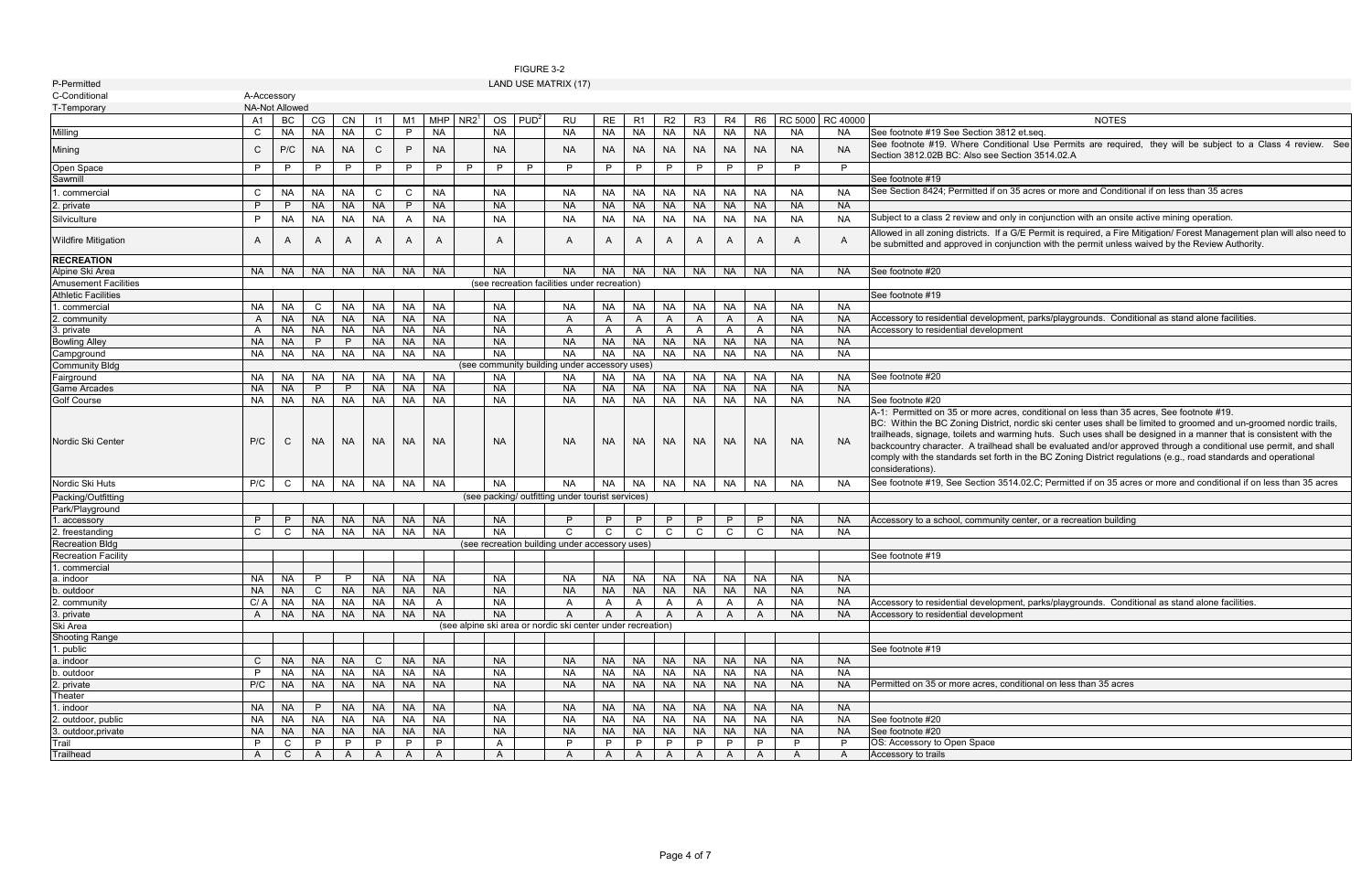itional Use Permits are required, they will be subject to a Class 4 review. See Section 3514.02.A

1. 35 acres or more and Conditional if on less than 35 acres

nly in conjunction with an onsite active mining operation.

a G/E Permit is required, a Fire Mitigation/ Forest Management plan will also need to njunction with the permit unless waived by the Review Authority.

nent, parks/playgrounds. Conditional as stand alone facilities.

res, conditional on less than 35 acres, See footnote #19.

ct, nordic ski center uses shall be limited to groomed and un-groomed nordic trails, rarming huts. Such uses shall be designed in a manner that is consistent with the ad shall be evaluated and/or approved through a conditional use permit, and shall th in the BC Zoning District regulations (e.g., road standards and operational

514.02.C; Permitted if on 35 acres or more and conditional if on less than 35 acres

y center, or a recreation building

ment, parks/playgrounds. Conditional as stand alone facilities.<br>ment

| P-Permitted                       |              |                |           |              |              |              |              |                  |           |                  | LAND USE MATRIX (17)                                             |           |                |           |                |                |                |                |           |                                                                                                                                                                                                                                                                                                    |
|-----------------------------------|--------------|----------------|-----------|--------------|--------------|--------------|--------------|------------------|-----------|------------------|------------------------------------------------------------------|-----------|----------------|-----------|----------------|----------------|----------------|----------------|-----------|----------------------------------------------------------------------------------------------------------------------------------------------------------------------------------------------------------------------------------------------------------------------------------------------------|
| C-Conditional                     | A-Accessory  |                |           |              |              |              |              |                  |           |                  |                                                                  |           |                |           |                |                |                |                |           |                                                                                                                                                                                                                                                                                                    |
| T-Temporary                       |              | NA-Not Allowed |           |              |              |              |              |                  |           |                  |                                                                  |           |                |           |                |                |                |                |           |                                                                                                                                                                                                                                                                                                    |
|                                   | A1           | BC             | CG        | CN           | 1            | M1           | <b>MHP</b>   | NR2 <sup>1</sup> | <b>OS</b> | PUD <sup>2</sup> | <b>RU</b>                                                        | <b>RE</b> | R <sub>1</sub> | R2        | R <sub>3</sub> | R <sub>4</sub> | R <sub>6</sub> | <b>RC 5000</b> | RC 40000  | <b>NOTES</b>                                                                                                                                                                                                                                                                                       |
| Milling                           | C            | <b>NA</b>      | <b>NA</b> | <b>NA</b>    | $\mathsf{C}$ | P            | <b>NA</b>    |                  | <b>NA</b> |                  | <b>NA</b>                                                        | <b>NA</b> | <b>NA</b>      | <b>NA</b> | <b>NA</b>      | <b>NA</b>      | <b>NA</b>      | <b>NA</b>      | <b>NA</b> | See footnote #19 See Section 3812 et seq                                                                                                                                                                                                                                                           |
| Mining                            | C            | P/C            | <b>NA</b> | <b>NA</b>    | C            | P            | NA.          |                  | NA.       |                  | <b>NA</b>                                                        | <b>NA</b> | <b>NA</b>      | <b>NA</b> | <b>NA</b>      | NA.            | <b>NA</b>      | <b>NA</b>      | NA.       | See footnote #19. Where Conditional Use Permits are require<br>Section 3812.02B BC: Also see Section 3514.02.A                                                                                                                                                                                     |
| Open Space                        | P            | P              | P         | P            | P            | P            | P            | P                | P         | P                | P                                                                | P         | P              | P         | P              | P              | P              | P              | P         |                                                                                                                                                                                                                                                                                                    |
| Sawmill                           |              |                |           |              |              |              |              |                  |           |                  |                                                                  |           |                |           |                |                |                |                |           | See footnote #19                                                                                                                                                                                                                                                                                   |
| . commercial                      | C            | <b>NA</b>      | <b>NA</b> | <b>NA</b>    | C            | C            | <b>NA</b>    |                  | <b>NA</b> |                  | <b>NA</b>                                                        | <b>NA</b> | <b>NA</b>      | <b>NA</b> | <b>NA</b>      | <b>NA</b>      | <b>NA</b>      | <b>NA</b>      | <b>NA</b> | See Section 8424; Permitted if on 35 acres or more and Condition                                                                                                                                                                                                                                   |
| 2. private                        | P            | P              | <b>NA</b> | <b>NA</b>    | <b>NA</b>    | P            | <b>NA</b>    |                  | <b>NA</b> |                  | <b>NA</b>                                                        | <b>NA</b> | <b>NA</b>      | <b>NA</b> | <b>NA</b>      | <b>NA</b>      | <b>NA</b>      | <b>NA</b>      | <b>NA</b> |                                                                                                                                                                                                                                                                                                    |
| Silviculture                      | P            | <b>NA</b>      | <b>NA</b> | <b>NA</b>    | <b>NA</b>    | A            | <b>NA</b>    |                  | <b>NA</b> |                  | <b>NA</b>                                                        | <b>NA</b> | <b>NA</b>      | <b>NA</b> | <b>NA</b>      | <b>NA</b>      | <b>NA</b>      | <b>NA</b>      | <b>NA</b> | Subject to a class 2 review and only in conjunction with an onsite                                                                                                                                                                                                                                 |
|                                   |              |                |           |              |              |              |              |                  |           |                  |                                                                  |           |                |           |                |                |                |                |           | Allowed in all zoning districts. If a G/E Permit is required, a Fire                                                                                                                                                                                                                               |
| <b>Wildfire Mitigation</b>        | A            | A              | A         | A            | A            | A            | A            |                  | A         |                  | A                                                                | A         | A              | A         | A              | A              | A              | A              | A         | be submitted and approved in conjunction with the permit unless                                                                                                                                                                                                                                    |
| <b>RECREATION</b>                 |              |                |           |              |              |              |              |                  |           |                  |                                                                  |           |                |           |                |                |                |                |           |                                                                                                                                                                                                                                                                                                    |
| Alpine Ski Area                   | <b>NA</b>    | <b>NA</b>      | <b>NA</b> | <b>NA</b>    | <b>NA</b>    | <b>NA</b>    | <b>NA</b>    |                  | <b>NA</b> |                  | <b>NA</b>                                                        | <b>NA</b> | <b>NA</b>      | <b>NA</b> | <b>NA</b>      | <b>NA</b>      | <b>NA</b>      | <b>NA</b>      | <b>NA</b> | See footnote #20                                                                                                                                                                                                                                                                                   |
| <b>Amusement Facilities</b>       |              |                |           |              |              |              |              |                  |           |                  | (see recreation facilities under recreation)                     |           |                |           |                |                |                |                |           |                                                                                                                                                                                                                                                                                                    |
| <b>Athletic Facilities</b>        |              |                |           |              |              |              |              |                  |           |                  |                                                                  |           |                |           |                |                |                |                |           | See footnote #19                                                                                                                                                                                                                                                                                   |
| 1. commercial                     | <b>NA</b>    | <b>NA</b>      | C         | <b>NA</b>    | <b>NA</b>    | <b>NA</b>    | <b>NA</b>    |                  | <b>NA</b> |                  | <b>NA</b>                                                        | <b>NA</b> | <b>NA</b>      | <b>NA</b> | <b>NA</b>      | <b>NA</b>      | <b>NA</b>      | <b>NA</b>      | <b>NA</b> |                                                                                                                                                                                                                                                                                                    |
| 2. community                      | A            | <b>NA</b>      | <b>NA</b> | <b>NA</b>    | <b>NA</b>    | <b>NA</b>    | <b>NA</b>    |                  | <b>NA</b> |                  | A                                                                | A         | A              | A         | A              | A              | A              | <b>NA</b>      | <b>NA</b> | Accessory to residential development, parks/playgrounds. Cond                                                                                                                                                                                                                                      |
| 3. private                        | A            | <b>NA</b>      | <b>NA</b> | <b>NA</b>    | <b>NA</b>    | <b>NA</b>    | <b>NA</b>    |                  | <b>NA</b> |                  | A                                                                | A         | A              | A         | A              | A              | A              | <b>NA</b>      | <b>NA</b> | Accessory to residential development                                                                                                                                                                                                                                                               |
| <b>Bowling Alley</b>              | <b>NA</b>    | <b>NA</b>      | P         | P            | <b>NA</b>    | <b>NA</b>    | <b>NA</b>    |                  | <b>NA</b> |                  | <b>NA</b>                                                        | <b>NA</b> | <b>NA</b>      | <b>NA</b> | <b>NA</b>      | <b>NA</b>      | <b>NA</b>      | <b>NA</b>      | <b>NA</b> |                                                                                                                                                                                                                                                                                                    |
| Campground                        | <b>NA</b>    | <b>NA</b>      | <b>NA</b> | <b>NA</b>    | <b>NA</b>    | <b>NA</b>    | <b>NA</b>    |                  | <b>NA</b> |                  | <b>NA</b>                                                        | <b>NA</b> | <b>NA</b>      | <b>NA</b> | <b>NA</b>      | <b>NA</b>      | <b>NA</b>      | <b>NA</b>      | <b>NA</b> |                                                                                                                                                                                                                                                                                                    |
| <b>Community Bldg</b>             |              |                |           |              |              |              |              |                  |           |                  | (see community building under accessory uses)                    |           |                |           |                |                |                |                |           |                                                                                                                                                                                                                                                                                                    |
| Fairground                        | <b>NA</b>    | <b>NA</b>      | <b>NA</b> | <b>NA</b>    | <b>NA</b>    | <b>NA</b>    | <b>NA</b>    |                  | <b>NA</b> |                  | <b>NA</b>                                                        | <b>NA</b> | <b>NA</b>      | <b>NA</b> | <b>NA</b>      | <b>NA</b>      | <b>NA</b>      | <b>NA</b>      | <b>NA</b> | See footnote #20                                                                                                                                                                                                                                                                                   |
| Game Arcades                      | <b>NA</b>    | <b>NA</b>      | P         | P            | <b>NA</b>    | <b>NA</b>    | <b>NA</b>    |                  | <b>NA</b> |                  | <b>NA</b>                                                        | <b>NA</b> | <b>NA</b>      | <b>NA</b> | <b>NA</b>      | NA             | <b>NA</b>      | <b>NA</b>      | <b>NA</b> | See footnote #20                                                                                                                                                                                                                                                                                   |
| <b>Golf Course</b>                | <b>NA</b>    | NA             | <b>NA</b> | <b>NA</b>    | <b>NA</b>    | <b>NA</b>    | <b>NA</b>    |                  | <b>NA</b> |                  | <b>NA</b>                                                        | <b>NA</b> | <b>NA</b>      | <b>NA</b> | <b>NA</b>      | <b>NA</b>      | <b>NA</b>      | <b>NA</b>      | <b>NA</b> | A-1: Permitted on 35 or more acres, conditional on less than 35                                                                                                                                                                                                                                    |
| Nordic Ski Center                 | P/C          | C              | NA        | <b>NA</b>    | NA.          | <b>NA</b>    | <b>NA</b>    |                  | NA.       |                  | <b>NA</b>                                                        | <b>NA</b> | NA.            | NA.       | NA.            | NA.            | <b>NA</b>      | <b>NA</b>      | <b>NA</b> | BC: Within the BC Zoning District, nordic ski center uses shall b<br>trailheads, signage, toilets and warming huts. Such uses shall b<br>backcountry character. A trailhead shall be evaluated and/or ap<br>comply with the standards set forth in the BC Zoning District regu<br>considerations). |
| Nordic Ski Huts                   | P/C          | C              | <b>NA</b> | <b>NA</b>    | <b>NA</b>    | <b>NA</b>    | <b>NA</b>    |                  | <b>NA</b> |                  | <b>NA</b>                                                        | <b>NA</b> | <b>NA</b>      | <b>NA</b> | <b>NA</b>      | <b>NA</b>      | <b>NA</b>      | <b>NA</b>      | <b>NA</b> | See footnote #19, See Section 3514.02.C; Permitted if on 35 acr                                                                                                                                                                                                                                    |
| Packing/Outfitting                |              |                |           |              |              |              |              |                  |           |                  | (see packing/ outfitting under tourist services)                 |           |                |           |                |                |                |                |           |                                                                                                                                                                                                                                                                                                    |
| Park/Playground                   |              |                |           |              |              |              |              |                  |           |                  |                                                                  |           |                |           |                |                |                |                |           |                                                                                                                                                                                                                                                                                                    |
| . accessory                       | P            | P              | <b>NA</b> | <b>NA</b>    | <b>NA</b>    | <b>NA</b>    | <b>NA</b>    |                  | <b>NA</b> |                  | P                                                                | P         | P              | P         | P              | P              | P              | <b>NA</b>      | <b>NA</b> | Accessory to a school, community center, or a recreation building                                                                                                                                                                                                                                  |
| 2. freestanding                   | C            | C              | <b>NA</b> | <b>NA</b>    | <b>NA</b>    | <b>NA</b>    | <b>NA</b>    |                  | <b>NA</b> |                  | $\mathsf{C}$                                                     | C         | C              | C         | $\mathsf{C}$   | C              | $\mathsf{C}$   | <b>NA</b>      | <b>NA</b> |                                                                                                                                                                                                                                                                                                    |
| <b>Recreation Bldg</b>            |              |                |           |              |              |              |              |                  |           |                  | (see recreation building under accessory uses)                   |           |                |           |                |                |                |                |           |                                                                                                                                                                                                                                                                                                    |
| <b>Recreation Facility</b>        |              |                |           |              |              |              |              |                  |           |                  |                                                                  |           |                |           |                |                |                |                |           | See footnote #19                                                                                                                                                                                                                                                                                   |
| 1. commercial                     |              |                |           |              |              |              |              |                  |           |                  |                                                                  |           |                |           |                |                |                |                |           |                                                                                                                                                                                                                                                                                                    |
| a. indoor                         | NA.          | NA.            | P         | P            |              | NA NA I      | NA.          |                  | NA.       |                  | <b>NA</b>                                                        | NA.       | NA I           | NA I      |                | NA NA I        | <b>NA</b>      | <b>NA</b>      | <b>NA</b> |                                                                                                                                                                                                                                                                                                    |
| b. outdoor                        | <b>NA</b>    | <b>NA</b>      | C         | <b>NA</b>    | NA.          | <b>NA</b>    | <b>NA</b>    |                  | <b>NA</b> |                  | <b>NA</b>                                                        | <b>NA</b> | <b>NA</b>      | <b>NA</b> | <b>NA</b>      | <b>NA</b>      | <b>NA</b>      | <b>NA</b>      | <b>NA</b> |                                                                                                                                                                                                                                                                                                    |
| 2. community                      | C/A          | <b>NA</b>      | <b>NA</b> | <b>NA</b>    | <b>NA</b>    | <b>NA</b>    | $\mathsf{A}$ |                  | <b>NA</b> |                  | A                                                                | A         | A              | A         | $\mathsf{A}$   | A              | A              | <b>NA</b>      | <b>NA</b> | Accessory to residential development, parks/playgrounds. Cond                                                                                                                                                                                                                                      |
| 3. private                        | $\mathsf{A}$ | <b>NA</b>      | <b>NA</b> | <b>NA</b>    | <b>NA</b>    | <b>NA</b>    | <b>NA</b>    |                  | <b>NA</b> |                  | A<br>(see alpine ski area or nordic ski center under recreation) | A         | A              |           | A              | A              | A              | <b>NA</b>      | <b>NA</b> | Accessory to residential development                                                                                                                                                                                                                                                               |
| Ski Area<br><b>Shooting Range</b> |              |                |           |              |              |              |              |                  |           |                  |                                                                  |           |                |           |                |                |                |                |           |                                                                                                                                                                                                                                                                                                    |
| 1. public                         |              |                |           |              |              |              |              |                  |           |                  |                                                                  |           |                |           |                |                |                |                |           | See footnote #19                                                                                                                                                                                                                                                                                   |
| a. indoor                         | $\mathsf{C}$ | <b>NA</b>      | <b>NA</b> | <b>NA</b>    | C            | <b>NA</b>    | <b>NA</b>    |                  | <b>NA</b> |                  | <b>NA</b>                                                        | <b>NA</b> | <b>NA</b>      | <b>NA</b> | <b>NA</b>      | <b>NA</b>      | <b>NA</b>      | <b>NA</b>      | <b>NA</b> |                                                                                                                                                                                                                                                                                                    |
| . outdoor                         | P            | <b>NA</b>      | <b>NA</b> | <b>NA</b>    | <b>NA</b>    | <b>NA</b>    | <b>NA</b>    |                  | <b>NA</b> |                  | <b>NA</b>                                                        | <b>NA</b> | <b>NA</b>      | <b>NA</b> | <b>NA</b>      | <b>NA</b>      | <b>NA</b>      | <b>NA</b>      | <b>NA</b> |                                                                                                                                                                                                                                                                                                    |
| 2. private                        | P/C          | <b>NA</b>      | <b>NA</b> | <b>NA</b>    | <b>NA</b>    | <b>NA</b>    | <b>NA</b>    |                  | <b>NA</b> |                  | <b>NA</b>                                                        | <b>NA</b> | <b>NA</b>      | <b>NA</b> | <b>NA</b>      | <b>NA</b>      | <b>NA</b>      | <b>NA</b>      | <b>NA</b> | Permitted on 35 or more acres, conditional on less than 35 acres                                                                                                                                                                                                                                   |
| Theater                           |              |                |           |              |              |              |              |                  |           |                  |                                                                  |           |                |           |                |                |                |                |           |                                                                                                                                                                                                                                                                                                    |
| 1. indoor                         | <b>NA</b>    | <b>NA</b>      | P         | <b>NA</b>    | <b>NA</b>    | <b>NA</b>    | <b>NA</b>    |                  | <b>NA</b> |                  | <b>NA</b>                                                        | <b>NA</b> | <b>NA</b>      | <b>NA</b> | <b>NA</b>      | <b>NA</b>      | <b>NA</b>      | <b>NA</b>      | <b>NA</b> |                                                                                                                                                                                                                                                                                                    |
| 2. outdoor, public                | <b>NA</b>    | NA             | <b>NA</b> | <b>NA</b>    | <b>NA</b>    | <b>NA</b>    | <b>NA</b>    |                  | <b>NA</b> |                  | <b>NA</b>                                                        | <b>NA</b> | NA             | <b>NA</b> | <b>NA</b>      | NA             | <b>NA</b>      | <b>NA</b>      | <b>NA</b> | See footnote #20                                                                                                                                                                                                                                                                                   |
| 3. outdoor, private               | <b>NA</b>    | <b>NA</b>      | <b>NA</b> | <b>NA</b>    | <b>NA</b>    | <b>NA</b>    | <b>NA</b>    |                  | <b>NA</b> |                  | <b>NA</b>                                                        | <b>NA</b> | <b>NA</b>      | <b>NA</b> | NA             | <b>NA</b>      | <b>NA</b>      | <b>NA</b>      | <b>NA</b> | See footnote #20                                                                                                                                                                                                                                                                                   |
| Trail                             | P            | C              |           | P            | P            | P            | P            |                  | A         |                  | P                                                                | P         | P              | P         | P              | P              | P              | P              | P         | OS: Accessory to Open Space                                                                                                                                                                                                                                                                        |
| Trailhead                         | $\mathsf{A}$ | $\mathsf{C}$   | A         | $\mathsf{A}$ | A            | $\mathsf{A}$ | $\mathsf{A}$ |                  | A         |                  | A                                                                | A         | A              | A         | $\mathsf{A}$   | A              | A              | $\mathsf{A}$   | A         | Accessory to trails                                                                                                                                                                                                                                                                                |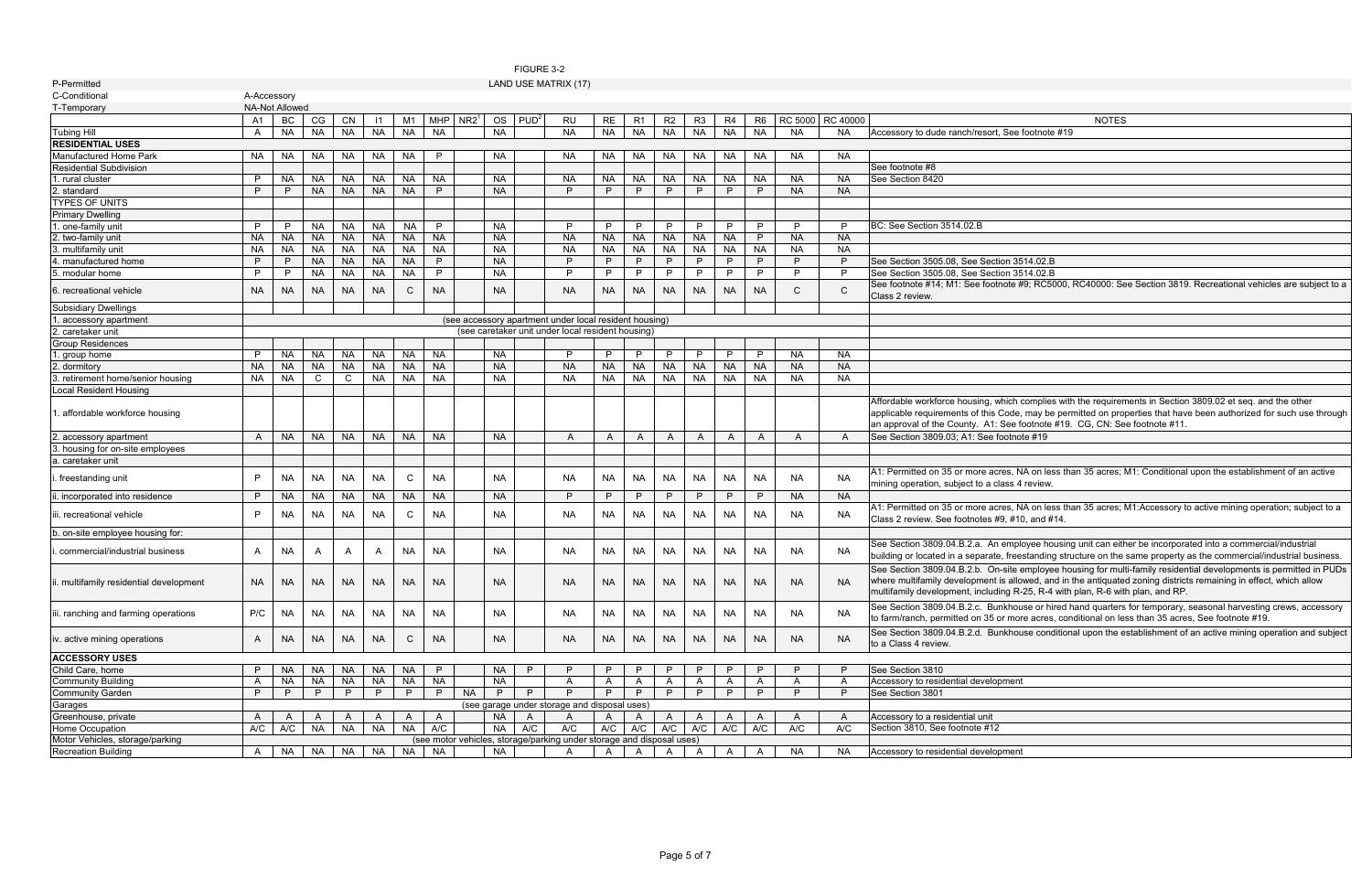ote #9; RC5000, RC40000: See Section 3819. Recreational vehicles are subject to a

ich complies with the requirements in Section 3809.02 et seq. and the other ode, may be permitted on properties that have been authorized for such use through See footnote #19. CG, CN: See footnote #11.<br>otnote #19

es, NA on less than 35 acres; M1: Conditional upon the establishment of an active ass 4 review.

es, NA on less than 35 acres; M1:Accessory to active mining operation; subject to a  $, #10, and #14.$ 

employee housing unit can either be incorporated into a commercial/industrial freestanding structure on the same property as the commercial/industrial business. site employee housing for multi-family residential developments is permitted in PUDs allowed, and in the antiquated zoning districts remaining in effect, which allow  $g$  R-25, R-4 with plan, R-6 with plan, and RP.

khouse or hired hand quarters for temporary, seasonal harvesting crews, accessory more acres, conditional on less than 35 acres, See footnote #19.

khouse conditional upon the establishment of an active mining operation and subject

|                                         |              |                       |           |           |            |                |            |                  |           | FIGURE 3-2       |                                                                       |              |                |                |                |                |                |           |                  |                                                                  |
|-----------------------------------------|--------------|-----------------------|-----------|-----------|------------|----------------|------------|------------------|-----------|------------------|-----------------------------------------------------------------------|--------------|----------------|----------------|----------------|----------------|----------------|-----------|------------------|------------------------------------------------------------------|
| P-Permitted                             |              |                       |           |           |            |                |            |                  |           |                  | LAND USE MATRIX (17)                                                  |              |                |                |                |                |                |           |                  |                                                                  |
| C-Conditional                           | A-Accessory  |                       |           |           |            |                |            |                  |           |                  |                                                                       |              |                |                |                |                |                |           |                  |                                                                  |
| T-Temporary                             |              | <b>NA-Not Allowed</b> |           |           |            |                |            |                  |           |                  |                                                                       |              |                |                |                |                |                |           |                  |                                                                  |
|                                         | A1           | BC                    | CG        | CN        | $\vert$ 11 | M <sub>1</sub> | <b>MHP</b> | NR2 <sup>1</sup> | <b>OS</b> | PUD <sup>2</sup> | <b>RU</b>                                                             | RE           | R <sub>1</sub> | R2             | R <sub>3</sub> | R <sub>4</sub> | R <sub>6</sub> |           | RC 5000 RC 40000 | <b>NOTES</b>                                                     |
| <b>Tubing Hill</b>                      | A            | <b>NA</b>             | <b>NA</b> | <b>NA</b> | <b>NA</b>  | <b>NA</b>      | <b>NA</b>  |                  | <b>NA</b> |                  | <b>NA</b>                                                             | <b>NA</b>    | <b>NA</b>      | <b>NA</b>      | <b>NA</b>      | <b>NA</b>      | <b>NA</b>      | <b>NA</b> | NA.              | Accessory to dude ranch/resort, See footnote #19                 |
| <b>RESIDENTIAL USES</b>                 |              |                       |           |           |            |                |            |                  |           |                  |                                                                       |              |                |                |                |                |                |           |                  |                                                                  |
| Manufactured Home Park                  | NA.          | NA.                   | <b>NA</b> | NA        | <b>NA</b>  | <b>NA</b>      | P          |                  | NA.       |                  | NA.                                                                   | NA.          | <b>NA</b>      | <b>NA</b>      | <b>NA</b>      | NA.            | <b>NA</b>      | NA.       | NA.              |                                                                  |
| <b>Residential Subdivision</b>          |              |                       |           |           |            |                |            |                  |           |                  |                                                                       |              |                |                |                |                |                |           |                  | See footnote #8                                                  |
| 1. rural cluster                        | P            | <b>NA</b>             | <b>NA</b> | <b>NA</b> | <b>NA</b>  | <b>NA</b>      | <b>NA</b>  |                  | <b>NA</b> |                  | <b>NA</b>                                                             | <b>NA</b>    | NA             | <b>NA</b>      | <b>NA</b>      | <b>NA</b>      | <b>NA</b>      | NA        | <b>NA</b>        | See Section 8420                                                 |
| 2. standard                             | P            | P                     | <b>NA</b> | <b>NA</b> | <b>NA</b>  | <b>NA</b>      | P          |                  | <b>NA</b> |                  | P                                                                     | P            | P              | P              | P              | P              | P              | <b>NA</b> | <b>NA</b>        |                                                                  |
| <b>TYPES OF UNITS</b>                   |              |                       |           |           |            |                |            |                  |           |                  |                                                                       |              |                |                |                |                |                |           |                  |                                                                  |
| <b>Primary Dwelling</b>                 |              |                       |           |           |            |                |            |                  |           |                  |                                                                       |              |                |                |                |                |                |           |                  |                                                                  |
| . one-family unit                       | P            | P                     | <b>NA</b> | <b>NA</b> | <b>NA</b>  | <b>NA</b>      | P          |                  | <b>NA</b> |                  | P                                                                     | P            | P              | P              | P              | P              | P              | P         | P                | BC: See Section 3514.02.B                                        |
| 2. two-family unit                      | <b>NA</b>    | <b>NA</b>             | <b>NA</b> | <b>NA</b> | <b>NA</b>  | <b>NA</b>      | <b>NA</b>  |                  | <b>NA</b> |                  | <b>NA</b>                                                             | <b>NA</b>    | <b>NA</b>      | <b>NA</b>      | <b>NA</b>      | <b>NA</b>      | P              | <b>NA</b> | <b>NA</b>        |                                                                  |
| 3. multifamily unit                     | NA           | <b>NA</b>             | <b>NA</b> | <b>NA</b> | <b>NA</b>  | <b>NA</b>      | <b>NA</b>  |                  | <b>NA</b> |                  | <b>NA</b>                                                             | <b>NA</b>    | <b>NA</b>      | <b>NA</b>      | <b>NA</b>      | <b>NA</b>      | <b>NA</b>      | <b>NA</b> | <b>NA</b>        |                                                                  |
| 4. manufactured home                    | P            | P                     | <b>NA</b> | <b>NA</b> | <b>NA</b>  | <b>NA</b>      | P.         |                  | <b>NA</b> |                  | P                                                                     | P            | P              | P              | P              | P              | P              | P         | P                | See Section 3505.08, See Section 3514.02.B                       |
| 5. modular home                         | P            | P                     | <b>NA</b> | <b>NA</b> | <b>NA</b>  | <b>NA</b>      | P          |                  | <b>NA</b> |                  | P                                                                     | P            | P              | P              | P              | P              | P              | P         | P                | See Section 3505.08, See Section 3514.02.B                       |
|                                         |              |                       |           |           |            |                |            |                  |           |                  |                                                                       |              |                |                |                |                |                |           |                  | See footnote #14; M1: See footnote #9; RC5000, RC40000: Se       |
| 6. recreational vehicle                 | <b>NA</b>    | <b>NA</b>             | <b>NA</b> | <b>NA</b> | <b>NA</b>  | $\mathsf{C}$   | <b>NA</b>  |                  | NA.       |                  | NA.                                                                   | NA.          | <b>NA</b>      | <b>NA</b>      | <b>NA</b>      | <b>NA</b>      | <b>NA</b>      | C.        | $\mathsf{C}$     | Class 2 review.                                                  |
| <b>Subsidiary Dwellings</b>             |              |                       |           |           |            |                |            |                  |           |                  |                                                                       |              |                |                |                |                |                |           |                  |                                                                  |
| . accessory apartment                   |              |                       |           |           |            |                |            |                  |           |                  | (see accessory apartment under local resident housing)                |              |                |                |                |                |                |           |                  |                                                                  |
| . caretaker unit                        |              |                       |           |           |            |                |            |                  |           |                  | (see caretaker unit under local resident housing)                     |              |                |                |                |                |                |           |                  |                                                                  |
| <b>Group Residences</b>                 |              |                       |           |           |            |                |            |                  |           |                  |                                                                       |              |                |                |                |                |                |           |                  |                                                                  |
| 1. group home                           | P            | <b>NA</b>             | <b>NA</b> | <b>NA</b> | <b>NA</b>  | <b>NA</b>      | <b>NA</b>  |                  | <b>NA</b> |                  | P                                                                     | P            | P              | P              | P              | P              | P              | <b>NA</b> | <b>NA</b>        |                                                                  |
| 2. dormitory                            | <b>NA</b>    | <b>NA</b>             | <b>NA</b> | <b>NA</b> | <b>NA</b>  | <b>NA</b>      | <b>NA</b>  |                  | <b>NA</b> |                  | <b>NA</b>                                                             | <b>NA</b>    | <b>NA</b>      | <b>NA</b>      | <b>NA</b>      | <b>NA</b>      | <b>NA</b>      | <b>NA</b> | <b>NA</b>        |                                                                  |
| retirement home/senior housing          | <b>NA</b>    | <b>NA</b>             | C         | C         | <b>NA</b>  | <b>NA</b>      | <b>NA</b>  |                  | <b>NA</b> |                  | <b>NA</b>                                                             | <b>NA</b>    | <b>NA</b>      | <b>NA</b>      | <b>NA</b>      | <b>NA</b>      | <b>NA</b>      | <b>NA</b> | <b>NA</b>        |                                                                  |
|                                         |              |                       |           |           |            |                |            |                  |           |                  |                                                                       |              |                |                |                |                |                |           |                  |                                                                  |
| ocal Resident Housing                   |              |                       |           |           |            |                |            |                  |           |                  |                                                                       |              |                |                |                |                |                |           |                  | Affordable workforce housing, which complies with the requirer   |
| . affordable workforce housing          |              |                       |           |           |            |                |            |                  |           |                  |                                                                       |              |                |                |                |                |                |           |                  | applicable requirements of this Code, may be permitted on pro    |
|                                         |              |                       |           |           |            |                |            |                  |           |                  |                                                                       |              |                |                |                |                |                |           |                  | an approval of the County. A1: See footnote #19. CG, CN: Se      |
| . accessory apartment                   | A            | <b>NA</b>             | <b>NA</b> | <b>NA</b> | <b>NA</b>  | <b>NA</b>      | <b>NA</b>  |                  | <b>NA</b> |                  | $\overline{A}$                                                        | A            | A              | A              | $\mathsf{A}$   | $\overline{A}$ | $\mathsf{A}$   | A         | A                | See Section 3809.03; A1: See footnote #19                        |
| 3. housing for on-site employees        |              |                       |           |           |            |                |            |                  |           |                  |                                                                       |              |                |                |                |                |                |           |                  |                                                                  |
| a. caretaker unit                       |              |                       |           |           |            |                |            |                  |           |                  |                                                                       |              |                |                |                |                |                |           |                  |                                                                  |
|                                         |              |                       |           |           |            |                |            |                  |           |                  |                                                                       |              |                |                |                |                |                |           |                  | A1: Permitted on 35 or more acres, NA on less than 35 acres;     |
| freestanding unit                       | P            | <b>NA</b>             | <b>NA</b> | NA.       | <b>NA</b>  | C              | <b>NA</b>  |                  | NA        |                  | NA.                                                                   | NA.          | NA.            | NA.            | <b>NA</b>      | NA             | <b>NA</b>      | NA.       | NA.              | mining operation, subject to a class 4 review.                   |
| ii. incorporated into residence         | P            | <b>NA</b>             | <b>NA</b> | <b>NA</b> | <b>NA</b>  | <b>NA</b>      | <b>NA</b>  |                  | <b>NA</b> |                  | P                                                                     | P            | P              | P              | P              | P              | P              | <b>NA</b> | <b>NA</b>        |                                                                  |
|                                         |              |                       |           |           |            |                |            |                  |           |                  |                                                                       |              |                |                |                |                |                |           |                  | A1: Permitted on 35 or more acres, NA on less than 35 acres;     |
| iii. recreational vehicle               | P            | <b>NA</b>             | <b>NA</b> | <b>NA</b> | <b>NA</b>  | C              | <b>NA</b>  |                  | <b>NA</b> |                  | NA.                                                                   | NA.          | NA.            | NA.            | <b>NA</b>      | <b>NA</b>      | <b>NA</b>      | NA.       | NA.              | Class 2 review. See footnotes #9, #10, and #14.                  |
| b. on-site employee housing for:        |              |                       |           |           |            |                |            |                  |           |                  |                                                                       |              |                |                |                |                |                |           |                  |                                                                  |
|                                         |              |                       |           |           |            |                |            |                  |           |                  |                                                                       |              |                |                |                |                |                |           |                  | See Section 3809.04.B.2.a. An employee housing unit can eit      |
| commercial/industrial business          | A            | NA.                   | A         | A         | A          | NA.            | <b>NA</b>  |                  | NA.       |                  | NA.                                                                   | NA.          | NA.            | NA.            | <b>NA</b>      | NA.            | <b>NA</b>      | NA.       | NA.              | building or located in a separate, freestanding structure on the |
|                                         |              |                       |           |           |            |                |            |                  |           |                  |                                                                       |              |                |                |                |                |                |           |                  | See Section 3809.04.B.2.b. On-site employee housing for mul      |
|                                         |              |                       |           |           |            |                |            |                  |           |                  |                                                                       |              |                |                |                |                |                |           |                  | where multifamily development is allowed, and in the antiquate   |
| ii. multifamily residential development | <b>NA</b>    | NA.                   | NA.       | NA.       | NA.        | NA.            | <b>NA</b>  |                  | <b>NA</b> |                  | NA.                                                                   | NA.          | NA.            | NA.            | NA.            | <b>NA</b>      | <b>NA</b>      | <b>NA</b> | NA.              | multifamily development, including R-25, R-4 with plan, R-6 wit  |
|                                         |              |                       |           |           |            |                |            |                  |           |                  |                                                                       |              |                |                |                |                |                |           |                  |                                                                  |
| iii. ranching and farming operations    | P/C          | <b>NA</b>             | <b>NA</b> | NA.       | <b>NA</b>  | <b>NA</b>      | <b>NA</b>  |                  | <b>NA</b> |                  | <b>NA</b>                                                             | NA.          | NA             | NA.            | <b>NA</b>      | <b>NA</b>      | <b>NA</b>      | NA.       | NA               | See Section 3809.04.B.2.c. Bunkhouse or hired hand quarters      |
|                                         |              |                       |           |           |            |                |            |                  |           |                  |                                                                       |              |                |                |                |                |                |           |                  | to farm/ranch, permitted on 35 or more acres, conditional on le  |
|                                         |              |                       |           |           |            |                | <b>NA</b>  |                  | <b>NA</b> |                  |                                                                       |              |                | <b>NA</b>      | <b>NA</b>      | <b>NA</b>      | <b>NA</b>      |           |                  | See Section 3809.04.B.2.d. Bunkhouse conditional upon the e      |
| iv. active mining operations            | A            | NA.                   | <b>NA</b> | <b>NA</b> | <b>NA</b>  | C              |            |                  |           |                  | <b>NA</b>                                                             | NA.          | NA.            |                |                |                |                | <b>NA</b> | <b>NA</b>        | to a Class 4 review.                                             |
| <b>ACCESSORY USES</b>                   |              |                       |           |           |            |                |            |                  |           |                  |                                                                       |              |                |                |                |                |                |           |                  |                                                                  |
| Child Care, home                        | P            | <b>NA</b>             | <b>NA</b> | <b>NA</b> | <b>NA</b>  | <b>NA</b>      | P          |                  | <b>NA</b> | P                | P                                                                     |              |                |                | P              | P              | P              |           | P                | See Section 3810                                                 |
| <b>Community Building</b>               | A            | <b>NA</b>             | <b>NA</b> | <b>NA</b> | <b>NA</b>  | <b>NA</b>      | <b>NA</b>  |                  | <b>NA</b> |                  | A                                                                     | A            | $\mathsf{A}$   | A              | $\mathsf{A}$   | A              | A              | A         | $\overline{A}$   | Accessory to residential development                             |
| <b>Community Garden</b>                 | P            | P                     | P         | P         | P          | P              | P          | <b>NA</b>        | P         | P                | P                                                                     |              | $\overline{P}$ | $\overline{P}$ | P              | P              | P              | P         | P                | See Section 3801                                                 |
| Garages                                 |              |                       |           |           |            |                |            |                  |           |                  | (see garage under storage and disposal uses)                          |              |                |                |                |                |                |           |                  |                                                                  |
| Greenhouse, private                     | A            |                       |           | A         |            | A              | A          |                  | <b>NA</b> | A                | A                                                                     | A            | A              | A              | A              | A              | $\overline{A}$ | A         | A                | Accessory to a residential unit                                  |
| Home Occupation                         | A/C          | A/C                   | <b>NA</b> | NA        | <b>NA</b>  | <b>NA</b>      | A/C        |                  | <b>NA</b> | A/C              | A/C                                                                   | A/C          | A/C            | A/C            | A/C            | A/C            | A/C            | A/C       | A/C              | Section 3810, See footnote #12                                   |
| Motor Vehicles, storage/parking         |              |                       |           |           |            |                |            |                  |           |                  | (see motor vehicles, storage/parking under storage and disposal uses) |              |                |                |                |                |                |           |                  |                                                                  |
| <b>Recreation Building</b>              | $\mathsf{A}$ | <b>NA</b>             |           | NA NA NA  |            | <b>NA</b>      | NA         |                  | NA        |                  | A                                                                     | $\mathsf{A}$ | A              | $\mathsf{A}$   | $\mathsf{A}$   | $\mathsf{A}$   | A              | NA        | NA               | Accessory to residential development                             |
|                                         |              |                       |           |           |            |                |            |                  |           |                  |                                                                       |              |                |                |                |                |                |           |                  |                                                                  |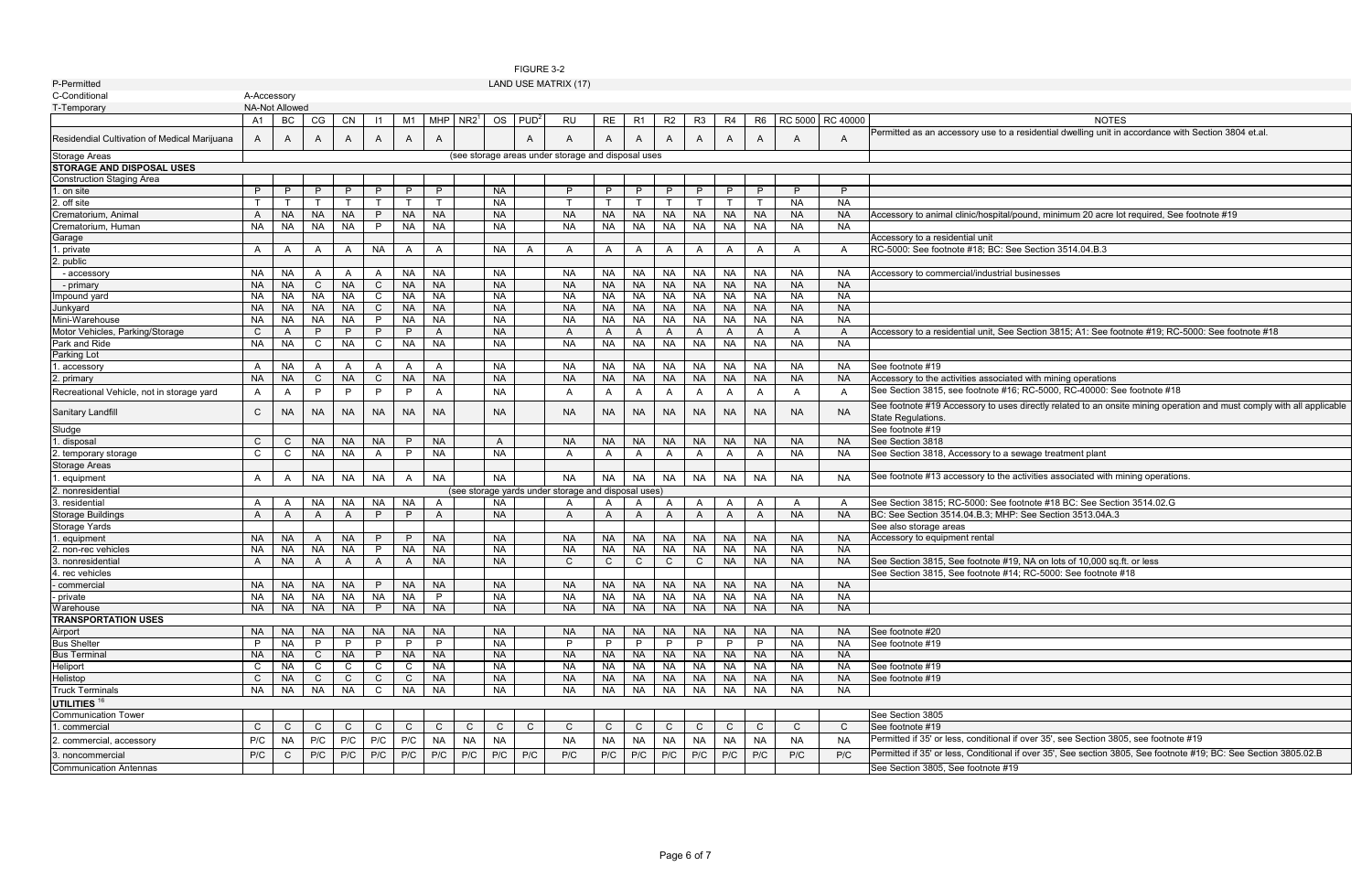a residential dwelling unit in accordance with Section 3804 et.al.

al/pound, minimum 20 acre lot required, See footnote #19

ee Section 3815; A1: See footnote #19; RC-5000: See footnote #18

FIGURE 3-2

Recreational Vehicle, not in storage yard A A P P P P A NA A A A A A A A A A See Section 3815, see footnote #16; RC-5000, RC-40000: See footnote #18

ses directly related to an onsite mining operation and must comply with all applicable

e activities associated with mining operations.

footnote #18 BC: See Section 3514.02.G R Bee Section 3513.04A.3

 $#19$ , NA on lots of 10,000 sq.ft. or less  $#14$ ; RC-5000: See footnote #18

al if over 35', see Section 3805, see footnote #19

aal if over 35', See section 3805, See footnote #19; BC: See Section 3805.02.B<br>#19

| P-Permitted                                  |                |                        |                |                |                 |                |                |                  |                        |                  | LAND USE MATRIX (17)                                |                |                |                |                |                |                |                  |                  |                                                                                       |
|----------------------------------------------|----------------|------------------------|----------------|----------------|-----------------|----------------|----------------|------------------|------------------------|------------------|-----------------------------------------------------|----------------|----------------|----------------|----------------|----------------|----------------|------------------|------------------|---------------------------------------------------------------------------------------|
| C-Conditional                                | A-Accessory    |                        |                |                |                 |                |                |                  |                        |                  |                                                     |                |                |                |                |                |                |                  |                  |                                                                                       |
| T-Temporary                                  |                | <b>NA-Not Allowed</b>  |                |                |                 |                |                |                  |                        |                  |                                                     |                |                |                |                |                |                |                  |                  |                                                                                       |
|                                              | A <sub>1</sub> | BC                     | CG             | <b>CN</b>      | $\vert$ 11      | M <sub>1</sub> | <b>MHP</b>     | NR2 <sup>1</sup> | <b>OS</b>              | PUD <sup>2</sup> | <b>RU</b>                                           | <b>RE</b>      | R <sub>1</sub> | R <sub>2</sub> | R <sub>3</sub> | R <sub>4</sub> | R <sub>6</sub> | <b>RC 5000</b>   | RC 40000         | <b>NOTES</b>                                                                          |
| Residendial Cultivation of Medical Marijuana | A              | A                      | A              | A              | A               | A              | A              |                  |                        | A                | A                                                   | A              | A              | A              | A              | A              | A              | A                | A                | Permitted as an accessory use to a residential dwelling unit in                       |
| <b>Storage Areas</b>                         |                |                        |                |                |                 |                |                |                  |                        |                  | (see storage areas under storage and disposal uses  |                |                |                |                |                |                |                  |                  |                                                                                       |
| <b>STORAGE AND DISPOSAL USES</b>             |                |                        |                |                |                 |                |                |                  |                        |                  |                                                     |                |                |                |                |                |                |                  |                  |                                                                                       |
| <b>Construction Staging Area</b>             |                |                        |                |                |                 |                |                |                  |                        |                  |                                                     |                |                |                |                |                |                |                  |                  |                                                                                       |
| 1. on site                                   | P              | P                      | P              | P              | P               | P              | P              |                  | <b>NA</b>              |                  | P                                                   | P              | P              | P              | P              | P              | P              | P                | P                |                                                                                       |
| 2. off site                                  |                |                        |                |                |                 |                | T.             |                  | <b>NA</b>              |                  |                                                     |                |                |                |                | $\mathsf{T}$   | $\mathsf{T}$   | <b>NA</b>        | <b>NA</b>        |                                                                                       |
| Crematorium, Animal                          | A              | <b>NA</b>              | <b>NA</b>      | <b>NA</b>      | P               | <b>NA</b>      | <b>NA</b>      |                  | <b>NA</b>              |                  | <b>NA</b>                                           | <b>NA</b>      | <b>NA</b>      | <b>NA</b>      | <b>NA</b>      | <b>NA</b>      | <b>NA</b>      | <b>NA</b>        | <b>NA</b>        | Accessory to animal clinic/hospital/pound, minimum 20 acre lot                        |
| Crematorium, Human                           | <b>NA</b>      | <b>NA</b>              | <b>NA</b>      | <b>NA</b>      | P               | <b>NA</b>      | <b>NA</b>      |                  | <b>NA</b>              |                  | <b>NA</b>                                           | <b>NA</b>      | <b>NA</b>      | <b>NA</b>      | <b>NA</b>      | <b>NA</b>      | <b>NA</b>      | <b>NA</b>        | <b>NA</b>        |                                                                                       |
| Garage                                       |                |                        |                |                |                 |                |                |                  |                        |                  |                                                     |                |                |                |                |                |                |                  |                  | Accessory to a residential unit                                                       |
| 1. private                                   | A              | A                      | A              | A              | <b>NA</b>       | A              | A              |                  | <b>NA</b>              | A                | A                                                   | A              | Α              | Α              | A              | A              | A              | A                | A                | RC-5000: See footnote #18; BC: See Section 3514.04.B.3                                |
| 2. public                                    |                |                        |                |                |                 |                |                |                  |                        |                  |                                                     |                |                |                |                |                |                |                  |                  |                                                                                       |
| - accessory                                  | <b>NA</b>      | <b>NA</b>              | A              | A              | A               | <b>NA</b>      | <b>NA</b>      |                  | <b>NA</b>              |                  | <b>NA</b>                                           | <b>NA</b>      | NA.            | <b>NA</b>      | <b>NA</b>      | <b>NA</b>      | <b>NA</b>      | NA               | <b>NA</b>        | Accessory to commercial/industrial businesses                                         |
| - primary                                    | <b>NA</b>      | <b>NA</b>              | $\mathsf{C}$   | <b>NA</b>      | $\mathsf{C}$    | <b>NA</b>      | <b>NA</b>      |                  | <b>NA</b>              |                  | <b>NA</b>                                           | <b>NA</b>      | <b>NA</b>      | <b>NA</b>      | <b>NA</b>      | <b>NA</b>      | <b>NA</b>      | <b>NA</b>        | <b>NA</b>        |                                                                                       |
| Impound yard                                 | <b>NA</b>      | <b>NA</b>              | <b>NA</b>      | <b>NA</b>      | $\mathsf{C}$    | <b>NA</b>      | <b>NA</b>      |                  | <b>NA</b>              |                  | <b>NA</b>                                           | <b>NA</b>      | <b>NA</b>      | <b>NA</b>      | <b>NA</b>      | <b>NA</b>      | <b>NA</b>      | <b>NA</b>        | <b>NA</b>        |                                                                                       |
| Junkyard                                     | <b>NA</b>      | <b>NA</b>              | <b>NA</b>      | <b>NA</b>      | $\mathsf{C}$    | <b>NA</b>      | <b>NA</b>      |                  | <b>NA</b>              |                  | <b>NA</b>                                           | <b>NA</b>      | <b>NA</b>      | <b>NA</b>      | <b>NA</b>      | <b>NA</b>      | <b>NA</b>      | <b>NA</b>        | <b>NA</b>        |                                                                                       |
| Mini-Warehouse                               | <b>NA</b>      | <b>NA</b>              | <b>NA</b>      | <b>NA</b>      | P               | <b>NA</b>      | <b>NA</b>      |                  | <b>NA</b>              |                  | <b>NA</b>                                           | <b>NA</b>      | <b>NA</b>      | <b>NA</b>      | <b>NA</b>      | <b>NA</b>      | <b>NA</b>      | <b>NA</b>        | <b>NA</b>        |                                                                                       |
| Motor Vehicles, Parking/Storage              | C              | A                      | P              | P              | P               | P              | A              |                  | <b>NA</b>              |                  | $\mathsf{A}$                                        | A              | A              | A              | A              | A              | $\mathsf{A}$   | A                | A                | Accessory to a residential unit, See Section 3815; A1: See foot                       |
| Park and Ride                                | <b>NA</b>      | <b>NA</b>              | C              | <b>NA</b>      | C               | <b>NA</b>      | <b>NA</b>      |                  | <b>NA</b>              |                  | <b>NA</b>                                           | <b>NA</b>      | <b>NA</b>      | <b>NA</b>      | <b>NA</b>      | <b>NA</b>      | <b>NA</b>      | <b>NA</b>        | <b>NA</b>        |                                                                                       |
| <b>Parking Lot</b>                           |                |                        |                |                |                 |                |                |                  |                        |                  |                                                     |                |                |                |                |                |                |                  |                  |                                                                                       |
| . accessory                                  | A              | <b>NA</b>              | A              |                | A               | A              | A              |                  | <b>NA</b>              |                  | <b>NA</b>                                           | <b>NA</b>      | <b>NA</b>      | <b>NA</b>      | <b>NA</b>      | <b>NA</b>      | <b>NA</b>      | NA               | <b>NA</b>        | See footnote #19                                                                      |
| 2. primary                                   | <b>NA</b>      | <b>NA</b>              | C              | <b>NA</b>      | C               | <b>NA</b>      | <b>NA</b>      |                  | <b>NA</b>              |                  | <b>NA</b>                                           | <b>NA</b>      | <b>NA</b>      | <b>NA</b>      | <b>NA</b>      | <b>NA</b>      | <b>NA</b>      | <b>NA</b>        | <b>NA</b>        | Accessory to the activities associated with mining operations                         |
| Recreational Vehicle, not in storage yard    | A              | A                      | P              | P              | P               | P              | $\mathsf{A}$   |                  | <b>NA</b>              |                  | $\mathsf{A}$                                        | A              | A              | A              | $\mathsf{A}$   | A              | A              | A                | $\mathsf{A}$     | See Section 3815, see footnote #16; RC-5000, RC-40000: See                            |
| Sanitary Landfill                            | C              | <b>NA</b>              | <b>NA</b>      | <b>NA</b>      | <b>NA</b>       | NA.            | <b>NA</b>      |                  | <b>NA</b>              |                  | <b>NA</b>                                           | <b>NA</b>      | <b>NA</b>      | <b>NA</b>      | <b>NA</b>      | <b>NA</b>      | <b>NA</b>      | NA.              | NA.              | See footnote #19 Accessory to uses directly related to an onsit<br>State Regulations. |
| Sludge                                       |                |                        |                |                |                 |                |                |                  |                        |                  |                                                     |                |                |                |                |                |                |                  |                  | See footnote #19                                                                      |
| . disposal                                   | C              | C                      | <b>NA</b>      | <b>NA</b>      | <b>NA</b>       | P              | <b>NA</b>      |                  | A                      |                  | <b>NA</b>                                           | <b>NA</b>      | <b>NA</b>      | <b>NA</b>      | <b>NA</b>      | <b>NA</b>      | <b>NA</b>      | <b>NA</b>        | <b>NA</b>        | See Section 3818                                                                      |
| 2. temporary storage                         | C              | C                      | <b>NA</b>      | <b>NA</b>      | A               | P              | <b>NA</b>      |                  | <b>NA</b>              |                  | A                                                   | A              | A              | A              | $\mathsf{A}$   | A              | A              | <b>NA</b>        | <b>NA</b>        | See Section 3818, Accessory to a sewage treatment plant                               |
| Storage Areas                                |                |                        |                |                |                 |                |                |                  |                        |                  |                                                     |                |                |                |                |                |                |                  |                  |                                                                                       |
| . equipment                                  | A              | A                      | <b>NA</b>      | <b>NA</b>      | <b>NA</b>       | A              | <b>NA</b>      |                  | <b>NA</b>              |                  | <b>NA</b>                                           | <b>NA</b>      | <b>NA</b>      | <b>NA</b>      | <b>NA</b>      | <b>NA</b>      | <b>NA</b>      | <b>NA</b>        | <b>NA</b>        | See footnote #13 accessory to the activities associated with mi                       |
| 2. nonresidential                            |                |                        |                |                |                 |                |                |                  |                        |                  | (see storage yards under storage and disposal uses) |                |                |                |                |                |                |                  |                  |                                                                                       |
| 3. residential                               | A              | A                      | NA             | NA.            | NA              | <b>NA</b>      | A              |                  | <b>NA</b>              |                  | A                                                   | A              | A              | Α              | A              | A              | A              | A                | A                | See Section 3815; RC-5000: See footnote #18 BC: See Sectio                            |
| <b>Storage Buildings</b>                     | A              | A                      | $\overline{A}$ | A              | P               | P              | A              |                  | <b>NA</b>              |                  | $\mathsf{A}$                                        | A              | A              | A              | $\mathsf{A}$   | A              | A              | <b>NA</b>        | <b>NA</b>        | BC: See Section 3514.04.B.3; MHP: See Section 3513.04A.3                              |
| Storage Yards                                |                |                        |                |                |                 |                |                |                  |                        |                  |                                                     |                |                |                |                |                |                |                  |                  | See also storage areas                                                                |
| . equipment                                  | <b>NA</b>      | <b>NA</b>              | $\overline{A}$ | <b>NA</b>      | P               | P              | <b>NA</b>      |                  | <b>NA</b>              |                  | <b>NA</b>                                           | <b>NA</b>      | <b>NA</b>      | <b>NA</b>      | <b>NA</b>      | <b>NA</b>      | <b>NA</b>      | <b>NA</b>        | <b>NA</b>        | Accessory to equipment rental                                                         |
| 2. non-rec vehicles                          | <b>NA</b>      | <b>NA</b>              | <b>NA</b>      | <b>NA</b>      | P               | <b>NA</b>      | <b>NA</b>      |                  | <b>NA</b>              |                  | <b>NA</b>                                           | <b>NA</b>      | <b>NA</b>      | <b>NA</b>      | <b>NA</b>      | <b>NA</b>      | <b>NA</b>      | <b>NA</b>        | <b>NA</b>        |                                                                                       |
| 3. nonresidential                            | A              | <b>NA</b>              | $\overline{A}$ | A              | A               | A              | <b>NA</b>      |                  | <b>NA</b>              |                  | C                                                   | C              | C              | $\mathsf{C}$   | $\mathsf{C}$   | <b>NA</b>      | <b>NA</b>      | <b>NA</b>        | <b>NA</b>        | See Section 3815, See footnote #19, NA on lots of 10,000 sq.f                         |
| 4. rec vehicles                              |                |                        |                |                |                 |                |                |                  |                        |                  |                                                     |                |                |                |                |                |                |                  |                  | See Section 3815, See footnote #14; RC-5000: See footnote #                           |
| - commercial                                 | NA.            | <b>NA</b>              | <b>NA</b>      | <b>NA</b>      | P.              | <b>NA</b>      | <b>NA</b>      |                  | <b>NA</b>              |                  | <b>NA</b>                                           | <b>NA</b>      | <b>NA</b>      | NA.            | NA.            | <b>NA</b>      | <b>NA</b>      | NA.              | NA.              |                                                                                       |
| - private                                    | <b>NA</b>      | <b>NA</b>              | <b>NA</b>      | <b>NA</b>      | <b>NA</b><br>P. | <b>NA</b>      | P              |                  | <b>NA</b>              |                  | <b>NA</b>                                           | <b>NA</b>      | NA             | NA             | <b>NA</b>      | <b>NA</b>      | <b>NA</b>      | <b>NA</b>        | NA               |                                                                                       |
| Warehouse                                    | <b>NA</b>      | <b>NA</b>              | <b>NA</b>      | <b>NA</b>      |                 | <b>NA</b>      | <b>NA</b>      |                  | <b>NA</b>              |                  | <b>NA</b>                                           | <b>NA</b>      | <b>NA</b>      | <b>NA</b>      | <b>NA</b>      | <b>NA</b>      | <b>NA</b>      | <b>NA</b>        | <b>NA</b>        |                                                                                       |
| <b>TRANSPORTATION USES</b><br>Airport        | <b>NA</b>      |                        |                |                |                 |                |                |                  |                        |                  |                                                     |                |                |                |                |                |                |                  |                  | See footnote #20                                                                      |
| <b>Bus Shelter</b>                           | P              | <b>NA</b><br><b>NA</b> | <b>NA</b><br>P | <b>NA</b><br>P | <b>NA</b><br>P  | <b>NA</b><br>P | <b>NA</b><br>P |                  | <b>NA</b><br><b>NA</b> |                  | <b>NA</b><br>P                                      | <b>NA</b><br>P | <b>NA</b><br>P | <b>NA</b><br>P | <b>NA</b><br>P | <b>NA</b><br>P | <b>NA</b><br>P | NA.<br><b>NA</b> | NA.<br><b>NA</b> | See footnote #19                                                                      |
| <b>Bus Terminal</b>                          | <b>NA</b>      | <b>NA</b>              | C              | <b>NA</b>      | P               | <b>NA</b>      | <b>NA</b>      |                  | <b>NA</b>              |                  | <b>NA</b>                                           | <b>NA</b>      | <b>NA</b>      | <b>NA</b>      | <b>NA</b>      | <b>NA</b>      | <b>NA</b>      | NA.              | NA.              |                                                                                       |
| Heliport                                     | C              | <b>NA</b>              | C              | C              | C               | C              | <b>NA</b>      |                  | <b>NA</b>              |                  | <b>NA</b>                                           | <b>NA</b>      | <b>NA</b>      | <b>NA</b>      | <b>NA</b>      | <b>NA</b>      | <b>NA</b>      | <b>NA</b>        | NA               | See footnote #19                                                                      |
| Helistop                                     | C              | <b>NA</b>              | $\mathsf{C}$   | C              | $\mathsf{C}$    | C              | <b>NA</b>      |                  | <b>NA</b>              |                  | <b>NA</b>                                           | <b>NA</b>      | <b>NA</b>      | <b>NA</b>      | <b>NA</b>      | <b>NA</b>      | <b>NA</b>      | <b>NA</b>        | <b>NA</b>        | See footnote #19                                                                      |
| <b>Truck Terminals</b>                       | <b>NA</b>      | <b>NA</b>              | <b>NA</b>      | <b>NA</b>      | C               | <b>NA</b>      | <b>NA</b>      |                  | <b>NA</b>              |                  | <b>NA</b>                                           | <b>NA</b>      | <b>NA</b>      | <b>NA</b>      | <b>NA</b>      | <b>NA</b>      | <b>NA</b>      | <b>NA</b>        | <b>NA</b>        |                                                                                       |
| UTILITIES <sup>16</sup>                      |                |                        |                |                |                 |                |                |                  |                        |                  |                                                     |                |                |                |                |                |                |                  |                  |                                                                                       |
| <b>Communication Tower</b>                   |                |                        |                |                |                 |                |                |                  |                        |                  |                                                     |                |                |                |                |                |                |                  |                  | See Section 3805                                                                      |
| 1. commercial                                | C              | C                      | $\mathsf{C}$   | $\mathsf{C}$   | $\mathsf{C}$    | $\mathsf{C}$   | $\mathsf{C}$   | $\mathsf{C}$     | $\mathsf{C}$           | $\mathsf{C}$     | $\mathsf{C}$                                        | $\mathsf{C}$   | C              | $\mathsf{C}$   | $\mathsf{C}$   | $\mathsf{C}$   | $\mathsf{C}$   | C                | C                | See footnote #19                                                                      |
|                                              | P/C            |                        | P/C            | P/C            | P/C             | P/C            | <b>NA</b>      | <b>NA</b>        | <b>NA</b>              |                  | <b>NA</b>                                           |                | <b>NA</b>      | <b>NA</b>      | <b>NA</b>      | <b>NA</b>      |                | <b>NA</b>        | <b>NA</b>        | Permitted if 35' or less, conditional if over 35', see Section 380                    |
| 2. commercial, accessory                     |                | <b>NA</b>              |                |                |                 |                |                |                  |                        |                  |                                                     | <b>NA</b>      |                |                |                |                | <b>NA</b>      |                  |                  |                                                                                       |
| 3. noncommercial                             | P/C            | C                      | P/C            | P/C            | P/C             | P/C            | P/C            | P/C              | P/C                    | P/C              | P/C                                                 | P/C            | P/C            | P/C            | P/C            | P/C            | P/C            | P/C              | P/C              | Permitted if 35' or less, Conditional if over 35', See section 380                    |
| <b>Communication Antennas</b>                |                |                        |                |                |                 |                |                |                  |                        |                  |                                                     |                |                |                |                |                |                |                  |                  | See Section 3805, See footnote #19                                                    |